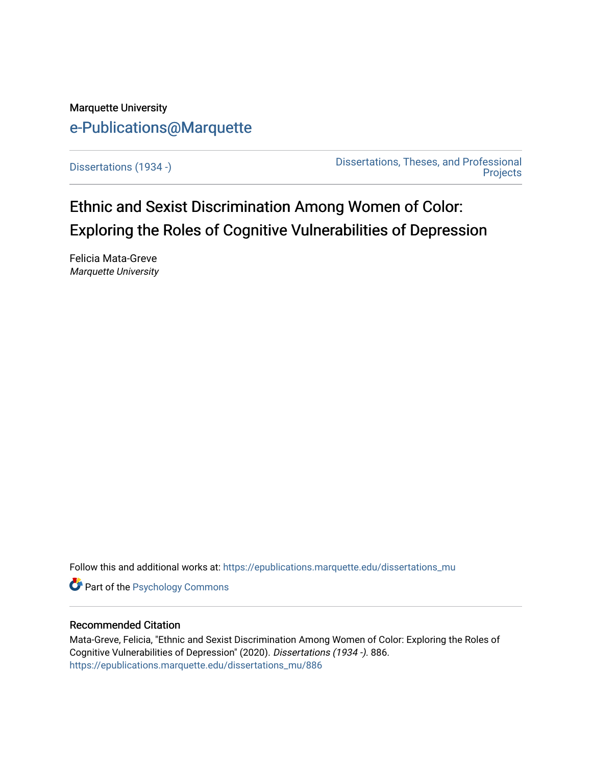# Marquette University [e-Publications@Marquette](https://epublications.marquette.edu/)

[Dissertations \(1934 -\)](https://epublications.marquette.edu/dissertations_mu) [Dissertations, Theses, and Professional](https://epublications.marquette.edu/diss_theses)  **Projects** 

Ethnic and Sexist Discrimination Among Women of Color: Exploring the Roles of Cognitive Vulnerabilities of Depression

Felicia Mata-Greve Marquette University

Follow this and additional works at: [https://epublications.marquette.edu/dissertations\\_mu](https://epublications.marquette.edu/dissertations_mu?utm_source=epublications.marquette.edu%2Fdissertations_mu%2F886&utm_medium=PDF&utm_campaign=PDFCoverPages)

**Part of the Psychology Commons** 

### Recommended Citation

Mata-Greve, Felicia, "Ethnic and Sexist Discrimination Among Women of Color: Exploring the Roles of Cognitive Vulnerabilities of Depression" (2020). Dissertations (1934 -). 886. [https://epublications.marquette.edu/dissertations\\_mu/886](https://epublications.marquette.edu/dissertations_mu/886?utm_source=epublications.marquette.edu%2Fdissertations_mu%2F886&utm_medium=PDF&utm_campaign=PDFCoverPages)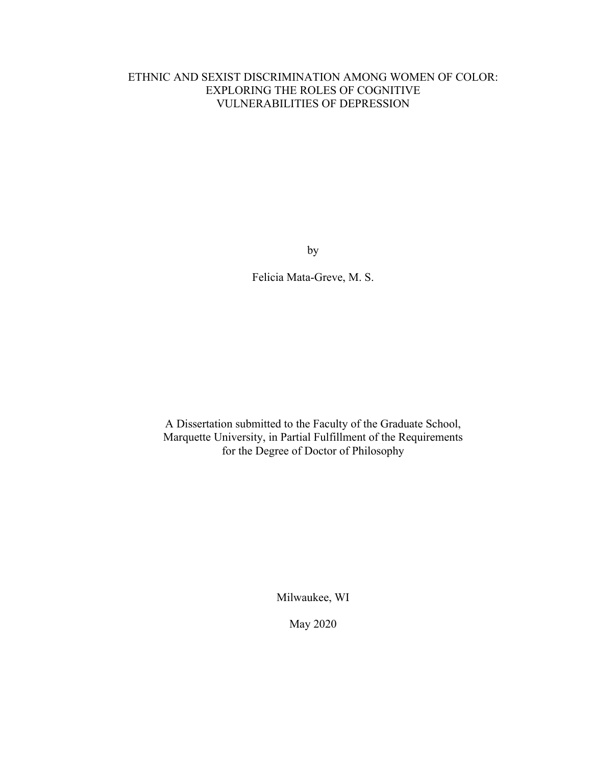### ETHNIC AND SEXIST DISCRIMINATION AMONG WOMEN OF COLOR: EXPLORING THE ROLES OF COGNITIVE VULNERABILITIES OF DEPRESSION

by

Felicia Mata-Greve, M. S.

A Dissertation submitted to the Faculty of the Graduate School, Marquette University, in Partial Fulfillment of the Requirements for the Degree of Doctor of Philosophy

Milwaukee, WI

May 2020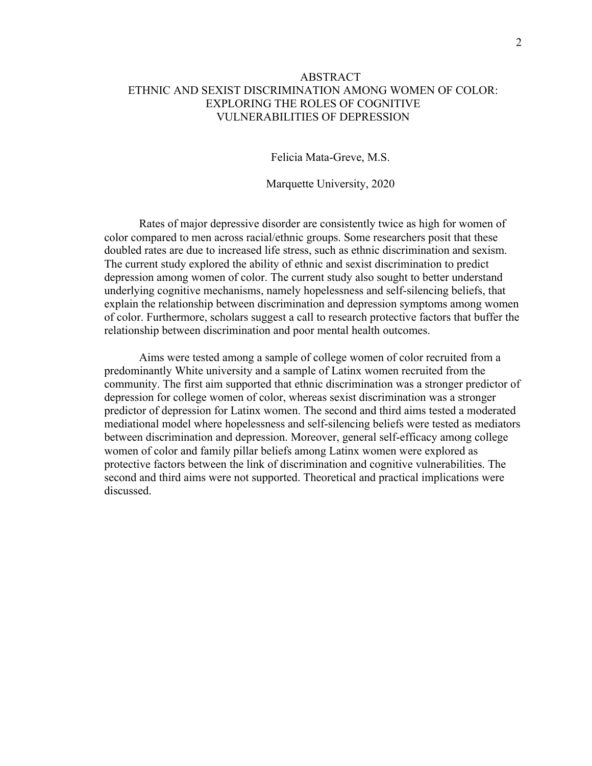### ABSTRACT ETHNIC AND SEXIST DISCRIMINATION AMONG WOMEN OF COLOR: EXPLORING THE ROLES OF COGNITIVE VULNERABILITIES OF DEPRESSION

Felicia Mata-Greve, M.S.

Marquette University, 2020

Rates of major depressive disorder are consistently twice as high for women of color compared to men across racial/ethnic groups. Some researchers posit that these doubled rates are due to increased life stress, such as ethnic discrimination and sexism. The current study explored the ability of ethnic and sexist discrimination to predict depression among women of color. The current study also sought to better understand underlying cognitive mechanisms, namely hopelessness and self-silencing beliefs, that explain the relationship between discrimination and depression symptoms among women of color. Furthermore, scholars suggest a call to research protective factors that buffer the relationship between discrimination and poor mental health outcomes.

Aims were tested among a sample of college women of color recruited from a predominantly White university and a sample of Latinx women recruited from the community. The first aim supported that ethnic discrimination was a stronger predictor of depression for college women of color, whereas sexist discrimination was a stronger predictor of depression for Latinx women. The second and third aims tested a moderated mediational model where hopelessness and self-silencing beliefs were tested as mediators between discrimination and depression. Moreover, general self-efficacy among college women of color and family pillar beliefs among Latinx women were explored as protective factors between the link of discrimination and cognitive vulnerabilities. The second and third aims were not supported. Theoretical and practical implications were discussed.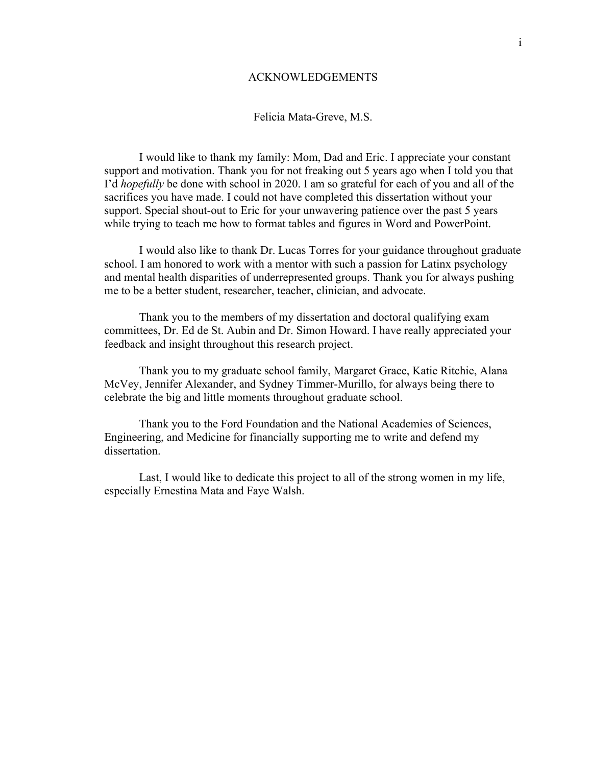### ACKNOWLEDGEMENTS

### Felicia Mata-Greve, M.S.

I would like to thank my family: Mom, Dad and Eric. I appreciate your constant support and motivation. Thank you for not freaking out 5 years ago when I told you that I'd *hopefully* be done with school in 2020. I am so grateful for each of you and all of the sacrifices you have made. I could not have completed this dissertation without your support. Special shout-out to Eric for your unwavering patience over the past 5 years while trying to teach me how to format tables and figures in Word and PowerPoint.

I would also like to thank Dr. Lucas Torres for your guidance throughout graduate school. I am honored to work with a mentor with such a passion for Latinx psychology and mental health disparities of underrepresented groups. Thank you for always pushing me to be a better student, researcher, teacher, clinician, and advocate.

Thank you to the members of my dissertation and doctoral qualifying exam committees, Dr. Ed de St. Aubin and Dr. Simon Howard. I have really appreciated your feedback and insight throughout this research project.

Thank you to my graduate school family, Margaret Grace, Katie Ritchie, Alana McVey, Jennifer Alexander, and Sydney Timmer-Murillo, for always being there to celebrate the big and little moments throughout graduate school.

Thank you to the Ford Foundation and the National Academies of Sciences, Engineering, and Medicine for financially supporting me to write and defend my dissertation.

Last, I would like to dedicate this project to all of the strong women in my life, especially Ernestina Mata and Faye Walsh.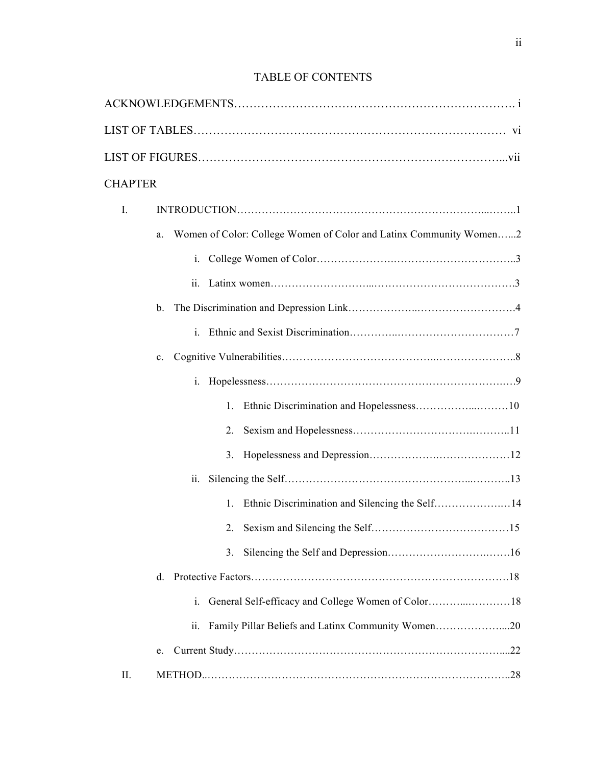# TABLE OF CONTENTS

| <b>CHAPTER</b> |                                                                              |
|----------------|------------------------------------------------------------------------------|
| I.             |                                                                              |
|                | Women of Color: College Women of Color and Latinx Community Women2<br>a.     |
|                | i.                                                                           |
|                |                                                                              |
|                | b.                                                                           |
|                |                                                                              |
|                | $c_{-}$                                                                      |
|                | $i_{-}$                                                                      |
|                |                                                                              |
|                | 2.                                                                           |
|                | 3.                                                                           |
|                | $\overline{\mathbf{11}}$ .                                                   |
|                | Ethnic Discrimination and Silencing the Self14<br>1.                         |
|                |                                                                              |
|                | 3.                                                                           |
|                | d.                                                                           |
|                | 1.                                                                           |
|                | Family Pillar Beliefs and Latinx Community Women20<br>$\ddot{\mathbf{11}}$ . |
|                | e.                                                                           |
| П.             |                                                                              |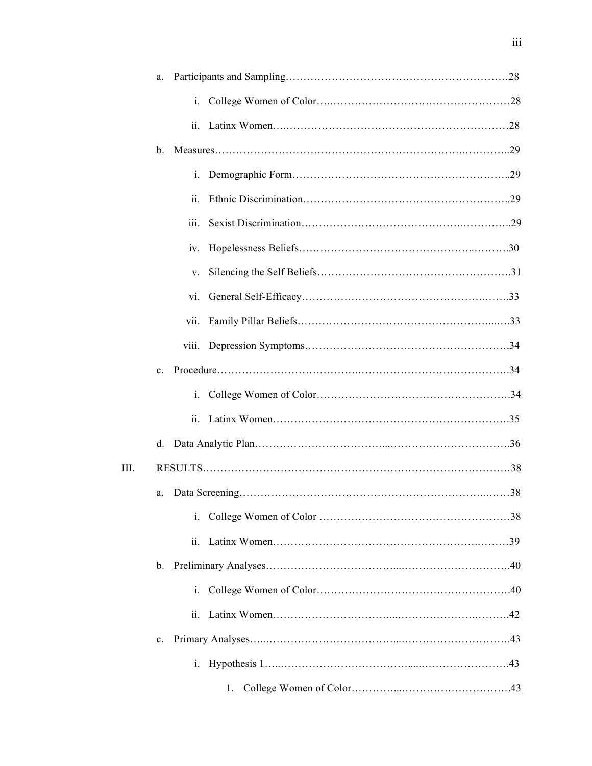|      | a.             |                            |    |  |
|------|----------------|----------------------------|----|--|
|      |                |                            |    |  |
|      |                | $\ddot{\mathbf{i}}$ .      |    |  |
|      | $\mathbf{b}$ . |                            |    |  |
|      |                |                            |    |  |
|      |                | ii.                        |    |  |
|      |                | iii.                       |    |  |
|      |                | 1V.                        |    |  |
|      |                | V.                         |    |  |
|      |                | vi.                        |    |  |
|      |                | vii.                       |    |  |
|      |                |                            |    |  |
|      | $c_{-}$        |                            |    |  |
|      |                | i.                         |    |  |
|      |                | $\overline{\mathbf{11}}$ . |    |  |
|      | d.             |                            |    |  |
| III. |                |                            |    |  |
|      | a.             |                            |    |  |
|      |                | $i$ .                      |    |  |
|      |                |                            |    |  |
|      | $b_{-}$        |                            |    |  |
|      |                | $\mathbf{1}$ .             |    |  |
|      |                | ii.                        |    |  |
|      | $c_{\cdot}$    |                            |    |  |
|      |                | $i$ .                      |    |  |
|      |                |                            | 1. |  |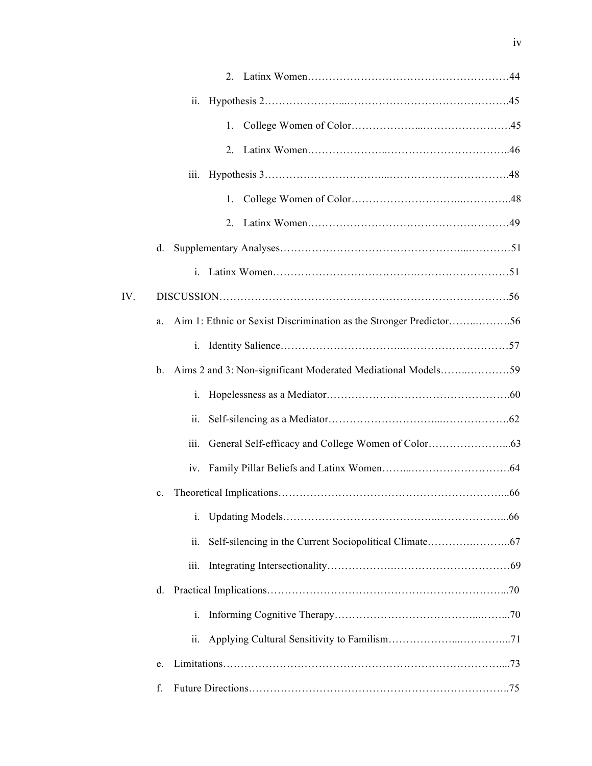|     | $\ddot{\mathbf{11}}$ .                                                      |  |
|-----|-----------------------------------------------------------------------------|--|
|     | 1.                                                                          |  |
|     |                                                                             |  |
|     | <i>iii.</i>                                                                 |  |
|     |                                                                             |  |
|     |                                                                             |  |
|     | d.                                                                          |  |
|     |                                                                             |  |
| IV. |                                                                             |  |
|     | Aim 1: Ethnic or Sexist Discrimination as the Stronger Predictor56<br>a.    |  |
|     | $i_{\cdot}$                                                                 |  |
|     | Aims 2 and 3: Non-significant Moderated Mediational Models59<br>$b_{\cdot}$ |  |
|     | i.                                                                          |  |
|     | 11.                                                                         |  |
|     | iii.                                                                        |  |
|     |                                                                             |  |
|     | $c_{\cdot}$                                                                 |  |
|     | i.                                                                          |  |
|     | ii.                                                                         |  |
|     | 111.                                                                        |  |
|     | d.                                                                          |  |
|     | $i$ .                                                                       |  |
|     | ii.                                                                         |  |
|     | e.                                                                          |  |
|     | f.                                                                          |  |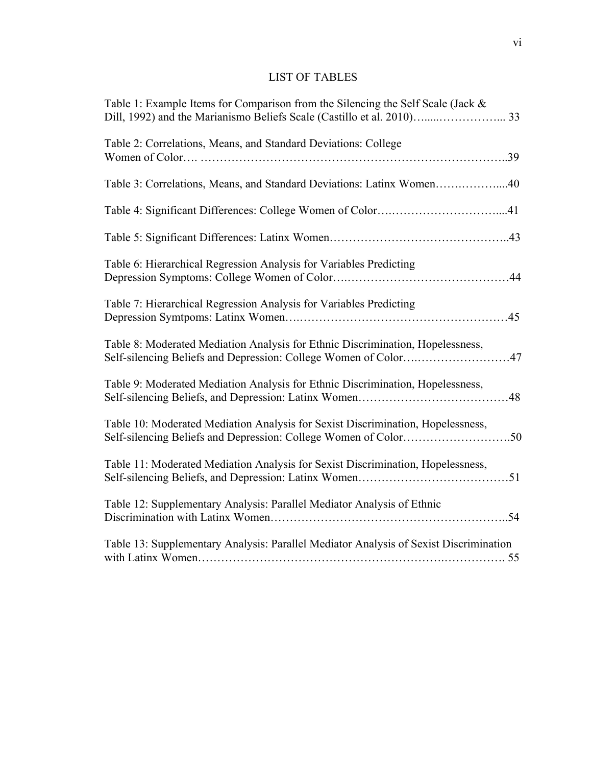## LIST OF TABLES

| Table 1: Example Items for Comparison from the Silencing the Self Scale (Jack &                                                                   |    |
|---------------------------------------------------------------------------------------------------------------------------------------------------|----|
| Table 2: Correlations, Means, and Standard Deviations: College                                                                                    |    |
| Table 3: Correlations, Means, and Standard Deviations: Latinx Women40                                                                             |    |
|                                                                                                                                                   |    |
|                                                                                                                                                   |    |
| Table 6: Hierarchical Regression Analysis for Variables Predicting                                                                                |    |
| Table 7: Hierarchical Regression Analysis for Variables Predicting                                                                                |    |
| Table 8: Moderated Mediation Analysis for Ethnic Discrimination, Hopelessness,<br>Self-silencing Beliefs and Depression: College Women of Color47 |    |
| Table 9: Moderated Mediation Analysis for Ethnic Discrimination, Hopelessness,                                                                    | 48 |
| Table 10: Moderated Mediation Analysis for Sexist Discrimination, Hopelessness,                                                                   |    |
| Table 11: Moderated Mediation Analysis for Sexist Discrimination, Hopelessness,                                                                   |    |
| Table 12: Supplementary Analysis: Parallel Mediator Analysis of Ethnic                                                                            |    |
| Table 13: Supplementary Analysis: Parallel Mediator Analysis of Sexist Discrimination                                                             |    |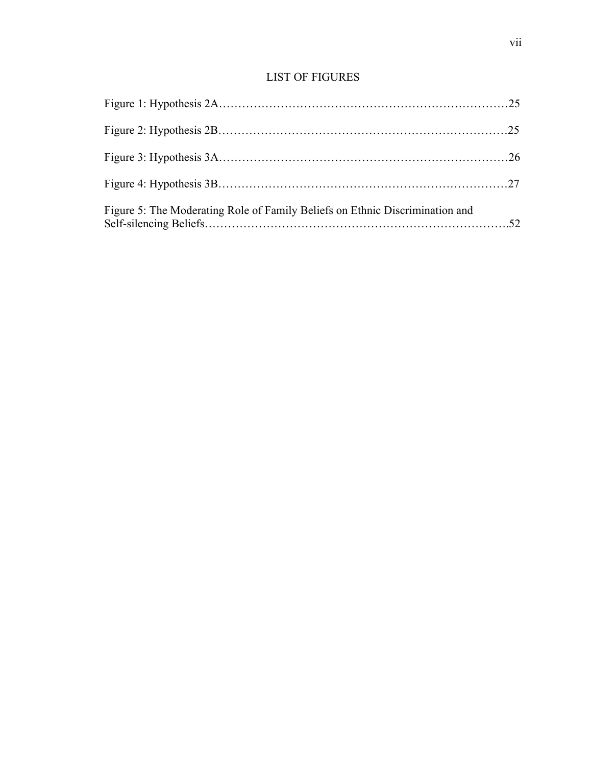## LIST OF FIGURES

| Figure 5: The Moderating Role of Family Beliefs on Ethnic Discrimination and |  |
|------------------------------------------------------------------------------|--|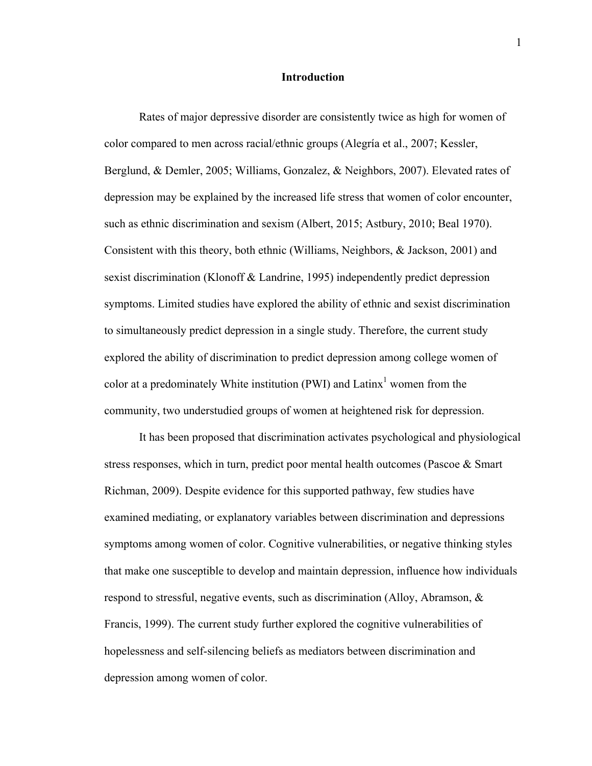### **Introduction**

Rates of major depressive disorder are consistently twice as high for women of color compared to men across racial/ethnic groups (Alegría et al., 2007; Kessler, Berglund, & Demler, 2005; Williams, Gonzalez, & Neighbors, 2007). Elevated rates of depression may be explained by the increased life stress that women of color encounter, such as ethnic discrimination and sexism (Albert, 2015; Astbury, 2010; Beal 1970). Consistent with this theory, both ethnic (Williams, Neighbors, & Jackson, 2001) and sexist discrimination (Klonoff & Landrine, 1995) independently predict depression symptoms. Limited studies have explored the ability of ethnic and sexist discrimination to simultaneously predict depression in a single study. Therefore, the current study explored the ability of discrimination to predict depression among college women of color at a predominately White institution (PWI) and  $Latinx<sup>1</sup>$  women from the community, two understudied groups of women at heightened risk for depression.

It has been proposed that discrimination activates psychological and physiological stress responses, which in turn, predict poor mental health outcomes (Pascoe & Smart Richman, 2009). Despite evidence for this supported pathway, few studies have examined mediating, or explanatory variables between discrimination and depressions symptoms among women of color. Cognitive vulnerabilities, or negative thinking styles that make one susceptible to develop and maintain depression, influence how individuals respond to stressful, negative events, such as discrimination (Alloy, Abramson, & Francis, 1999). The current study further explored the cognitive vulnerabilities of hopelessness and self-silencing beliefs as mediators between discrimination and depression among women of color.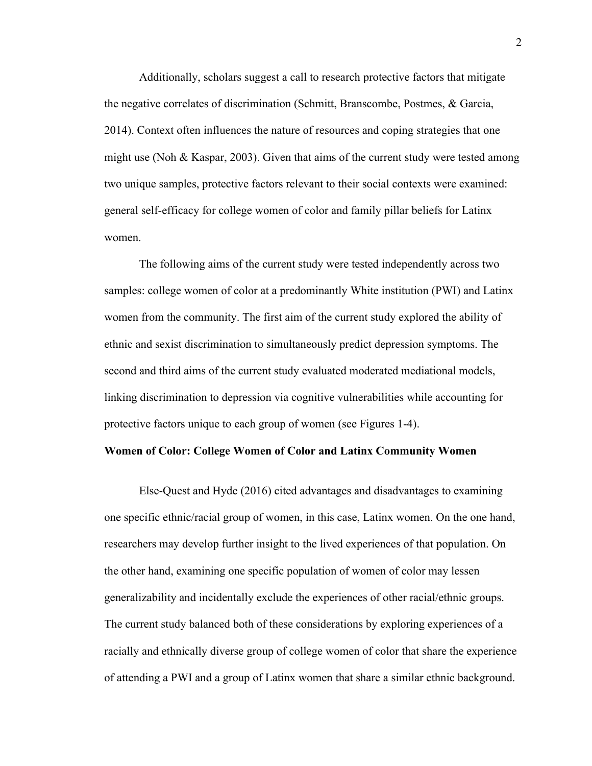Additionally, scholars suggest a call to research protective factors that mitigate the negative correlates of discrimination (Schmitt, Branscombe, Postmes, & Garcia, 2014). Context often influences the nature of resources and coping strategies that one might use (Noh & Kaspar, 2003). Given that aims of the current study were tested among two unique samples, protective factors relevant to their social contexts were examined: general self-efficacy for college women of color and family pillar beliefs for Latinx women.

The following aims of the current study were tested independently across two samples: college women of color at a predominantly White institution (PWI) and Latinx women from the community. The first aim of the current study explored the ability of ethnic and sexist discrimination to simultaneously predict depression symptoms. The second and third aims of the current study evaluated moderated mediational models, linking discrimination to depression via cognitive vulnerabilities while accounting for protective factors unique to each group of women (see Figures 1-4).

### **Women of Color: College Women of Color and Latinx Community Women**

Else-Quest and Hyde (2016) cited advantages and disadvantages to examining one specific ethnic/racial group of women, in this case, Latinx women. On the one hand, researchers may develop further insight to the lived experiences of that population. On the other hand, examining one specific population of women of color may lessen generalizability and incidentally exclude the experiences of other racial/ethnic groups. The current study balanced both of these considerations by exploring experiences of a racially and ethnically diverse group of college women of color that share the experience of attending a PWI and a group of Latinx women that share a similar ethnic background.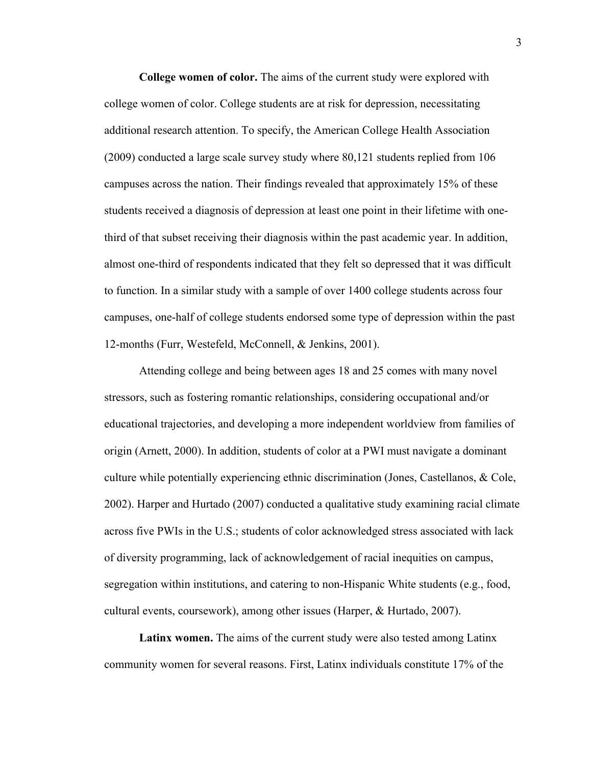**College women of color.** The aims of the current study were explored with college women of color. College students are at risk for depression, necessitating additional research attention. To specify, the American College Health Association (2009) conducted a large scale survey study where 80,121 students replied from 106 campuses across the nation. Their findings revealed that approximately 15% of these students received a diagnosis of depression at least one point in their lifetime with onethird of that subset receiving their diagnosis within the past academic year. In addition, almost one-third of respondents indicated that they felt so depressed that it was difficult to function. In a similar study with a sample of over 1400 college students across four campuses, one-half of college students endorsed some type of depression within the past 12-months (Furr, Westefeld, McConnell, & Jenkins, 2001).

Attending college and being between ages 18 and 25 comes with many novel stressors, such as fostering romantic relationships, considering occupational and/or educational trajectories, and developing a more independent worldview from families of origin (Arnett, 2000). In addition, students of color at a PWI must navigate a dominant culture while potentially experiencing ethnic discrimination (Jones, Castellanos, & Cole, 2002). Harper and Hurtado (2007) conducted a qualitative study examining racial climate across five PWIs in the U.S.; students of color acknowledged stress associated with lack of diversity programming, lack of acknowledgement of racial inequities on campus, segregation within institutions, and catering to non-Hispanic White students (e.g., food, cultural events, coursework), among other issues (Harper, & Hurtado, 2007).

**Latinx women.** The aims of the current study were also tested among Latinx community women for several reasons. First, Latinx individuals constitute 17% of the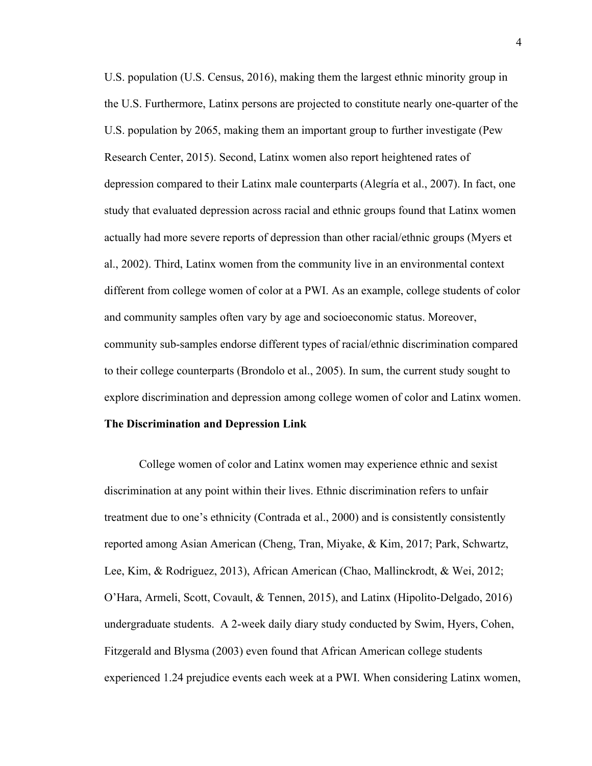U.S. population (U.S. Census, 2016), making them the largest ethnic minority group in the U.S. Furthermore, Latinx persons are projected to constitute nearly one-quarter of the U.S. population by 2065, making them an important group to further investigate (Pew Research Center, 2015). Second, Latinx women also report heightened rates of depression compared to their Latinx male counterparts (Alegría et al., 2007). In fact, one study that evaluated depression across racial and ethnic groups found that Latinx women actually had more severe reports of depression than other racial/ethnic groups (Myers et al., 2002). Third, Latinx women from the community live in an environmental context different from college women of color at a PWI. As an example, college students of color and community samples often vary by age and socioeconomic status. Moreover, community sub-samples endorse different types of racial/ethnic discrimination compared to their college counterparts (Brondolo et al., 2005). In sum, the current study sought to explore discrimination and depression among college women of color and Latinx women.

#### **The Discrimination and Depression Link**

College women of color and Latinx women may experience ethnic and sexist discrimination at any point within their lives. Ethnic discrimination refers to unfair treatment due to one's ethnicity (Contrada et al., 2000) and is consistently consistently reported among Asian American (Cheng, Tran, Miyake, & Kim, 2017; Park, Schwartz, Lee, Kim, & Rodriguez, 2013), African American (Chao, Mallinckrodt, & Wei, 2012; O'Hara, Armeli, Scott, Covault, & Tennen, 2015), and Latinx (Hipolito-Delgado, 2016) undergraduate students. A 2-week daily diary study conducted by Swim, Hyers, Cohen, Fitzgerald and Blysma (2003) even found that African American college students experienced 1.24 prejudice events each week at a PWI. When considering Latinx women,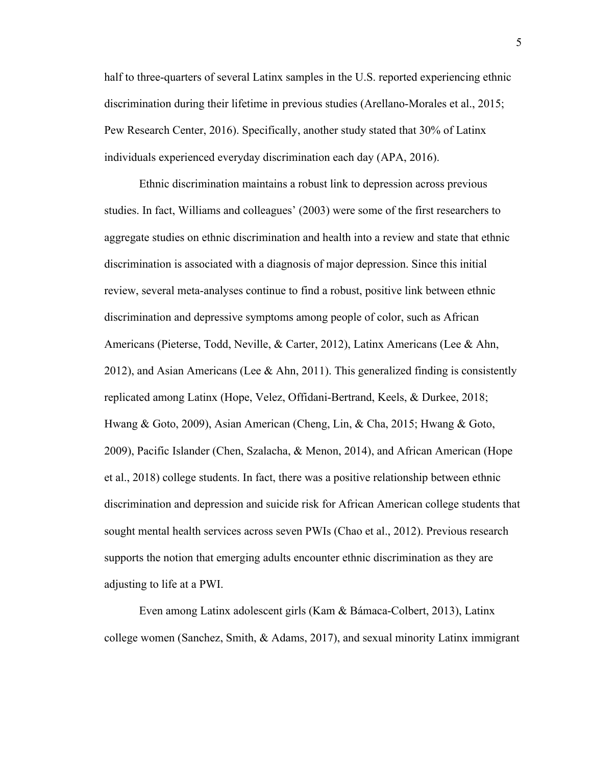half to three-quarters of several Latinx samples in the U.S. reported experiencing ethnic discrimination during their lifetime in previous studies (Arellano-Morales et al., 2015; Pew Research Center, 2016). Specifically, another study stated that 30% of Latinx individuals experienced everyday discrimination each day (APA, 2016).

Ethnic discrimination maintains a robust link to depression across previous studies. In fact, Williams and colleagues' (2003) were some of the first researchers to aggregate studies on ethnic discrimination and health into a review and state that ethnic discrimination is associated with a diagnosis of major depression. Since this initial review, several meta-analyses continue to find a robust, positive link between ethnic discrimination and depressive symptoms among people of color, such as African Americans (Pieterse, Todd, Neville, & Carter, 2012), Latinx Americans (Lee & Ahn, 2012), and Asian Americans (Lee & Ahn, 2011). This generalized finding is consistently replicated among Latinx (Hope, Velez, Offidani-Bertrand, Keels, & Durkee, 2018; Hwang & Goto, 2009), Asian American (Cheng, Lin, & Cha, 2015; Hwang & Goto, 2009), Pacific Islander (Chen, Szalacha, & Menon, 2014), and African American (Hope et al., 2018) college students. In fact, there was a positive relationship between ethnic discrimination and depression and suicide risk for African American college students that sought mental health services across seven PWIs (Chao et al., 2012). Previous research supports the notion that emerging adults encounter ethnic discrimination as they are adjusting to life at a PWI.

Even among Latinx adolescent girls (Kam & Bámaca-Colbert, 2013), Latinx college women (Sanchez, Smith, & Adams, 2017), and sexual minority Latinx immigrant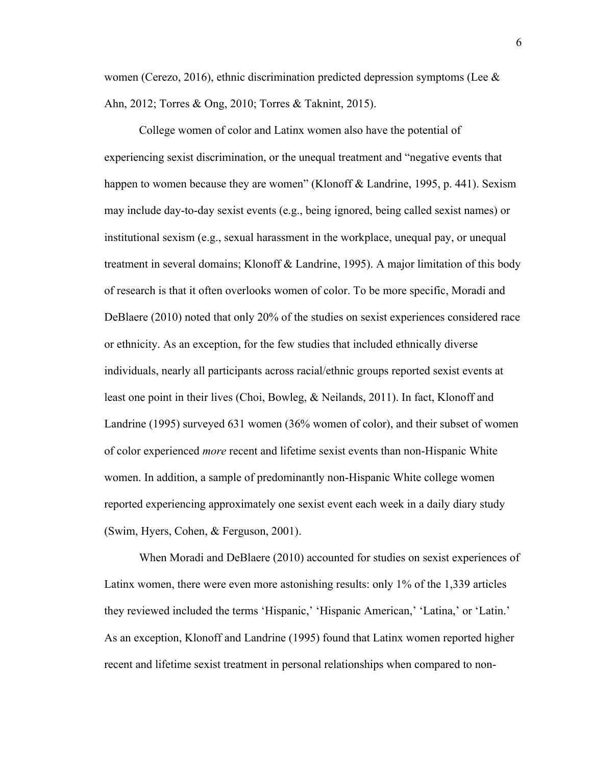women (Cerezo, 2016), ethnic discrimination predicted depression symptoms (Lee  $\&$ Ahn, 2012; Torres & Ong, 2010; Torres & Taknint, 2015).

College women of color and Latinx women also have the potential of experiencing sexist discrimination, or the unequal treatment and "negative events that happen to women because they are women" (Klonoff & Landrine, 1995, p. 441). Sexism may include day-to-day sexist events (e.g., being ignored, being called sexist names) or institutional sexism (e.g., sexual harassment in the workplace, unequal pay, or unequal treatment in several domains; Klonoff & Landrine, 1995). A major limitation of this body of research is that it often overlooks women of color. To be more specific, Moradi and DeBlaere (2010) noted that only 20% of the studies on sexist experiences considered race or ethnicity. As an exception, for the few studies that included ethnically diverse individuals, nearly all participants across racial/ethnic groups reported sexist events at least one point in their lives (Choi, Bowleg, & Neilands, 2011). In fact, Klonoff and Landrine (1995) surveyed 631 women (36% women of color), and their subset of women of color experienced *more* recent and lifetime sexist events than non-Hispanic White women. In addition, a sample of predominantly non-Hispanic White college women reported experiencing approximately one sexist event each week in a daily diary study (Swim, Hyers, Cohen, & Ferguson, 2001).

When Moradi and DeBlaere (2010) accounted for studies on sexist experiences of Latinx women, there were even more astonishing results: only 1% of the 1,339 articles they reviewed included the terms 'Hispanic,' 'Hispanic American,' 'Latina,' or 'Latin.' As an exception, Klonoff and Landrine (1995) found that Latinx women reported higher recent and lifetime sexist treatment in personal relationships when compared to non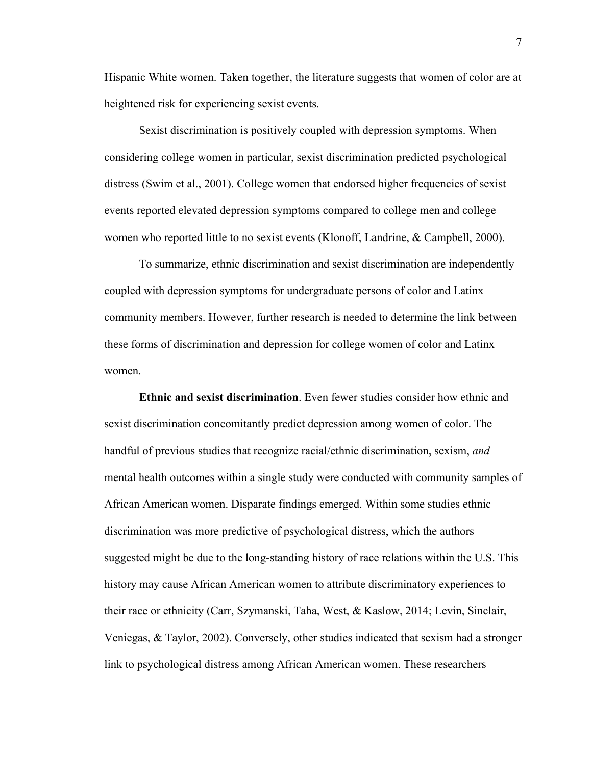Hispanic White women. Taken together, the literature suggests that women of color are at heightened risk for experiencing sexist events.

Sexist discrimination is positively coupled with depression symptoms. When considering college women in particular, sexist discrimination predicted psychological distress (Swim et al., 2001). College women that endorsed higher frequencies of sexist events reported elevated depression symptoms compared to college men and college women who reported little to no sexist events (Klonoff, Landrine, & Campbell, 2000).

To summarize, ethnic discrimination and sexist discrimination are independently coupled with depression symptoms for undergraduate persons of color and Latinx community members. However, further research is needed to determine the link between these forms of discrimination and depression for college women of color and Latinx women.

**Ethnic and sexist discrimination**. Even fewer studies consider how ethnic and sexist discrimination concomitantly predict depression among women of color. The handful of previous studies that recognize racial/ethnic discrimination, sexism, *and* mental health outcomes within a single study were conducted with community samples of African American women. Disparate findings emerged. Within some studies ethnic discrimination was more predictive of psychological distress, which the authors suggested might be due to the long-standing history of race relations within the U.S. This history may cause African American women to attribute discriminatory experiences to their race or ethnicity (Carr, Szymanski, Taha, West, & Kaslow, 2014; Levin, Sinclair, Veniegas, & Taylor, 2002). Conversely, other studies indicated that sexism had a stronger link to psychological distress among African American women. These researchers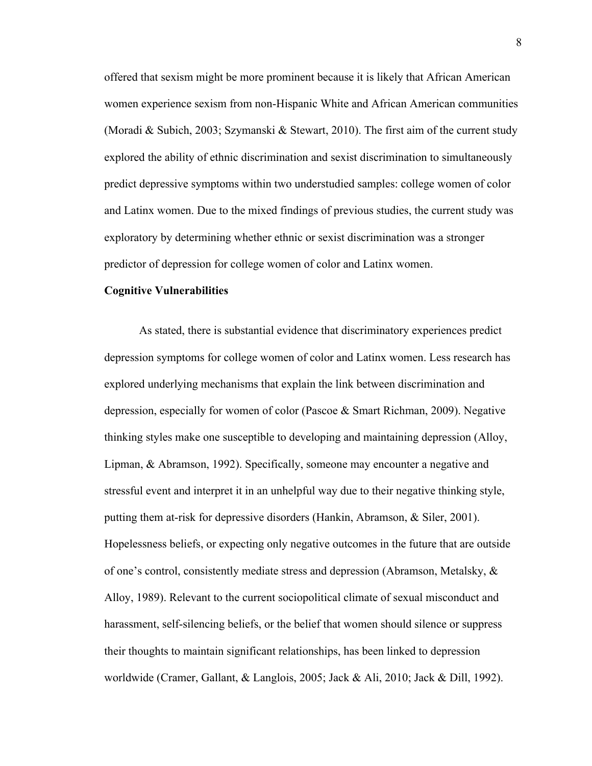offered that sexism might be more prominent because it is likely that African American women experience sexism from non-Hispanic White and African American communities (Moradi & Subich, 2003; Szymanski & Stewart, 2010). The first aim of the current study explored the ability of ethnic discrimination and sexist discrimination to simultaneously predict depressive symptoms within two understudied samples: college women of color and Latinx women. Due to the mixed findings of previous studies, the current study was exploratory by determining whether ethnic or sexist discrimination was a stronger predictor of depression for college women of color and Latinx women.

### **Cognitive Vulnerabilities**

As stated, there is substantial evidence that discriminatory experiences predict depression symptoms for college women of color and Latinx women. Less research has explored underlying mechanisms that explain the link between discrimination and depression, especially for women of color (Pascoe & Smart Richman, 2009). Negative thinking styles make one susceptible to developing and maintaining depression (Alloy, Lipman, & Abramson, 1992). Specifically, someone may encounter a negative and stressful event and interpret it in an unhelpful way due to their negative thinking style, putting them at-risk for depressive disorders (Hankin, Abramson, & Siler, 2001). Hopelessness beliefs, or expecting only negative outcomes in the future that are outside of one's control, consistently mediate stress and depression (Abramson, Metalsky, & Alloy, 1989). Relevant to the current sociopolitical climate of sexual misconduct and harassment, self-silencing beliefs, or the belief that women should silence or suppress their thoughts to maintain significant relationships, has been linked to depression worldwide (Cramer, Gallant, & Langlois, 2005; Jack & Ali, 2010; Jack & Dill, 1992).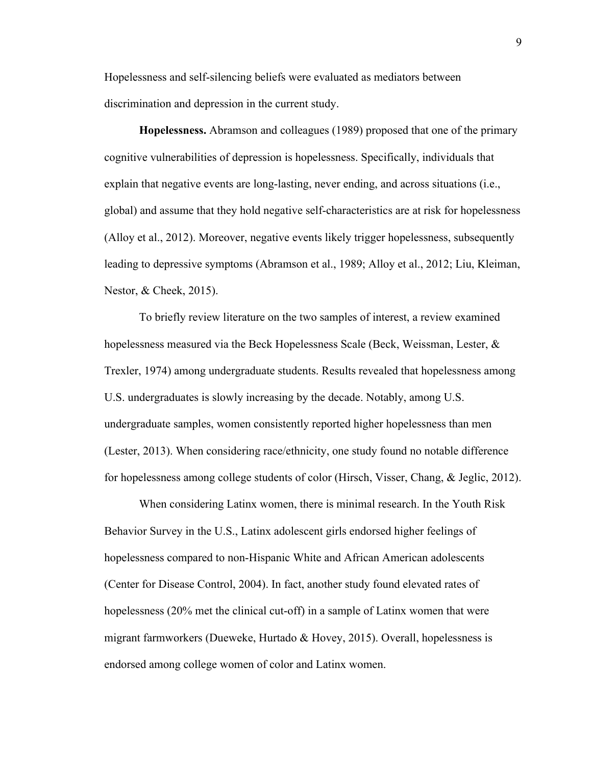Hopelessness and self-silencing beliefs were evaluated as mediators between discrimination and depression in the current study.

**Hopelessness.** Abramson and colleagues (1989) proposed that one of the primary cognitive vulnerabilities of depression is hopelessness. Specifically, individuals that explain that negative events are long-lasting, never ending, and across situations (i.e., global) and assume that they hold negative self-characteristics are at risk for hopelessness (Alloy et al., 2012). Moreover, negative events likely trigger hopelessness, subsequently leading to depressive symptoms (Abramson et al., 1989; Alloy et al., 2012; Liu, Kleiman, Nestor, & Cheek, 2015).

To briefly review literature on the two samples of interest, a review examined hopelessness measured via the Beck Hopelessness Scale (Beck, Weissman, Lester, & Trexler, 1974) among undergraduate students. Results revealed that hopelessness among U.S. undergraduates is slowly increasing by the decade. Notably, among U.S. undergraduate samples, women consistently reported higher hopelessness than men (Lester, 2013). When considering race/ethnicity, one study found no notable difference for hopelessness among college students of color (Hirsch, Visser, Chang, & Jeglic, 2012).

When considering Latinx women, there is minimal research. In the Youth Risk Behavior Survey in the U.S., Latinx adolescent girls endorsed higher feelings of hopelessness compared to non-Hispanic White and African American adolescents (Center for Disease Control, 2004). In fact, another study found elevated rates of hopelessness (20% met the clinical cut-off) in a sample of Latinx women that were migrant farmworkers (Dueweke, Hurtado & Hovey, 2015). Overall, hopelessness is endorsed among college women of color and Latinx women.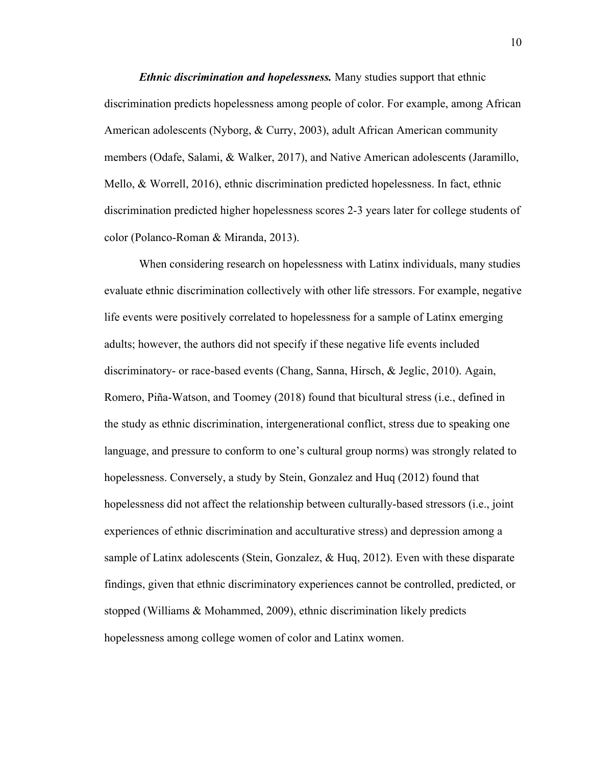*Ethnic discrimination and hopelessness.* Many studies support that ethnic discrimination predicts hopelessness among people of color. For example, among African American adolescents (Nyborg, & Curry, 2003), adult African American community members (Odafe, Salami, & Walker, 2017), and Native American adolescents (Jaramillo, Mello, & Worrell, 2016), ethnic discrimination predicted hopelessness. In fact, ethnic discrimination predicted higher hopelessness scores 2-3 years later for college students of color (Polanco-Roman & Miranda, 2013).

When considering research on hopelessness with Latinx individuals, many studies evaluate ethnic discrimination collectively with other life stressors. For example, negative life events were positively correlated to hopelessness for a sample of Latinx emerging adults; however, the authors did not specify if these negative life events included discriminatory- or race-based events (Chang, Sanna, Hirsch, & Jeglic, 2010). Again, Romero, Piña-Watson, and Toomey (2018) found that bicultural stress (i.e., defined in the study as ethnic discrimination, intergenerational conflict, stress due to speaking one language, and pressure to conform to one's cultural group norms) was strongly related to hopelessness. Conversely, a study by Stein, Gonzalez and Huq (2012) found that hopelessness did not affect the relationship between culturally-based stressors (i.e., joint experiences of ethnic discrimination and acculturative stress) and depression among a sample of Latinx adolescents (Stein, Gonzalez, & Huq, 2012). Even with these disparate findings, given that ethnic discriminatory experiences cannot be controlled, predicted, or stopped (Williams & Mohammed, 2009), ethnic discrimination likely predicts hopelessness among college women of color and Latinx women.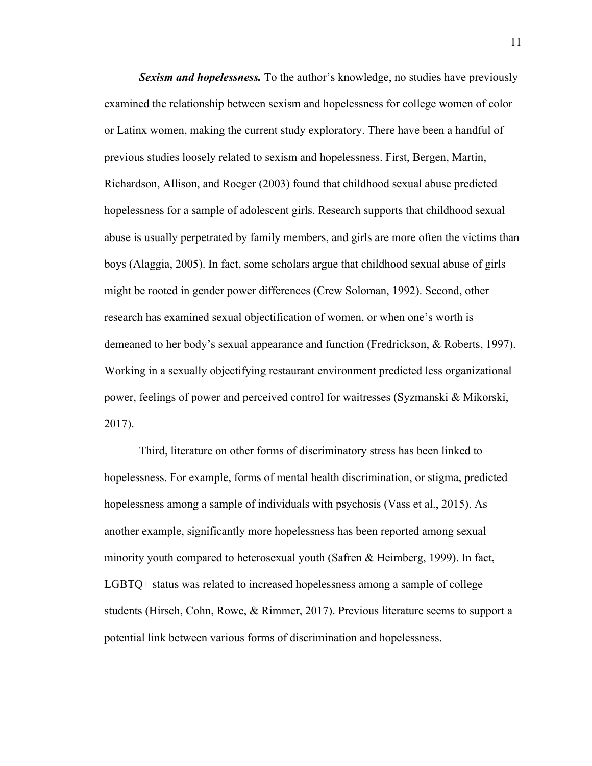*Sexism and hopelessness.* To the author's knowledge, no studies have previously examined the relationship between sexism and hopelessness for college women of color or Latinx women, making the current study exploratory. There have been a handful of previous studies loosely related to sexism and hopelessness. First, Bergen, Martin, Richardson, Allison, and Roeger (2003) found that childhood sexual abuse predicted hopelessness for a sample of adolescent girls. Research supports that childhood sexual abuse is usually perpetrated by family members, and girls are more often the victims than boys (Alaggia, 2005). In fact, some scholars argue that childhood sexual abuse of girls might be rooted in gender power differences (Crew Soloman, 1992). Second, other research has examined sexual objectification of women, or when one's worth is demeaned to her body's sexual appearance and function (Fredrickson, & Roberts, 1997). Working in a sexually objectifying restaurant environment predicted less organizational power, feelings of power and perceived control for waitresses (Syzmanski & Mikorski, 2017).

Third, literature on other forms of discriminatory stress has been linked to hopelessness. For example, forms of mental health discrimination, or stigma, predicted hopelessness among a sample of individuals with psychosis (Vass et al., 2015). As another example, significantly more hopelessness has been reported among sexual minority youth compared to heterosexual youth (Safren & Heimberg, 1999). In fact, LGBTQ+ status was related to increased hopelessness among a sample of college students (Hirsch, Cohn, Rowe, & Rimmer, 2017). Previous literature seems to support a potential link between various forms of discrimination and hopelessness.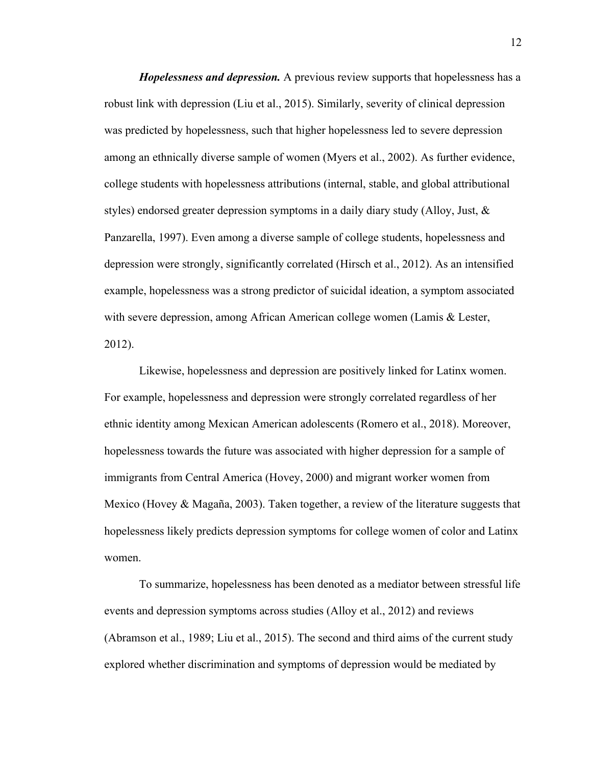*Hopelessness and depression.* A previous review supports that hopelessness has a robust link with depression (Liu et al., 2015). Similarly, severity of clinical depression was predicted by hopelessness, such that higher hopelessness led to severe depression among an ethnically diverse sample of women (Myers et al., 2002). As further evidence, college students with hopelessness attributions (internal, stable, and global attributional styles) endorsed greater depression symptoms in a daily diary study (Alloy, Just, & Panzarella, 1997). Even among a diverse sample of college students, hopelessness and depression were strongly, significantly correlated (Hirsch et al., 2012). As an intensified example, hopelessness was a strong predictor of suicidal ideation, a symptom associated with severe depression, among African American college women (Lamis & Lester, 2012).

Likewise, hopelessness and depression are positively linked for Latinx women. For example, hopelessness and depression were strongly correlated regardless of her ethnic identity among Mexican American adolescents (Romero et al., 2018). Moreover, hopelessness towards the future was associated with higher depression for a sample of immigrants from Central America (Hovey, 2000) and migrant worker women from Mexico (Hovey & Magaña, 2003). Taken together, a review of the literature suggests that hopelessness likely predicts depression symptoms for college women of color and Latinx women.

To summarize, hopelessness has been denoted as a mediator between stressful life events and depression symptoms across studies (Alloy et al., 2012) and reviews (Abramson et al., 1989; Liu et al., 2015). The second and third aims of the current study explored whether discrimination and symptoms of depression would be mediated by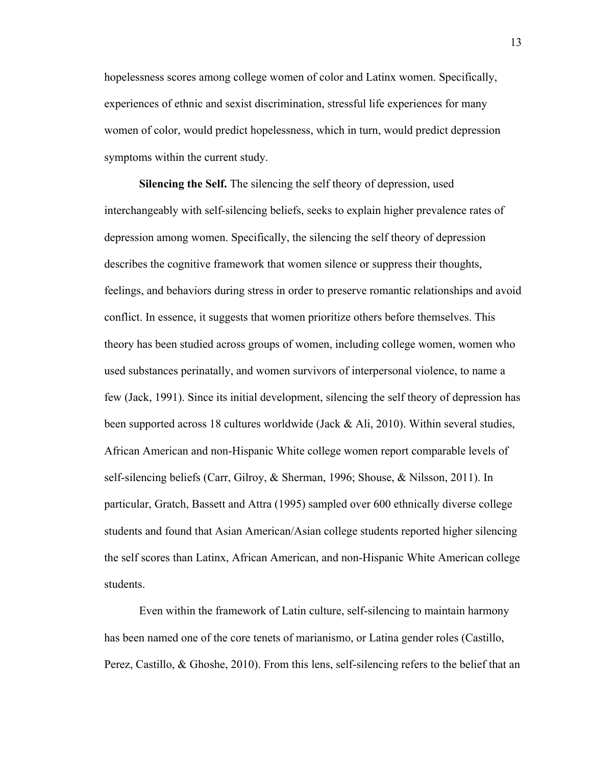hopelessness scores among college women of color and Latinx women. Specifically, experiences of ethnic and sexist discrimination, stressful life experiences for many women of color, would predict hopelessness, which in turn, would predict depression symptoms within the current study.

**Silencing the Self.** The silencing the self theory of depression, used interchangeably with self-silencing beliefs, seeks to explain higher prevalence rates of depression among women. Specifically, the silencing the self theory of depression describes the cognitive framework that women silence or suppress their thoughts, feelings, and behaviors during stress in order to preserve romantic relationships and avoid conflict. In essence, it suggests that women prioritize others before themselves. This theory has been studied across groups of women, including college women, women who used substances perinatally, and women survivors of interpersonal violence, to name a few (Jack, 1991). Since its initial development, silencing the self theory of depression has been supported across 18 cultures worldwide (Jack & Ali, 2010). Within several studies, African American and non-Hispanic White college women report comparable levels of self-silencing beliefs (Carr, Gilroy, & Sherman, 1996; Shouse, & Nilsson, 2011). In particular, Gratch, Bassett and Attra (1995) sampled over 600 ethnically diverse college students and found that Asian American/Asian college students reported higher silencing the self scores than Latinx, African American, and non-Hispanic White American college students.

Even within the framework of Latin culture, self-silencing to maintain harmony has been named one of the core tenets of marianismo, or Latina gender roles (Castillo, Perez, Castillo, & Ghoshe, 2010). From this lens, self-silencing refers to the belief that an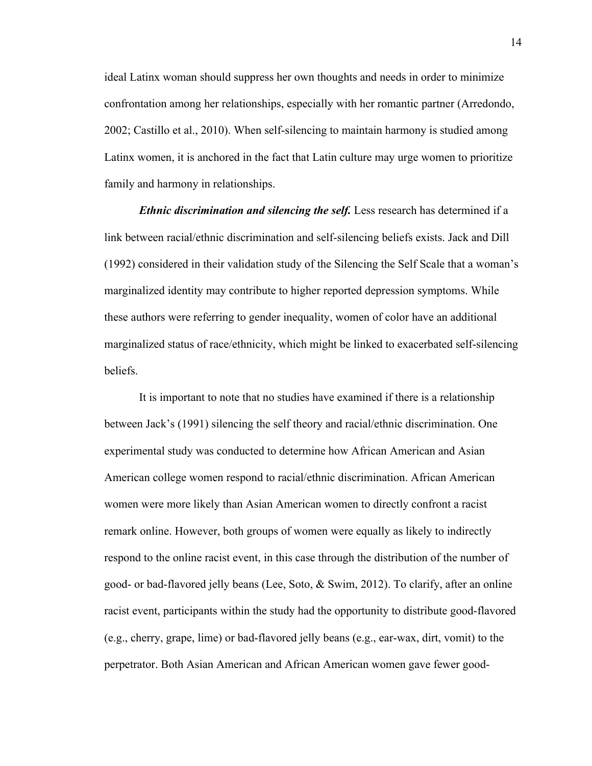ideal Latinx woman should suppress her own thoughts and needs in order to minimize confrontation among her relationships, especially with her romantic partner (Arredondo, 2002; Castillo et al., 2010). When self-silencing to maintain harmony is studied among Latinx women, it is anchored in the fact that Latin culture may urge women to prioritize family and harmony in relationships.

*Ethnic discrimination and silencing the self.* Less research has determined if a link between racial/ethnic discrimination and self-silencing beliefs exists. Jack and Dill (1992) considered in their validation study of the Silencing the Self Scale that a woman's marginalized identity may contribute to higher reported depression symptoms. While these authors were referring to gender inequality, women of color have an additional marginalized status of race/ethnicity, which might be linked to exacerbated self-silencing beliefs.

It is important to note that no studies have examined if there is a relationship between Jack's (1991) silencing the self theory and racial/ethnic discrimination. One experimental study was conducted to determine how African American and Asian American college women respond to racial/ethnic discrimination. African American women were more likely than Asian American women to directly confront a racist remark online. However, both groups of women were equally as likely to indirectly respond to the online racist event, in this case through the distribution of the number of good- or bad-flavored jelly beans (Lee, Soto, & Swim, 2012). To clarify, after an online racist event, participants within the study had the opportunity to distribute good-flavored (e.g., cherry, grape, lime) or bad-flavored jelly beans (e.g., ear-wax, dirt, vomit) to the perpetrator. Both Asian American and African American women gave fewer good-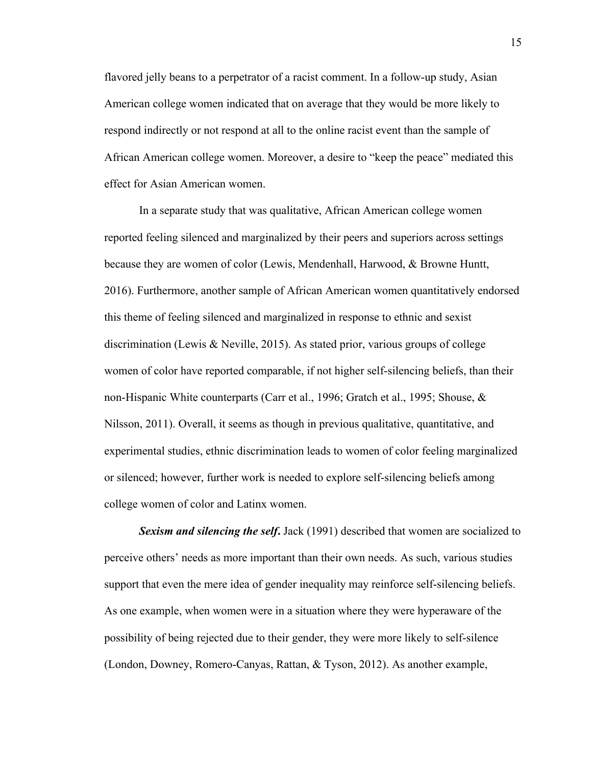flavored jelly beans to a perpetrator of a racist comment. In a follow-up study, Asian American college women indicated that on average that they would be more likely to respond indirectly or not respond at all to the online racist event than the sample of African American college women. Moreover, a desire to "keep the peace" mediated this effect for Asian American women.

In a separate study that was qualitative, African American college women reported feeling silenced and marginalized by their peers and superiors across settings because they are women of color (Lewis, Mendenhall, Harwood, & Browne Huntt, 2016). Furthermore, another sample of African American women quantitatively endorsed this theme of feeling silenced and marginalized in response to ethnic and sexist discrimination (Lewis & Neville, 2015). As stated prior, various groups of college women of color have reported comparable, if not higher self-silencing beliefs, than their non-Hispanic White counterparts (Carr et al., 1996; Gratch et al., 1995; Shouse, & Nilsson, 2011). Overall, it seems as though in previous qualitative, quantitative, and experimental studies, ethnic discrimination leads to women of color feeling marginalized or silenced; however, further work is needed to explore self-silencing beliefs among college women of color and Latinx women.

*Sexism and silencing the self***.** Jack (1991) described that women are socialized to perceive others' needs as more important than their own needs. As such, various studies support that even the mere idea of gender inequality may reinforce self-silencing beliefs. As one example, when women were in a situation where they were hyperaware of the possibility of being rejected due to their gender, they were more likely to self-silence (London, Downey, Romero-Canyas, Rattan, & Tyson, 2012). As another example,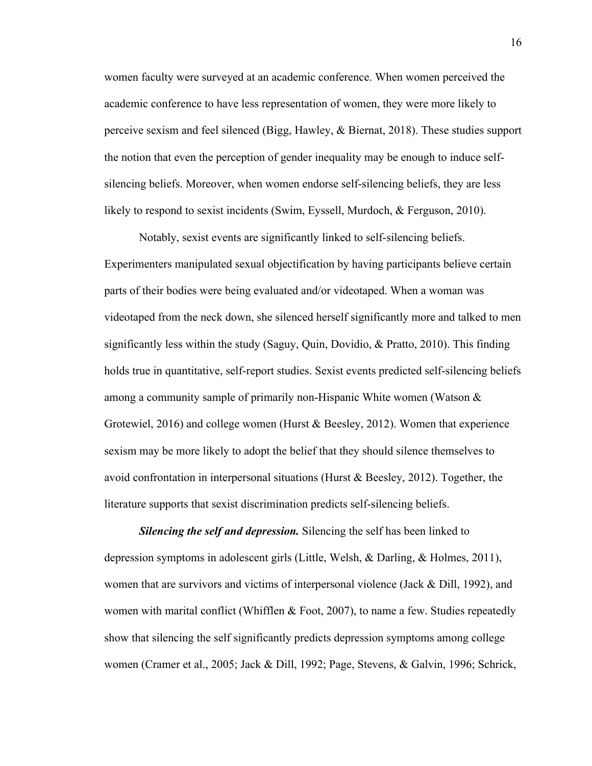women faculty were surveyed at an academic conference. When women perceived the academic conference to have less representation of women, they were more likely to perceive sexism and feel silenced (Bigg, Hawley, & Biernat, 2018). These studies support the notion that even the perception of gender inequality may be enough to induce selfsilencing beliefs. Moreover, when women endorse self-silencing beliefs, they are less likely to respond to sexist incidents (Swim, Eyssell, Murdoch, & Ferguson, 2010).

Notably, sexist events are significantly linked to self-silencing beliefs. Experimenters manipulated sexual objectification by having participants believe certain parts of their bodies were being evaluated and/or videotaped. When a woman was videotaped from the neck down, she silenced herself significantly more and talked to men significantly less within the study (Saguy, Quin, Dovidio, & Pratto, 2010). This finding holds true in quantitative, self-report studies. Sexist events predicted self-silencing beliefs among a community sample of primarily non-Hispanic White women (Watson & Grotewiel, 2016) and college women (Hurst & Beesley, 2012). Women that experience sexism may be more likely to adopt the belief that they should silence themselves to avoid confrontation in interpersonal situations (Hurst & Beesley, 2012). Together, the literature supports that sexist discrimination predicts self-silencing beliefs.

*Silencing the self and depression.* Silencing the self has been linked to depression symptoms in adolescent girls (Little, Welsh, & Darling, & Holmes, 2011), women that are survivors and victims of interpersonal violence (Jack & Dill, 1992), and women with marital conflict (Whifflen  $&$  Foot, 2007), to name a few. Studies repeatedly show that silencing the self significantly predicts depression symptoms among college women (Cramer et al., 2005; Jack & Dill, 1992; Page, Stevens, & Galvin, 1996; Schrick,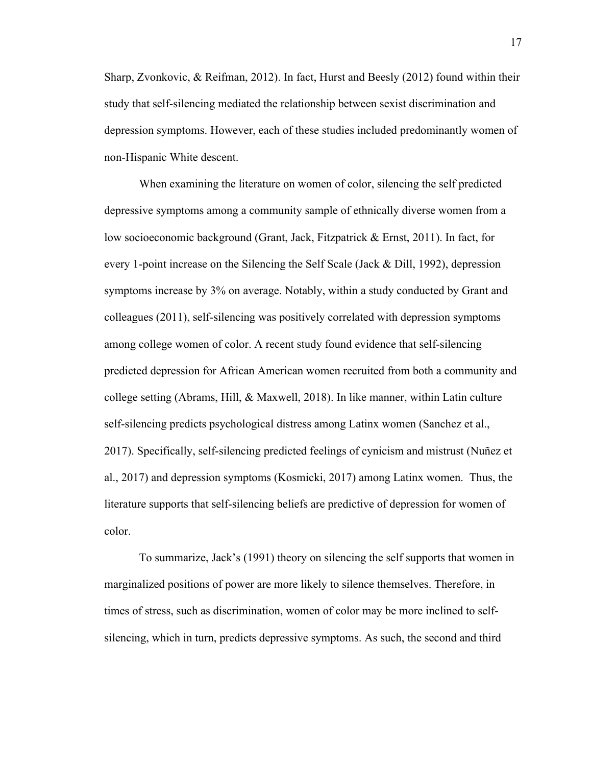Sharp, Zvonkovic, & Reifman, 2012). In fact, Hurst and Beesly (2012) found within their study that self-silencing mediated the relationship between sexist discrimination and depression symptoms. However, each of these studies included predominantly women of non-Hispanic White descent.

When examining the literature on women of color, silencing the self predicted depressive symptoms among a community sample of ethnically diverse women from a low socioeconomic background (Grant, Jack, Fitzpatrick & Ernst, 2011). In fact, for every 1-point increase on the Silencing the Self Scale (Jack & Dill, 1992), depression symptoms increase by 3% on average. Notably, within a study conducted by Grant and colleagues (2011), self-silencing was positively correlated with depression symptoms among college women of color. A recent study found evidence that self-silencing predicted depression for African American women recruited from both a community and college setting (Abrams, Hill, & Maxwell, 2018). In like manner, within Latin culture self-silencing predicts psychological distress among Latinx women (Sanchez et al., 2017). Specifically, self-silencing predicted feelings of cynicism and mistrust (Nuñez et al., 2017) and depression symptoms (Kosmicki, 2017) among Latinx women. Thus, the literature supports that self-silencing beliefs are predictive of depression for women of color.

To summarize, Jack's (1991) theory on silencing the self supports that women in marginalized positions of power are more likely to silence themselves. Therefore, in times of stress, such as discrimination, women of color may be more inclined to selfsilencing, which in turn, predicts depressive symptoms. As such, the second and third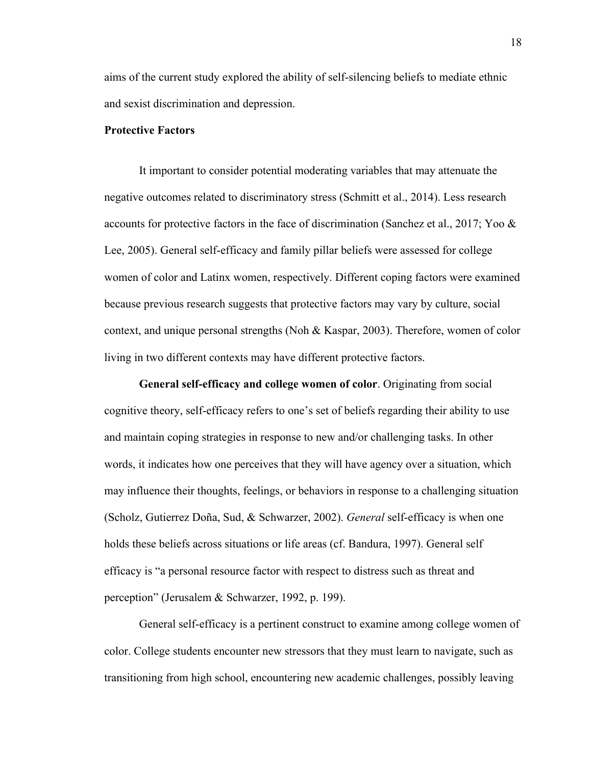aims of the current study explored the ability of self-silencing beliefs to mediate ethnic and sexist discrimination and depression.

### **Protective Factors**

It important to consider potential moderating variables that may attenuate the negative outcomes related to discriminatory stress (Schmitt et al., 2014). Less research accounts for protective factors in the face of discrimination (Sanchez et al., 2017; Yoo & Lee, 2005). General self-efficacy and family pillar beliefs were assessed for college women of color and Latinx women, respectively. Different coping factors were examined because previous research suggests that protective factors may vary by culture, social context, and unique personal strengths (Noh & Kaspar, 2003). Therefore, women of color living in two different contexts may have different protective factors.

**General self-efficacy and college women of color**. Originating from social cognitive theory, self-efficacy refers to one's set of beliefs regarding their ability to use and maintain coping strategies in response to new and/or challenging tasks. In other words, it indicates how one perceives that they will have agency over a situation, which may influence their thoughts, feelings, or behaviors in response to a challenging situation (Scholz, Gutierrez Doña, Sud, & Schwarzer, 2002). *General* self-efficacy is when one holds these beliefs across situations or life areas (cf. Bandura, 1997). General self efficacy is "a personal resource factor with respect to distress such as threat and perception" (Jerusalem & Schwarzer, 1992, p. 199).

General self-efficacy is a pertinent construct to examine among college women of color. College students encounter new stressors that they must learn to navigate, such as transitioning from high school, encountering new academic challenges, possibly leaving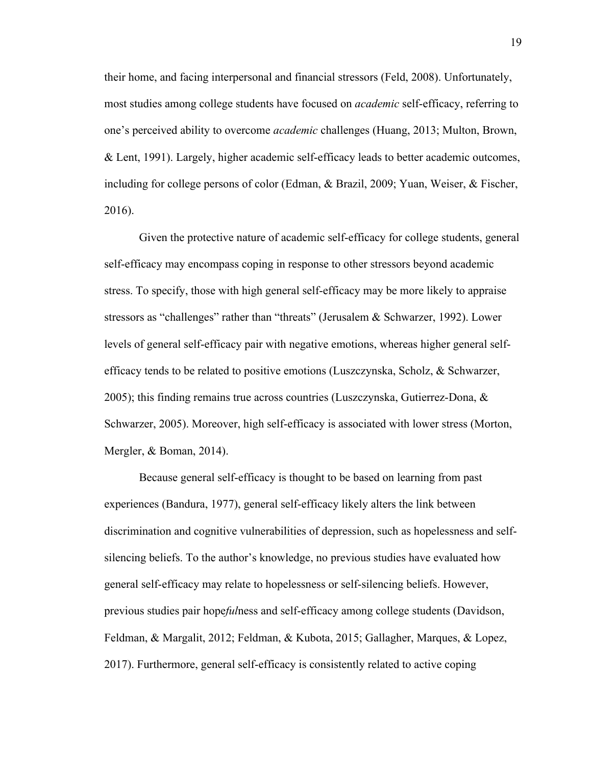their home, and facing interpersonal and financial stressors (Feld, 2008). Unfortunately, most studies among college students have focused on *academic* self-efficacy, referring to one's perceived ability to overcome *academic* challenges (Huang, 2013; Multon, Brown, & Lent, 1991). Largely, higher academic self-efficacy leads to better academic outcomes, including for college persons of color (Edman, & Brazil, 2009; Yuan, Weiser, & Fischer, 2016).

Given the protective nature of academic self-efficacy for college students, general self-efficacy may encompass coping in response to other stressors beyond academic stress. To specify, those with high general self-efficacy may be more likely to appraise stressors as "challenges" rather than "threats" (Jerusalem & Schwarzer, 1992). Lower levels of general self-efficacy pair with negative emotions, whereas higher general selfefficacy tends to be related to positive emotions (Luszczynska, Scholz, & Schwarzer, 2005); this finding remains true across countries (Luszczynska, Gutierrez-Dona, & Schwarzer, 2005). Moreover, high self-efficacy is associated with lower stress (Morton, Mergler, & Boman, 2014).

Because general self-efficacy is thought to be based on learning from past experiences (Bandura, 1977), general self-efficacy likely alters the link between discrimination and cognitive vulnerabilities of depression, such as hopelessness and selfsilencing beliefs. To the author's knowledge, no previous studies have evaluated how general self-efficacy may relate to hopelessness or self-silencing beliefs. However, previous studies pair hope*ful*ness and self-efficacy among college students (Davidson, Feldman, & Margalit, 2012; Feldman, & Kubota, 2015; Gallagher, Marques, & Lopez, 2017). Furthermore, general self-efficacy is consistently related to active coping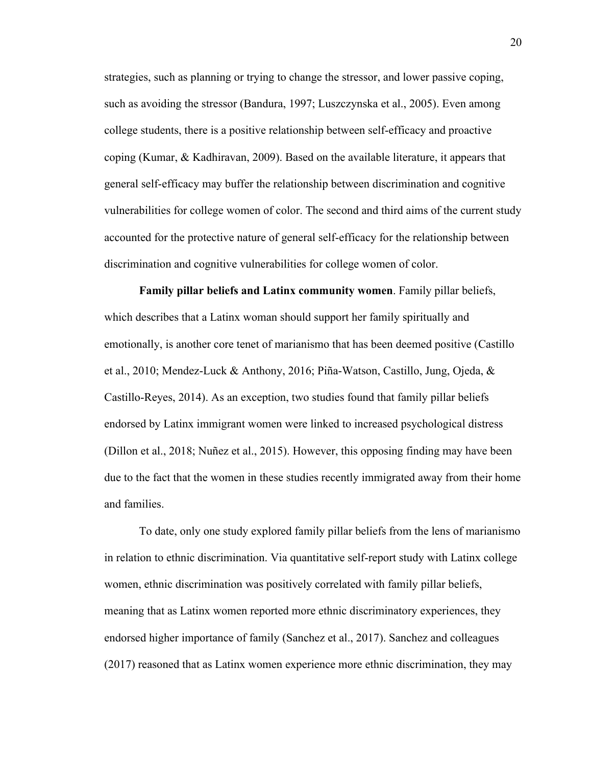strategies, such as planning or trying to change the stressor, and lower passive coping, such as avoiding the stressor (Bandura, 1997; Luszczynska et al., 2005). Even among college students, there is a positive relationship between self-efficacy and proactive coping (Kumar, & Kadhiravan, 2009). Based on the available literature, it appears that general self-efficacy may buffer the relationship between discrimination and cognitive vulnerabilities for college women of color. The second and third aims of the current study accounted for the protective nature of general self-efficacy for the relationship between discrimination and cognitive vulnerabilities for college women of color.

**Family pillar beliefs and Latinx community women**. Family pillar beliefs, which describes that a Latinx woman should support her family spiritually and emotionally, is another core tenet of marianismo that has been deemed positive (Castillo et al., 2010; Mendez-Luck & Anthony, 2016; Piña-Watson, Castillo, Jung, Ojeda, & Castillo-Reyes, 2014). As an exception, two studies found that family pillar beliefs endorsed by Latinx immigrant women were linked to increased psychological distress (Dillon et al., 2018; Nuñez et al., 2015). However, this opposing finding may have been due to the fact that the women in these studies recently immigrated away from their home and families.

To date, only one study explored family pillar beliefs from the lens of marianismo in relation to ethnic discrimination. Via quantitative self-report study with Latinx college women, ethnic discrimination was positively correlated with family pillar beliefs, meaning that as Latinx women reported more ethnic discriminatory experiences, they endorsed higher importance of family (Sanchez et al., 2017). Sanchez and colleagues (2017) reasoned that as Latinx women experience more ethnic discrimination, they may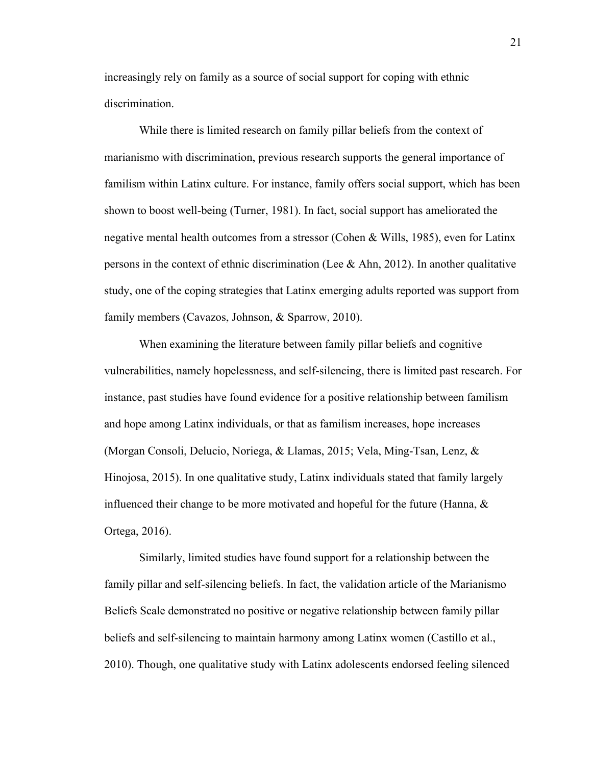increasingly rely on family as a source of social support for coping with ethnic discrimination.

While there is limited research on family pillar beliefs from the context of marianismo with discrimination, previous research supports the general importance of familism within Latinx culture. For instance, family offers social support, which has been shown to boost well-being (Turner, 1981). In fact, social support has ameliorated the negative mental health outcomes from a stressor (Cohen & Wills, 1985), even for Latinx persons in the context of ethnic discrimination (Lee  $\&$  Ahn, 2012). In another qualitative study, one of the coping strategies that Latinx emerging adults reported was support from family members (Cavazos, Johnson, & Sparrow, 2010).

When examining the literature between family pillar beliefs and cognitive vulnerabilities, namely hopelessness, and self-silencing, there is limited past research. For instance, past studies have found evidence for a positive relationship between familism and hope among Latinx individuals, or that as familism increases, hope increases (Morgan Consoli, Delucio, Noriega, & Llamas, 2015; Vela, Ming-Tsan, Lenz, & Hinojosa, 2015). In one qualitative study, Latinx individuals stated that family largely influenced their change to be more motivated and hopeful for the future (Hanna,  $\&$ Ortega, 2016).

Similarly, limited studies have found support for a relationship between the family pillar and self-silencing beliefs. In fact, the validation article of the Marianismo Beliefs Scale demonstrated no positive or negative relationship between family pillar beliefs and self-silencing to maintain harmony among Latinx women (Castillo et al., 2010). Though, one qualitative study with Latinx adolescents endorsed feeling silenced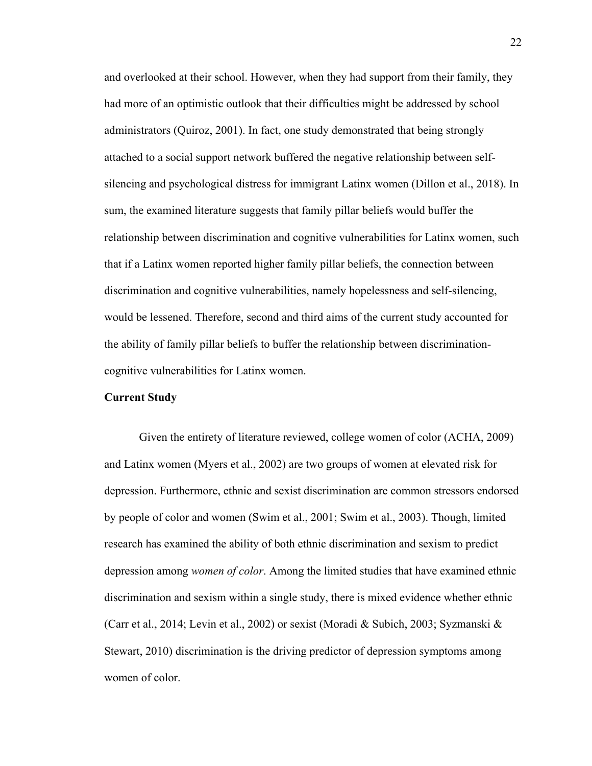and overlooked at their school. However, when they had support from their family, they had more of an optimistic outlook that their difficulties might be addressed by school administrators (Quiroz, 2001). In fact, one study demonstrated that being strongly attached to a social support network buffered the negative relationship between selfsilencing and psychological distress for immigrant Latinx women (Dillon et al., 2018). In sum, the examined literature suggests that family pillar beliefs would buffer the relationship between discrimination and cognitive vulnerabilities for Latinx women, such that if a Latinx women reported higher family pillar beliefs, the connection between discrimination and cognitive vulnerabilities, namely hopelessness and self-silencing, would be lessened. Therefore, second and third aims of the current study accounted for the ability of family pillar beliefs to buffer the relationship between discriminationcognitive vulnerabilities for Latinx women.

### **Current Study**

Given the entirety of literature reviewed, college women of color (ACHA, 2009) and Latinx women (Myers et al., 2002) are two groups of women at elevated risk for depression. Furthermore, ethnic and sexist discrimination are common stressors endorsed by people of color and women (Swim et al., 2001; Swim et al., 2003). Though, limited research has examined the ability of both ethnic discrimination and sexism to predict depression among *women of color*. Among the limited studies that have examined ethnic discrimination and sexism within a single study, there is mixed evidence whether ethnic (Carr et al., 2014; Levin et al., 2002) or sexist (Moradi & Subich, 2003; Syzmanski & Stewart, 2010) discrimination is the driving predictor of depression symptoms among women of color.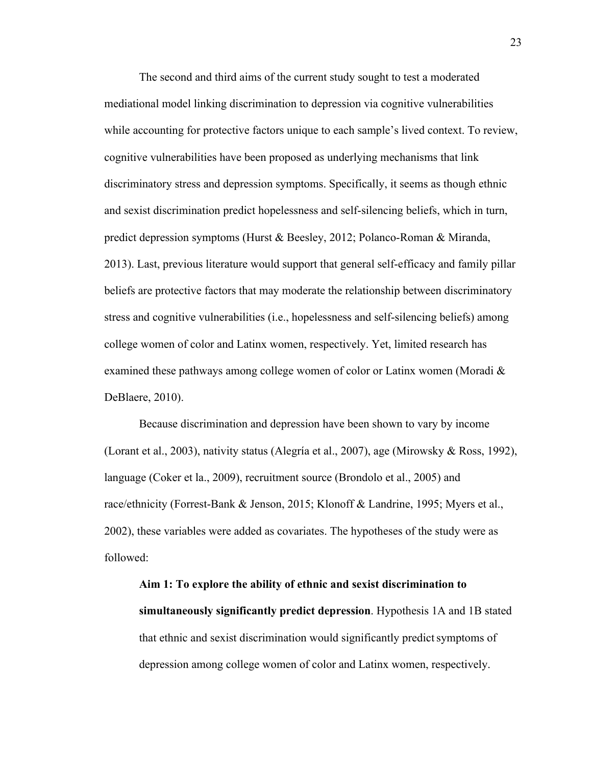The second and third aims of the current study sought to test a moderated mediational model linking discrimination to depression via cognitive vulnerabilities while accounting for protective factors unique to each sample's lived context. To review, cognitive vulnerabilities have been proposed as underlying mechanisms that link discriminatory stress and depression symptoms. Specifically, it seems as though ethnic and sexist discrimination predict hopelessness and self-silencing beliefs, which in turn, predict depression symptoms (Hurst & Beesley, 2012; Polanco-Roman & Miranda, 2013). Last, previous literature would support that general self-efficacy and family pillar beliefs are protective factors that may moderate the relationship between discriminatory stress and cognitive vulnerabilities (i.e., hopelessness and self-silencing beliefs) among college women of color and Latinx women, respectively. Yet, limited research has examined these pathways among college women of color or Latinx women (Moradi  $\&$ DeBlaere, 2010).

Because discrimination and depression have been shown to vary by income (Lorant et al., 2003), nativity status (Alegría et al., 2007), age (Mirowsky & Ross, 1992), language (Coker et la., 2009), recruitment source (Brondolo et al., 2005) and race/ethnicity (Forrest-Bank & Jenson, 2015; Klonoff & Landrine, 1995; Myers et al., 2002), these variables were added as covariates. The hypotheses of the study were as followed:

**Aim 1: To explore the ability of ethnic and sexist discrimination to simultaneously significantly predict depression**. Hypothesis 1A and 1B stated that ethnic and sexist discrimination would significantly predict symptoms of depression among college women of color and Latinx women, respectively.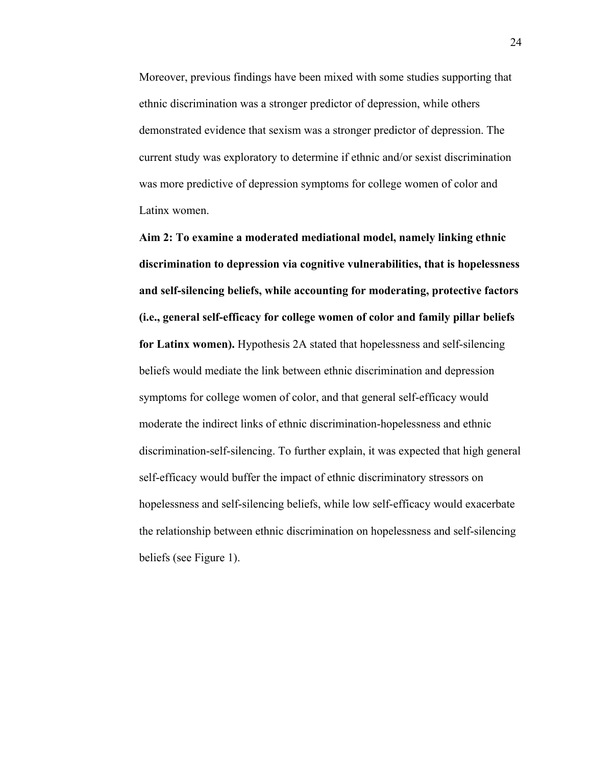Moreover, previous findings have been mixed with some studies supporting that ethnic discrimination was a stronger predictor of depression, while others demonstrated evidence that sexism was a stronger predictor of depression. The current study was exploratory to determine if ethnic and/or sexist discrimination was more predictive of depression symptoms for college women of color and Latinx women.

**Aim 2: To examine a moderated mediational model, namely linking ethnic discrimination to depression via cognitive vulnerabilities, that is hopelessness and self-silencing beliefs, while accounting for moderating, protective factors (i.e., general self-efficacy for college women of color and family pillar beliefs for Latinx women).** Hypothesis 2A stated that hopelessness and self-silencing beliefs would mediate the link between ethnic discrimination and depression symptoms for college women of color, and that general self-efficacy would moderate the indirect links of ethnic discrimination-hopelessness and ethnic discrimination-self-silencing. To further explain, it was expected that high general self-efficacy would buffer the impact of ethnic discriminatory stressors on hopelessness and self-silencing beliefs, while low self-efficacy would exacerbate the relationship between ethnic discrimination on hopelessness and self-silencing beliefs (see Figure 1).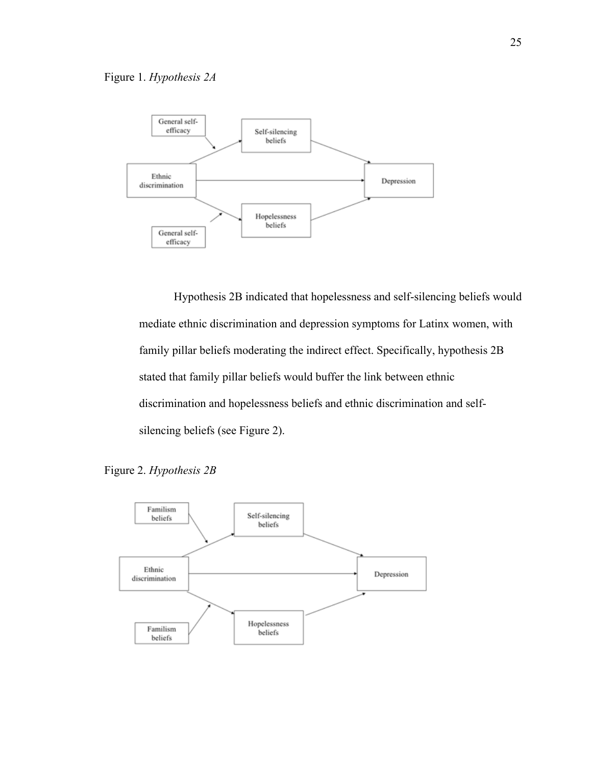

Hypothesis 2B indicated that hopelessness and self-silencing beliefs would mediate ethnic discrimination and depression symptoms for Latinx women, with family pillar beliefs moderating the indirect effect. Specifically, hypothesis 2B stated that family pillar beliefs would buffer the link between ethnic discrimination and hopelessness beliefs and ethnic discrimination and selfsilencing beliefs (see Figure 2).



Figure 2. *Hypothesis 2B*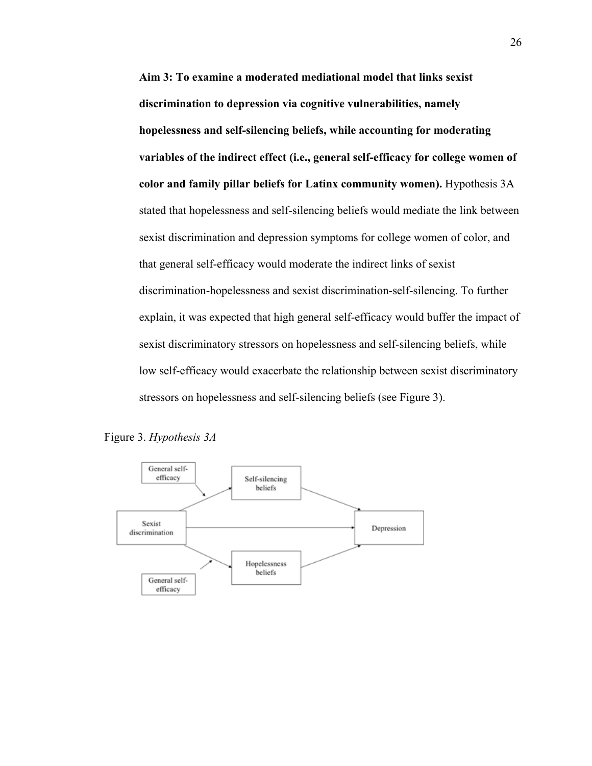**Aim 3: To examine a moderated mediational model that links sexist discrimination to depression via cognitive vulnerabilities, namely hopelessness and self-silencing beliefs, while accounting for moderating variables of the indirect effect (i.e., general self-efficacy for college women of color and family pillar beliefs for Latinx community women).** Hypothesis 3A stated that hopelessness and self-silencing beliefs would mediate the link between sexist discrimination and depression symptoms for college women of color, and that general self-efficacy would moderate the indirect links of sexist discrimination-hopelessness and sexist discrimination-self-silencing. To further explain, it was expected that high general self-efficacy would buffer the impact of sexist discriminatory stressors on hopelessness and self-silencing beliefs, while low self-efficacy would exacerbate the relationship between sexist discriminatory stressors on hopelessness and self-silencing beliefs (see Figure 3).



Figure 3. *Hypothesis 3A*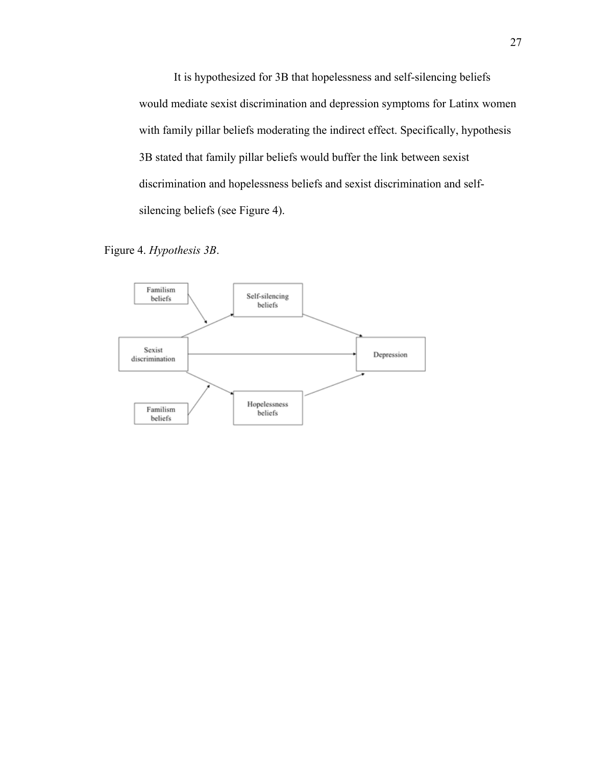It is hypothesized for 3B that hopelessness and self-silencing beliefs would mediate sexist discrimination and depression symptoms for Latinx women with family pillar beliefs moderating the indirect effect. Specifically, hypothesis 3B stated that family pillar beliefs would buffer the link between sexist discrimination and hopelessness beliefs and sexist discrimination and selfsilencing beliefs (see Figure 4).



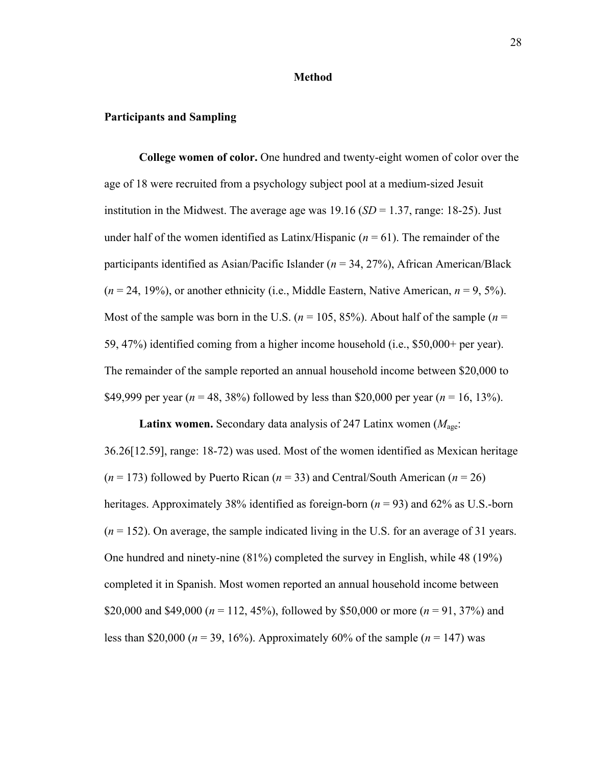#### **Method**

### **Participants and Sampling**

**College women of color.** One hundred and twenty-eight women of color over the age of 18 were recruited from a psychology subject pool at a medium-sized Jesuit institution in the Midwest. The average age was  $19.16$  (*SD* = 1.37, range: 18-25). Just under half of the women identified as Latinx/Hispanic  $(n = 61)$ . The remainder of the participants identified as Asian/Pacific Islander (*n* = 34, 27%), African American/Black  $(n = 24, 19\%)$ , or another ethnicity (i.e., Middle Eastern, Native American,  $n = 9, 5\%$ ). Most of the sample was born in the U.S.  $(n = 105, 85\%)$ . About half of the sample  $(n = 105, 85\%)$ 59, 47%) identified coming from a higher income household (i.e., \$50,000+ per year). The remainder of the sample reported an annual household income between \$20,000 to \$49,999 per year (*n* = 48, 38%) followed by less than \$20,000 per year (*n* = 16, 13%).

Latinx women. Secondary data analysis of 247 Latinx women ( $M_{\text{aee}}$ ) 36.26[12.59], range: 18-72) was used. Most of the women identified as Mexican heritage (*n* = 173) followed by Puerto Rican (*n* = 33) and Central/South American (*n* = 26) heritages. Approximately 38% identified as foreign-born (*n* = 93) and 62% as U.S.-born (*n* = 152). On average, the sample indicated living in the U.S. for an average of 31 years. One hundred and ninety-nine (81%) completed the survey in English, while 48 (19%) completed it in Spanish. Most women reported an annual household income between \$20,000 and \$49,000 (*n* = 112, 45%), followed by \$50,000 or more (*n* = 91, 37%) and less than \$20,000 ( $n = 39, 16\%$ ). Approximately 60% of the sample ( $n = 147$ ) was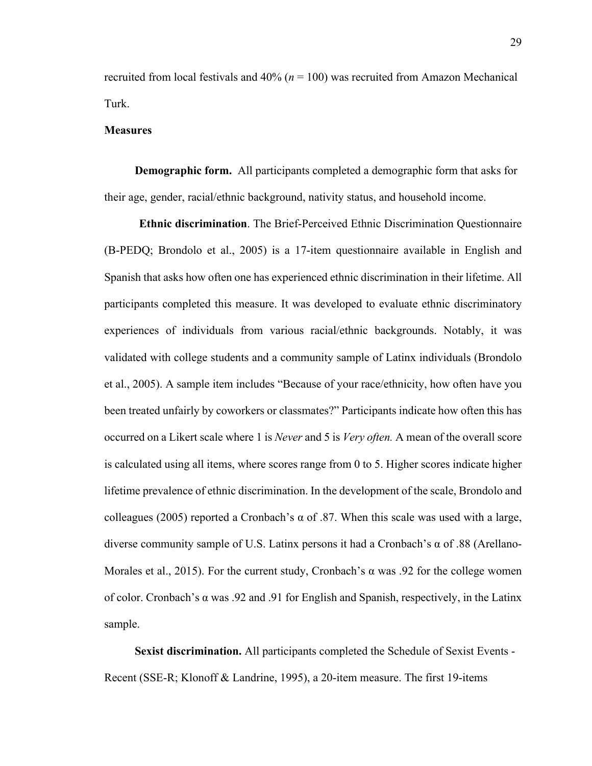recruited from local festivals and 40% (*n* = 100) was recruited from Amazon Mechanical Turk.

#### **Measures**

**Demographic form.** All participants completed a demographic form that asks for their age, gender, racial/ethnic background, nativity status, and household income.

**Ethnic discrimination**. The Brief-Perceived Ethnic Discrimination Questionnaire (B-PEDQ; Brondolo et al., 2005) is a 17-item questionnaire available in English and Spanish that asks how often one has experienced ethnic discrimination in their lifetime. All participants completed this measure. It was developed to evaluate ethnic discriminatory experiences of individuals from various racial/ethnic backgrounds. Notably, it was validated with college students and a community sample of Latinx individuals (Brondolo et al., 2005). A sample item includes "Because of your race/ethnicity, how often have you been treated unfairly by coworkers or classmates?" Participants indicate how often this has occurred on a Likert scale where 1 is *Never* and 5 is *Very often.* A mean of the overall score is calculated using all items, where scores range from 0 to 5. Higher scores indicate higher lifetime prevalence of ethnic discrimination. In the development of the scale, Brondolo and colleagues (2005) reported a Cronbach's α of .87. When this scale was used with a large, diverse community sample of U.S. Latinx persons it had a Cronbach's α of .88 (Arellano-Morales et al., 2015). For the current study, Cronbach's  $\alpha$  was .92 for the college women of color. Cronbach's  $\alpha$  was .92 and .91 for English and Spanish, respectively, in the Latinx sample.

**Sexist discrimination.** All participants completed the Schedule of Sexist Events - Recent (SSE-R; Klonoff & Landrine, 1995), a 20-item measure. The first 19-items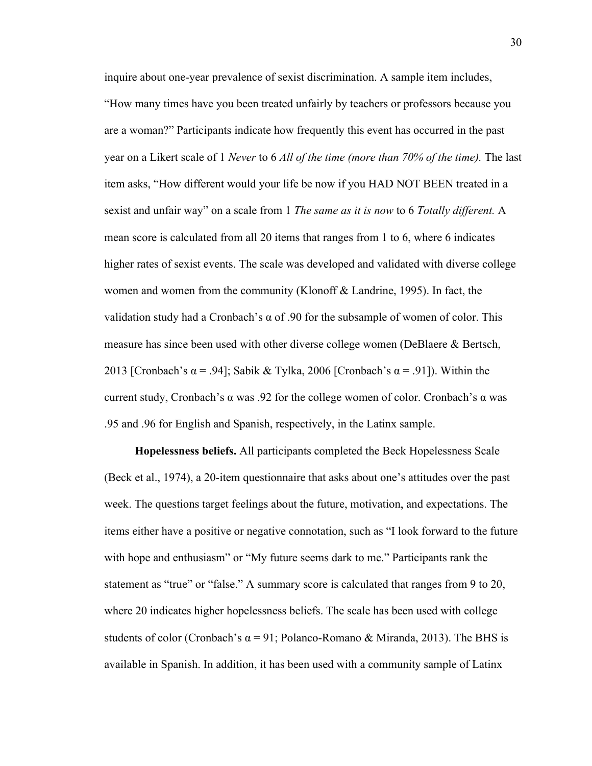inquire about one-year prevalence of sexist discrimination. A sample item includes, "How many times have you been treated unfairly by teachers or professors because you are a woman?" Participants indicate how frequently this event has occurred in the past year on a Likert scale of 1 *Never* to 6 *All of the time (more than 70% of the time).* The last item asks, "How different would your life be now if you HAD NOT BEEN treated in a sexist and unfair way" on a scale from 1 *The same as it is now* to 6 *Totally different.* A mean score is calculated from all 20 items that ranges from 1 to 6, where 6 indicates higher rates of sexist events. The scale was developed and validated with diverse college women and women from the community (Klonoff & Landrine, 1995). In fact, the validation study had a Cronbach's α of .90 for the subsample of women of color. This measure has since been used with other diverse college women (DeBlaere & Bertsch, 2013 [Cronbach's  $\alpha$  = .94]; Sabik & Tylka, 2006 [Cronbach's  $\alpha$  = .91]). Within the current study, Cronbach's α was .92 for the college women of color. Cronbach's α was .95 and .96 for English and Spanish, respectively, in the Latinx sample.

**Hopelessness beliefs.** All participants completed the Beck Hopelessness Scale (Beck et al., 1974), a 20-item questionnaire that asks about one's attitudes over the past week. The questions target feelings about the future, motivation, and expectations. The items either have a positive or negative connotation, such as "I look forward to the future with hope and enthusiasm" or "My future seems dark to me." Participants rank the statement as "true" or "false." A summary score is calculated that ranges from 9 to 20, where 20 indicates higher hopelessness beliefs. The scale has been used with college students of color (Cronbach's  $\alpha = 91$ ; Polanco-Romano & Miranda, 2013). The BHS is available in Spanish. In addition, it has been used with a community sample of Latinx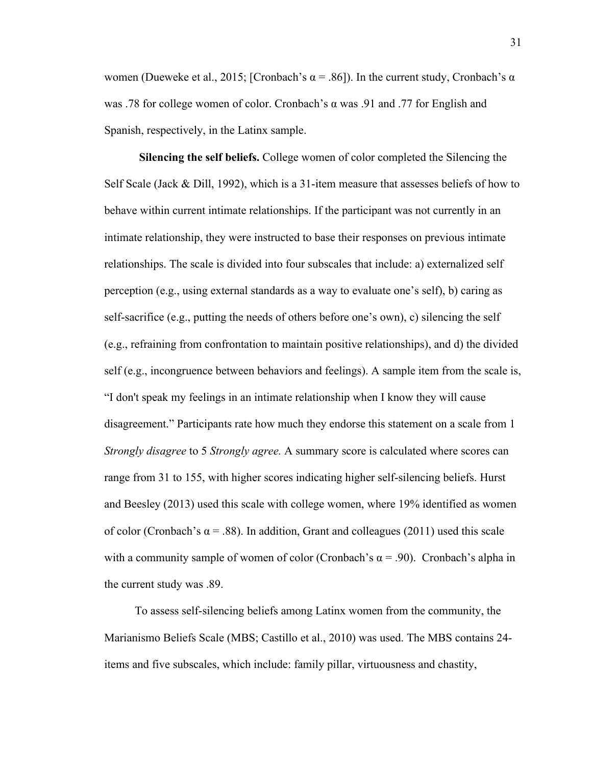women (Dueweke et al., 2015; [Cronbach's α = .86]). In the current study, Cronbach's α was .78 for college women of color. Cronbach's α was .91 and .77 for English and Spanish, respectively, in the Latinx sample.

**Silencing the self beliefs.** College women of color completed the Silencing the Self Scale (Jack  $\&$  Dill, 1992), which is a 31-item measure that assesses beliefs of how to behave within current intimate relationships. If the participant was not currently in an intimate relationship, they were instructed to base their responses on previous intimate relationships. The scale is divided into four subscales that include: a) externalized self perception (e.g., using external standards as a way to evaluate one's self), b) caring as self-sacrifice (e.g., putting the needs of others before one's own), c) silencing the self (e.g., refraining from confrontation to maintain positive relationships), and d) the divided self (e.g., incongruence between behaviors and feelings). A sample item from the scale is, "I don't speak my feelings in an intimate relationship when I know they will cause disagreement." Participants rate how much they endorse this statement on a scale from 1 *Strongly disagree* to 5 *Strongly agree.* A summary score is calculated where scores can range from 31 to 155, with higher scores indicating higher self-silencing beliefs. Hurst and Beesley (2013) used this scale with college women, where 19% identified as women of color (Cronbach's  $\alpha$  = .88). In addition, Grant and colleagues (2011) used this scale with a community sample of women of color (Cronbach's  $\alpha$  = .90). Cronbach's alpha in the current study was .89.

To assess self-silencing beliefs among Latinx women from the community, the Marianismo Beliefs Scale (MBS; Castillo et al., 2010) was used. The MBS contains 24 items and five subscales, which include: family pillar, virtuousness and chastity,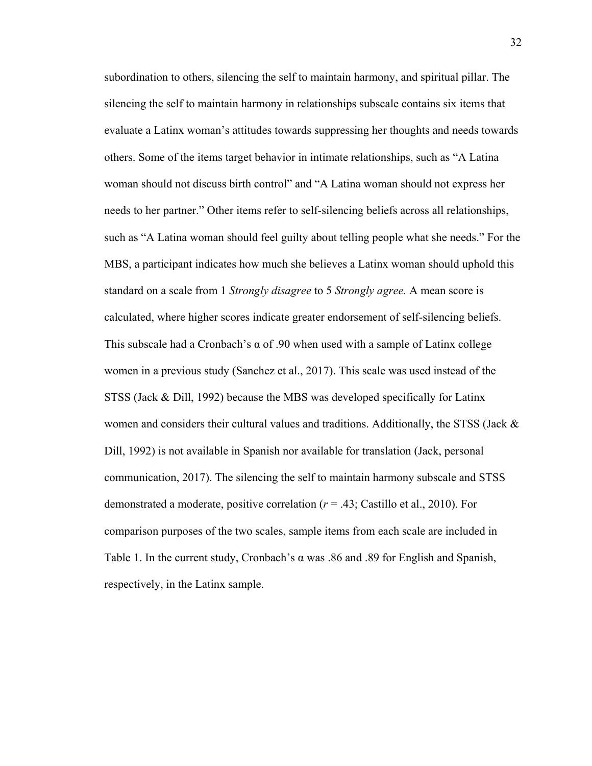subordination to others, silencing the self to maintain harmony, and spiritual pillar. The silencing the self to maintain harmony in relationships subscale contains six items that evaluate a Latinx woman's attitudes towards suppressing her thoughts and needs towards others. Some of the items target behavior in intimate relationships, such as "A Latina woman should not discuss birth control" and "A Latina woman should not express her needs to her partner." Other items refer to self-silencing beliefs across all relationships, such as "A Latina woman should feel guilty about telling people what she needs." For the MBS, a participant indicates how much she believes a Latinx woman should uphold this standard on a scale from 1 *Strongly disagree* to 5 *Strongly agree.* A mean score is calculated, where higher scores indicate greater endorsement of self-silencing beliefs. This subscale had a Cronbach's  $\alpha$  of .90 when used with a sample of Latinx college women in a previous study (Sanchez et al., 2017). This scale was used instead of the STSS (Jack & Dill, 1992) because the MBS was developed specifically for Latinx women and considers their cultural values and traditions. Additionally, the STSS (Jack  $\&$ Dill, 1992) is not available in Spanish nor available for translation (Jack, personal communication, 2017). The silencing the self to maintain harmony subscale and STSS demonstrated a moderate, positive correlation (*r* = .43; Castillo et al., 2010). For comparison purposes of the two scales, sample items from each scale are included in Table 1. In the current study, Cronbach's α was .86 and .89 for English and Spanish, respectively, in the Latinx sample.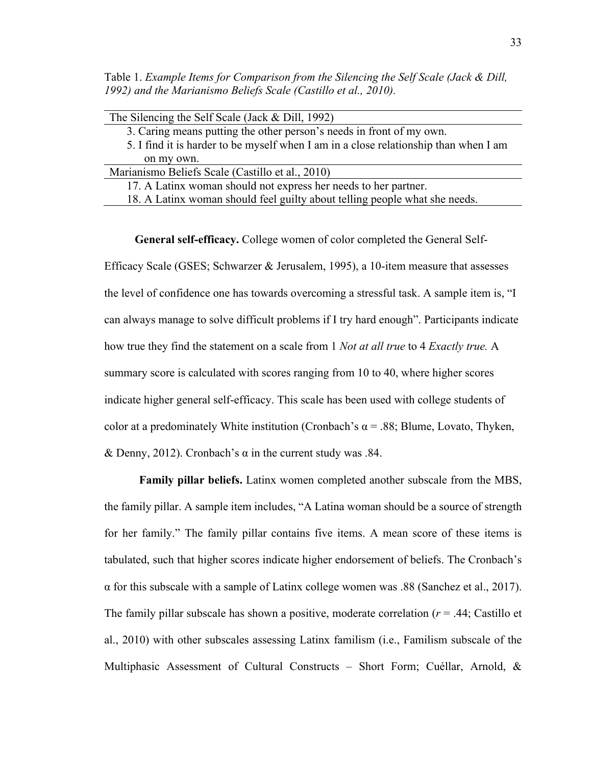Table 1. *Example Items for Comparison from the Silencing the Self Scale (Jack & Dill, 1992) and the Marianismo Beliefs Scale (Castillo et al., 2010).*

| The Silencing the Self Scale (Jack $& Dill$ , 1992)                                  |
|--------------------------------------------------------------------------------------|
| 3. Caring means putting the other person's needs in front of my own.                 |
| 5. I find it is harder to be myself when I am in a close relationship than when I am |
| on my own.                                                                           |
| Marianismo Beliefs Scale (Castillo et al., 2010)                                     |
| 17. A Latinx woman should not express her needs to her partner.                      |
| 18. A Latinx woman should feel guilty about telling people what she needs.           |

**General self-efficacy.** College women of color completed the General Self-Efficacy Scale (GSES; Schwarzer & Jerusalem, 1995), a 10-item measure that assesses the level of confidence one has towards overcoming a stressful task. A sample item is, "I can always manage to solve difficult problems if I try hard enough". Participants indicate how true they find the statement on a scale from 1 *Not at all true* to 4 *Exactly true.* A summary score is calculated with scores ranging from 10 to 40, where higher scores indicate higher general self-efficacy. This scale has been used with college students of color at a predominately White institution (Cronbach's  $\alpha$  = .88; Blume, Lovato, Thyken, & Denny, 2012). Cronbach's  $\alpha$  in the current study was .84.

**Family pillar beliefs.** Latinx women completed another subscale from the MBS, the family pillar. A sample item includes, "A Latina woman should be a source of strength for her family." The family pillar contains five items. A mean score of these items is tabulated, such that higher scores indicate higher endorsement of beliefs. The Cronbach's  $\alpha$  for this subscale with a sample of Latinx college women was .88 (Sanchez et al., 2017). The family pillar subscale has shown a positive, moderate correlation  $(r = .44;$  Castillo et al., 2010) with other subscales assessing Latinx familism (i.e., Familism subscale of the Multiphasic Assessment of Cultural Constructs – Short Form; Cuéllar, Arnold, &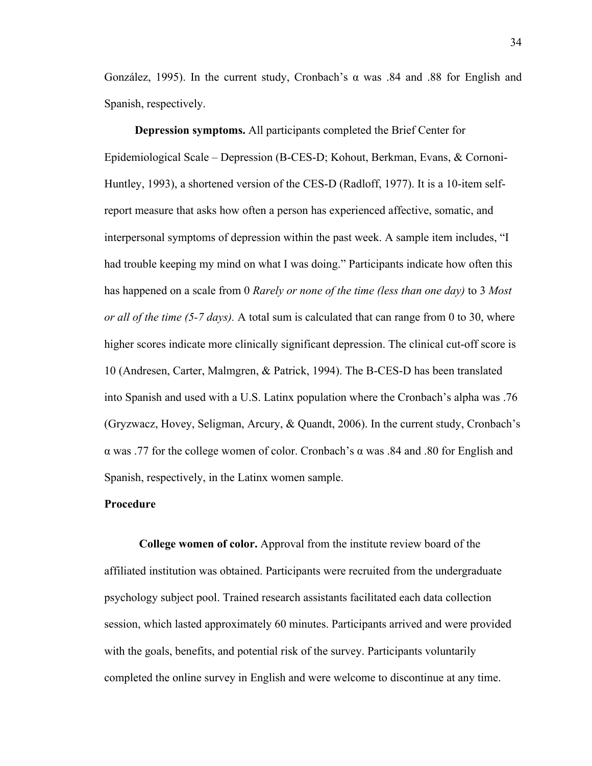González, 1995). In the current study, Cronbach's α was .84 and .88 for English and Spanish, respectively.

**Depression symptoms.** All participants completed the Brief Center for Epidemiological Scale – Depression (B-CES-D; Kohout, Berkman, Evans, & Cornoni-Huntley, 1993), a shortened version of the CES-D (Radloff, 1977). It is a 10-item selfreport measure that asks how often a person has experienced affective, somatic, and interpersonal symptoms of depression within the past week. A sample item includes, "I had trouble keeping my mind on what I was doing." Participants indicate how often this has happened on a scale from 0 *Rarely or none of the time (less than one day)* to 3 *Most or all of the time (5-7 days).* A total sum is calculated that can range from 0 to 30, where higher scores indicate more clinically significant depression. The clinical cut-off score is 10 (Andresen, Carter, Malmgren, & Patrick, 1994). The B-CES-D has been translated into Spanish and used with a U.S. Latinx population where the Cronbach's alpha was .76 (Gryzwacz, Hovey, Seligman, Arcury, & Quandt, 2006). In the current study, Cronbach's α was .77 for the college women of color. Cronbach's α was .84 and .80 for English and Spanish, respectively, in the Latinx women sample.

### **Procedure**

**College women of color.** Approval from the institute review board of the affiliated institution was obtained. Participants were recruited from the undergraduate psychology subject pool. Trained research assistants facilitated each data collection session, which lasted approximately 60 minutes. Participants arrived and were provided with the goals, benefits, and potential risk of the survey. Participants voluntarily completed the online survey in English and were welcome to discontinue at any time.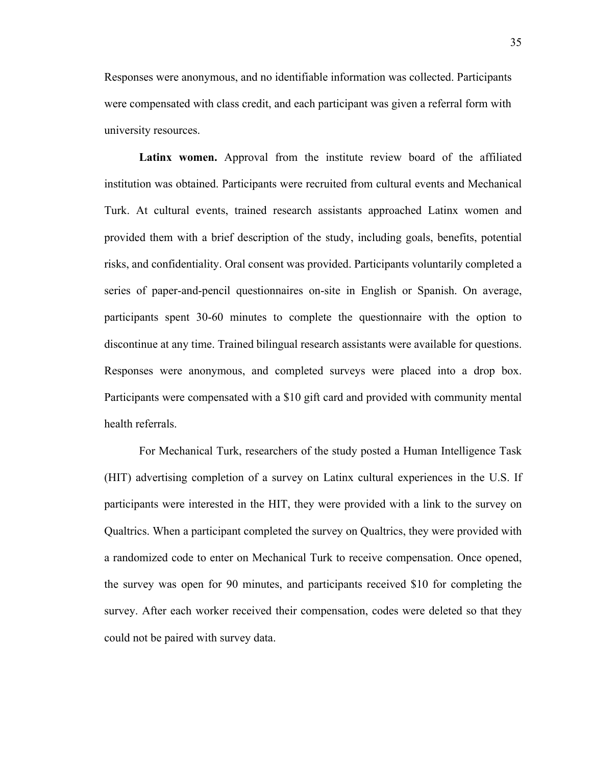Responses were anonymous, and no identifiable information was collected. Participants were compensated with class credit, and each participant was given a referral form with university resources.

**Latinx women.** Approval from the institute review board of the affiliated institution was obtained. Participants were recruited from cultural events and Mechanical Turk. At cultural events, trained research assistants approached Latinx women and provided them with a brief description of the study, including goals, benefits, potential risks, and confidentiality. Oral consent was provided. Participants voluntarily completed a series of paper-and-pencil questionnaires on-site in English or Spanish. On average, participants spent 30-60 minutes to complete the questionnaire with the option to discontinue at any time. Trained bilingual research assistants were available for questions. Responses were anonymous, and completed surveys were placed into a drop box. Participants were compensated with a \$10 gift card and provided with community mental health referrals.

For Mechanical Turk, researchers of the study posted a Human Intelligence Task (HIT) advertising completion of a survey on Latinx cultural experiences in the U.S. If participants were interested in the HIT, they were provided with a link to the survey on Qualtrics. When a participant completed the survey on Qualtrics, they were provided with a randomized code to enter on Mechanical Turk to receive compensation. Once opened, the survey was open for 90 minutes, and participants received \$10 for completing the survey. After each worker received their compensation, codes were deleted so that they could not be paired with survey data.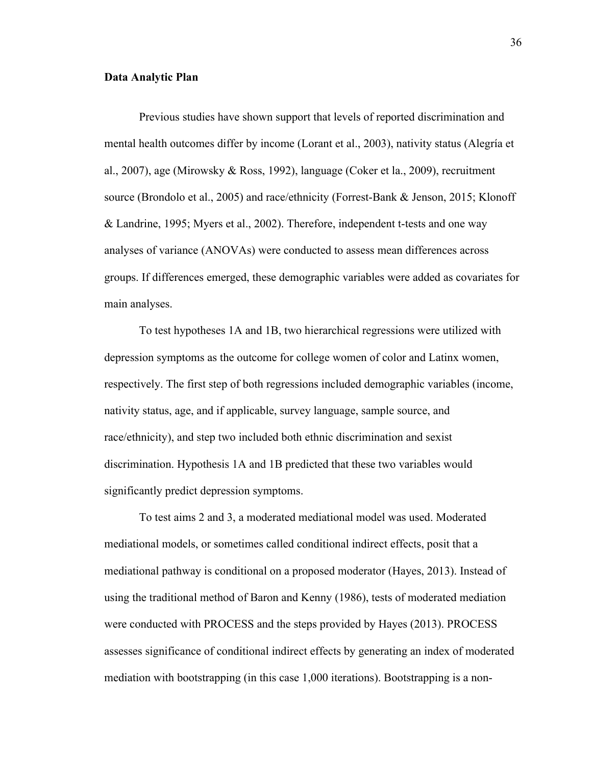#### **Data Analytic Plan**

Previous studies have shown support that levels of reported discrimination and mental health outcomes differ by income (Lorant et al., 2003), nativity status (Alegría et al., 2007), age (Mirowsky & Ross, 1992), language (Coker et la., 2009), recruitment source (Brondolo et al., 2005) and race/ethnicity (Forrest-Bank & Jenson, 2015; Klonoff & Landrine, 1995; Myers et al., 2002). Therefore, independent t-tests and one way analyses of variance (ANOVAs) were conducted to assess mean differences across groups. If differences emerged, these demographic variables were added as covariates for main analyses.

To test hypotheses 1A and 1B, two hierarchical regressions were utilized with depression symptoms as the outcome for college women of color and Latinx women, respectively. The first step of both regressions included demographic variables (income, nativity status, age, and if applicable, survey language, sample source, and race/ethnicity), and step two included both ethnic discrimination and sexist discrimination. Hypothesis 1A and 1B predicted that these two variables would significantly predict depression symptoms.

To test aims 2 and 3, a moderated mediational model was used. Moderated mediational models, or sometimes called conditional indirect effects, posit that a mediational pathway is conditional on a proposed moderator (Hayes, 2013). Instead of using the traditional method of Baron and Kenny (1986), tests of moderated mediation were conducted with PROCESS and the steps provided by Hayes (2013). PROCESS assesses significance of conditional indirect effects by generating an index of moderated mediation with bootstrapping (in this case 1,000 iterations). Bootstrapping is a non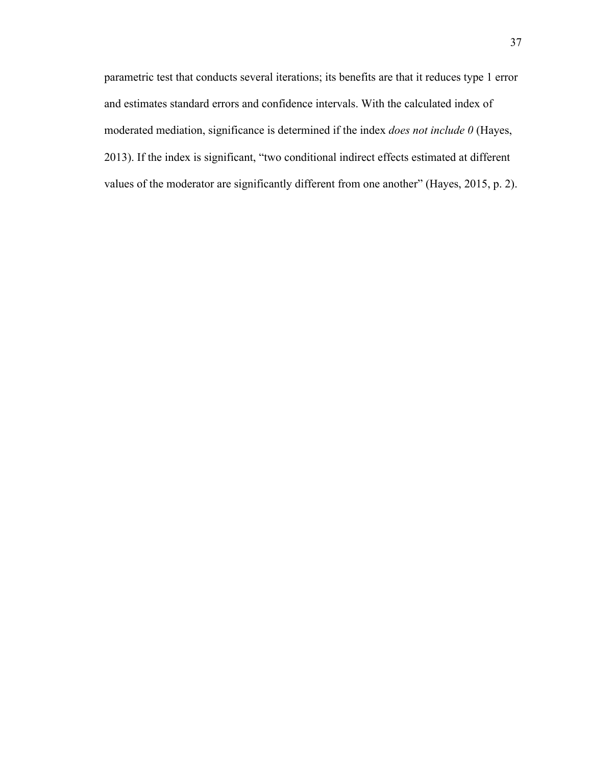parametric test that conducts several iterations; its benefits are that it reduces type 1 error and estimates standard errors and confidence intervals. With the calculated index of moderated mediation, significance is determined if the index *does not include 0* (Hayes, 2013). If the index is significant, "two conditional indirect effects estimated at different values of the moderator are significantly different from one another" (Hayes, 2015, p. 2).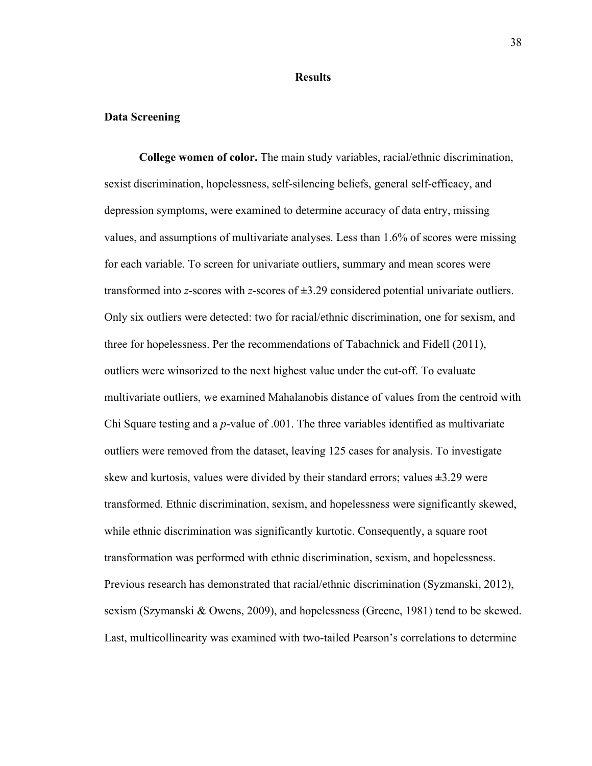#### **Results**

### **Data Screening**

**College women of color.** The main study variables, racial/ethnic discrimination, sexist discrimination, hopelessness, self-silencing beliefs, general self-efficacy, and depression symptoms, were examined to determine accuracy of data entry, missing values, and assumptions of multivariate analyses. Less than 1.6% of scores were missing for each variable. To screen for univariate outliers, summary and mean scores were transformed into *z*-scores with *z*-scores of **±**3.29 considered potential univariate outliers. Only six outliers were detected: two for racial/ethnic discrimination, one for sexism, and three for hopelessness. Per the recommendations of Tabachnick and Fidell (2011), outliers were winsorized to the next highest value under the cut-off. To evaluate multivariate outliers, we examined Mahalanobis distance of values from the centroid with Chi Square testing and a *p*-value of .001. The three variables identified as multivariate outliers were removed from the dataset, leaving 125 cases for analysis. To investigate skew and kurtosis, values were divided by their standard errors; values **±**3.29 were transformed. Ethnic discrimination, sexism, and hopelessness were significantly skewed, while ethnic discrimination was significantly kurtotic. Consequently, a square root transformation was performed with ethnic discrimination, sexism, and hopelessness. Previous research has demonstrated that racial/ethnic discrimination (Syzmanski, 2012), sexism (Szymanski & Owens, 2009), and hopelessness (Greene, 1981) tend to be skewed. Last, multicollinearity was examined with two-tailed Pearson's correlations to determine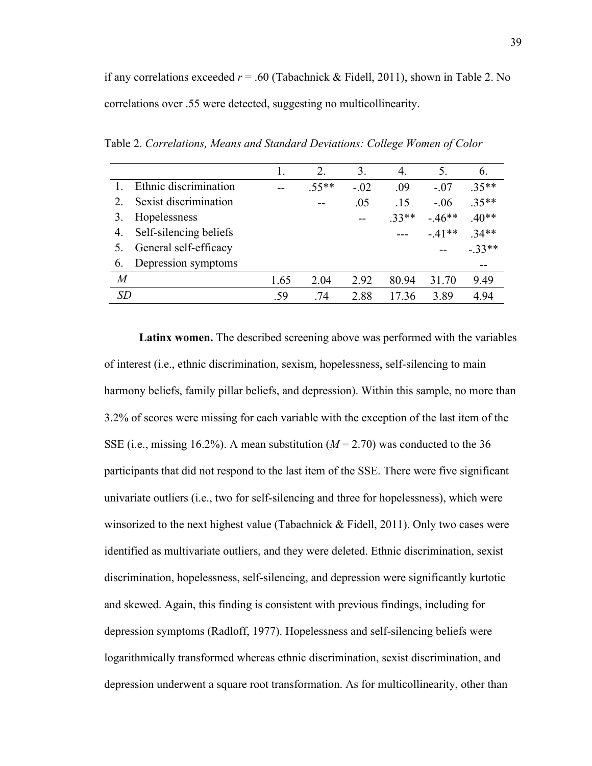if any correlations exceeded *r* = .60 (Tabachnick & Fidell, 2011), shown in Table 2. No correlations over .55 were detected, suggesting no multicollinearity.

Table 2. *Correlations, Means and Standard Deviations: College Women of Color* 

|    |                        |      |         | $\mathfrak{Z}$ | 4.      |         | 6.      |
|----|------------------------|------|---------|----------------|---------|---------|---------|
|    | Ethnic discrimination  |      | $.55**$ | $-.02$         | .09     | $-.07$  | $.35**$ |
|    | Sexist discrimination  |      |         | .05            | .15     | $-.06$  | $.35**$ |
| 3. | Hopelessness           |      |         |                | $.33**$ | $-46**$ | $.40**$ |
| 4. | Self-silencing beliefs |      |         |                |         | $-41**$ | $34**$  |
|    | General self-efficacy  |      |         |                |         |         | $-33**$ |
| 6. | Depression symptoms    |      |         |                |         |         |         |
| M  |                        | 1.65 | 2 04    | 2.92           | 80 94   | 31 70   | 9.49    |
| SD |                        | -59  | .74     | 2.88           | 17.36   | 3.89    | 4 94    |

**Latinx women.** The described screening above was performed with the variables of interest (i.e., ethnic discrimination, sexism, hopelessness, self-silencing to main harmony beliefs, family pillar beliefs, and depression). Within this sample, no more than 3.2% of scores were missing for each variable with the exception of the last item of the SSE (i.e., missing 16.2%). A mean substitution  $(M = 2.70)$  was conducted to the 36 participants that did not respond to the last item of the SSE. There were five significant univariate outliers (i.e., two for self-silencing and three for hopelessness), which were winsorized to the next highest value (Tabachnick  $\&$  Fidell, 2011). Only two cases were identified as multivariate outliers, and they were deleted. Ethnic discrimination, sexist discrimination, hopelessness, self-silencing, and depression were significantly kurtotic and skewed. Again, this finding is consistent with previous findings, including for depression symptoms (Radloff, 1977). Hopelessness and self-silencing beliefs were logarithmically transformed whereas ethnic discrimination, sexist discrimination, and depression underwent a square root transformation. As for multicollinearity, other than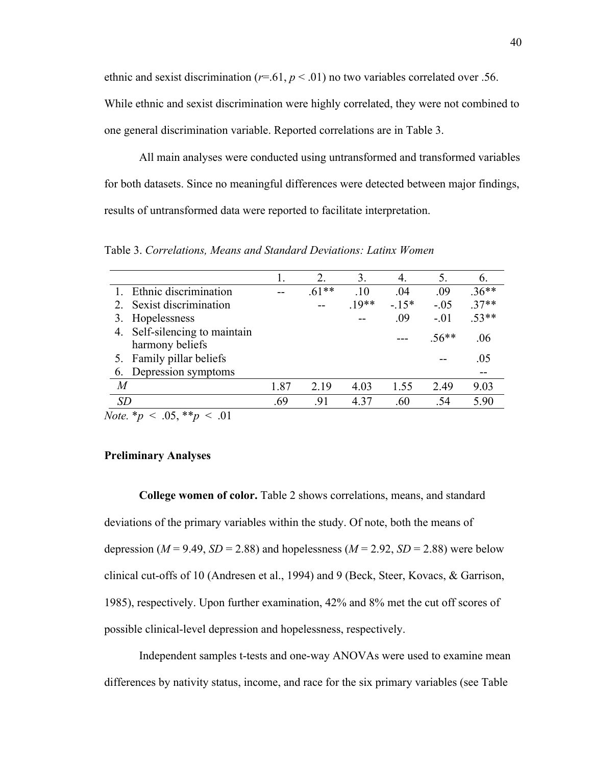ethnic and sexist discrimination ( $r=61$ ,  $p<01$ ) no two variables correlated over .56.

While ethnic and sexist discrimination were highly correlated, they were not combined to one general discrimination variable. Reported correlations are in Table 3.

All main analyses were conducted using untransformed and transformed variables for both datasets. Since no meaningful differences were detected between major findings, results of untransformed data were reported to facilitate interpretation.

Table 3. *Correlations, Means and Standard Deviations: Latinx Women* 

|                               |      | 2.      | 3.      | 4.     | 5.      | $\mathfrak{b}$ . |
|-------------------------------|------|---------|---------|--------|---------|------------------|
| Ethnic discrimination         |      | $.61**$ | .10     | .04    | .09     | $.36**$          |
| 2. Sexist discrimination      |      |         | $.19**$ | $-15*$ | $-.05$  | $37**$           |
| Hopelessness                  |      |         |         | .09    | $-.01$  | $53**$           |
| 4. Self-silencing to maintain |      |         |         |        | $.56**$ | .06              |
| harmony beliefs               |      |         |         |        |         |                  |
| 5. Family pillar beliefs      |      |         |         |        |         | .05              |
| Depression symptoms           |      |         |         |        |         |                  |
| M                             | 1.87 | 2.19    | 4.03    | 1.55   | 2.49    | 9.03             |
| SD                            | .69  | .91     | 4.37    | .60    | .54     | 5.90             |
|                               |      |         |         |        |         |                  |

*Note.*  $* p \lt .05, ** p \lt .01$ 

# **Preliminary Analyses**

**College women of color.** Table 2 shows correlations, means, and standard deviations of the primary variables within the study. Of note, both the means of depression ( $M = 9.49$ ,  $SD = 2.88$ ) and hopelessness ( $M = 2.92$ ,  $SD = 2.88$ ) were below clinical cut-offs of 10 (Andresen et al., 1994) and 9 (Beck, Steer, Kovacs, & Garrison, 1985), respectively. Upon further examination, 42% and 8% met the cut off scores of possible clinical-level depression and hopelessness, respectively.

Independent samples t-tests and one-way ANOVAs were used to examine mean differences by nativity status, income, and race for the six primary variables (see Table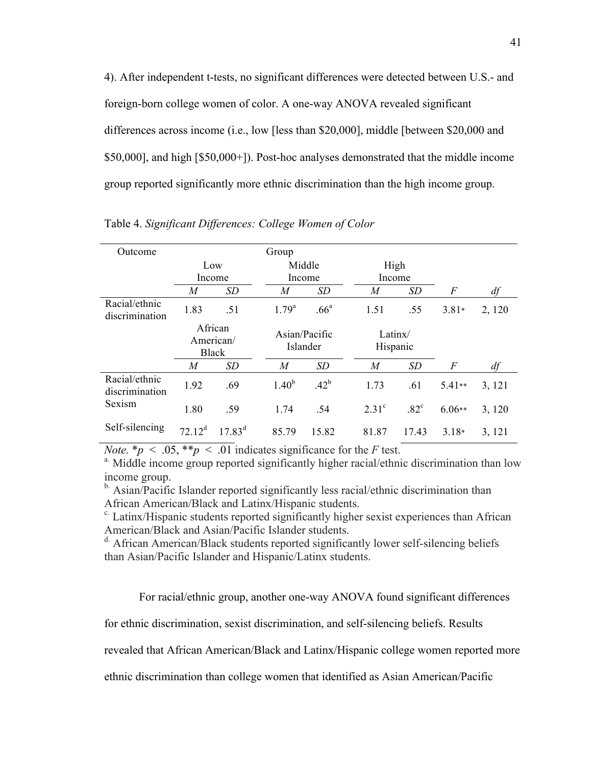4). After independent t-tests, no significant differences were detected between U.S.- and foreign-born college women of color. A one-way ANOVA revealed significant differences across income (i.e., low [less than \$20,000], middle [between \$20,000 and \$50,000], and high [\$50,000+]). Post-hoc analyses demonstrated that the middle income group reported significantly more ethnic discrimination than the high income group.

| Outcome                         | Group                                |             |                           |                  |                |                     |                  |        |
|---------------------------------|--------------------------------------|-------------|---------------------------|------------------|----------------|---------------------|------------------|--------|
|                                 | Low                                  |             |                           | Middle           |                | High                |                  |        |
|                                 | Income                               |             |                           | Income           |                | Income              |                  |        |
|                                 | M                                    | <i>SD</i>   | M                         | SD               | $\overline{M}$ | <i>SD</i>           | $\,F$            | df     |
| Racial/ethnic<br>discrimination | 1.83                                 | .51         | $1.79^{a}$                | .66 <sup>a</sup> | 1.51           | .55                 | $3.81*$          | 2, 120 |
|                                 | African<br>American/<br><b>Black</b> |             | Asian/Pacific<br>Islander |                  |                | Latinx/<br>Hispanic |                  |        |
|                                 | M                                    | SD          | $\boldsymbol{M}$          | SD               | $\overline{M}$ | SD                  | $\boldsymbol{F}$ | df     |
| Racial/ethnic<br>discrimination | 1.92                                 | .69         | $1.40^{b}$                | $.42^{b}$        | 1.73           | .61                 | 5.41**           | 3, 121 |
| Sexism                          | 1.80                                 | .59         | 1.74                      | .54              | $2.31^{\circ}$ | $.82^{\circ}$       | $6.06**$         | 3, 120 |
| Self-silencing                  | $72.12^{\text{d}}$                   | $17.83^{d}$ | 85.79                     | 15.82            | 81.87          | 17.43               | $3.18*$          | 3, 121 |

Table 4. *Significant Differences: College Women of Color*

*Note.*  $* p < .05$ ,  $* p < .01$  indicates significance for the *F* test.<br><sup>a.</sup> Middle income group reported significantly higher racial/ethnic discrimination than low income group.

<sup>b.</sup> Asian/Pacific Islander reported significantly less racial/ethnic discrimination than African American/Black and Latinx/Hispanic students.

c. Latinx/Hispanic students reported significantly higher sexist experiences than African American/Black and Asian/Pacific Islander students.

d. African American/Black students reported significantly lower self-silencing beliefs than Asian/Pacific Islander and Hispanic/Latinx students.

For racial/ethnic group, another one-way ANOVA found significant differences

for ethnic discrimination, sexist discrimination, and self-silencing beliefs. Results

revealed that African American/Black and Latinx/Hispanic college women reported more

ethnic discrimination than college women that identified as Asian American/Pacific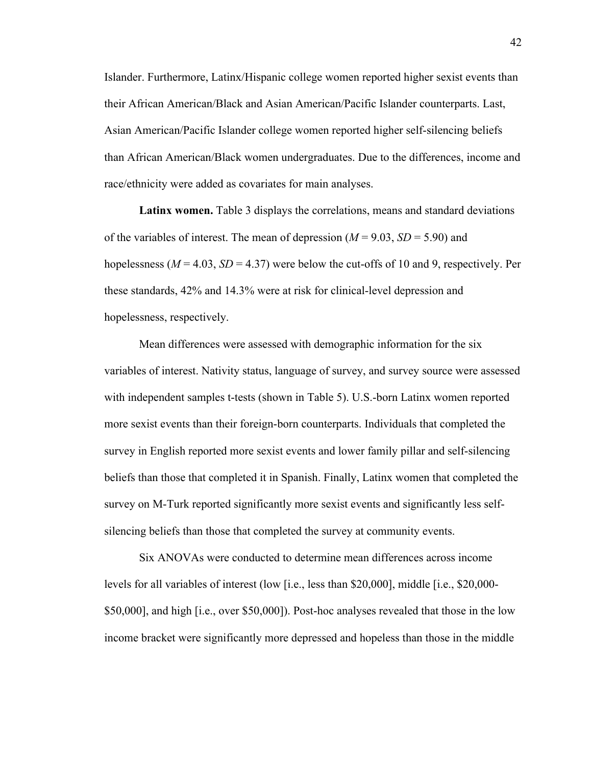Islander. Furthermore, Latinx/Hispanic college women reported higher sexist events than their African American/Black and Asian American/Pacific Islander counterparts. Last, Asian American/Pacific Islander college women reported higher self-silencing beliefs than African American/Black women undergraduates. Due to the differences, income and race/ethnicity were added as covariates for main analyses.

Latinx women. Table 3 displays the correlations, means and standard deviations of the variables of interest. The mean of depression  $(M = 9.03, SD = 5.90)$  and hopelessness ( $M = 4.03$ ,  $SD = 4.37$ ) were below the cut-offs of 10 and 9, respectively. Per these standards, 42% and 14.3% were at risk for clinical-level depression and hopelessness, respectively.

Mean differences were assessed with demographic information for the six variables of interest. Nativity status, language of survey, and survey source were assessed with independent samples t-tests (shown in Table 5). U.S.-born Latinx women reported more sexist events than their foreign-born counterparts. Individuals that completed the survey in English reported more sexist events and lower family pillar and self-silencing beliefs than those that completed it in Spanish. Finally, Latinx women that completed the survey on M-Turk reported significantly more sexist events and significantly less selfsilencing beliefs than those that completed the survey at community events.

Six ANOVAs were conducted to determine mean differences across income levels for all variables of interest (low [i.e., less than \$20,000], middle [i.e., \$20,000- \$50,000], and high [i.e., over \$50,000]). Post-hoc analyses revealed that those in the low income bracket were significantly more depressed and hopeless than those in the middle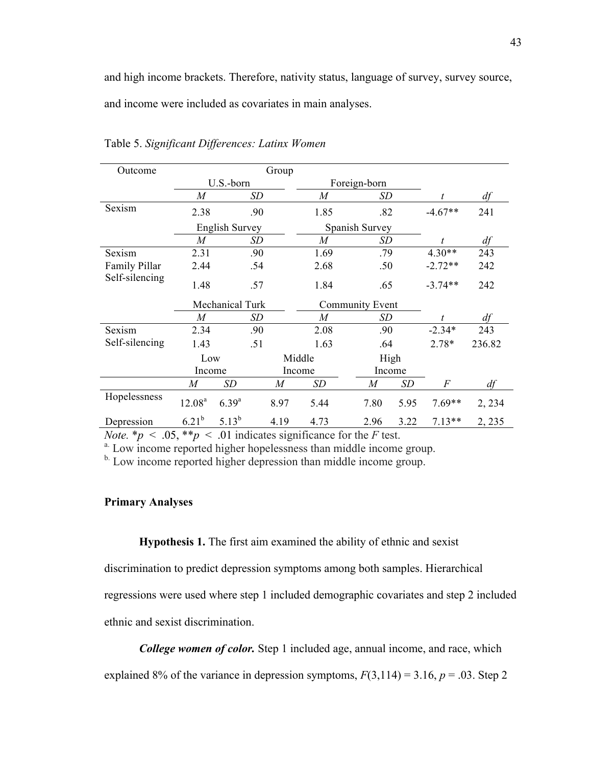and high income brackets. Therefore, nativity status, language of survey, survey source,

and income were included as covariates in main analyses.

| Outcome        | Group             |                       |     |                  |                  |  |                        |      |                |        |
|----------------|-------------------|-----------------------|-----|------------------|------------------|--|------------------------|------|----------------|--------|
|                |                   | U.S.-born             |     |                  | Foreign-born     |  |                        |      |                |        |
|                | M                 |                       | SD  |                  | M                |  | SD                     |      | t.             | df     |
| Sexism         | 2.38              |                       | .90 |                  | 1.85             |  | .82                    |      | $-4.67**$      | 241    |
|                |                   | <b>English Survey</b> |     |                  |                  |  | Spanish Survey         |      |                |        |
|                | $\boldsymbol{M}$  |                       | SD  |                  | $\boldsymbol{M}$ |  | <b>SD</b>              |      | t              | df     |
| Sexism         | 2.31              |                       | .90 |                  | 1.69             |  | .79                    |      | $4.30**$       | 243    |
| Family Pillar  | 2.44              |                       | .54 |                  | 2.68             |  | .50                    |      | $-2.72**$      | 242    |
| Self-silencing | 1.48              |                       | .57 |                  | 1.84             |  | .65                    |      | $-3.74**$      | 242    |
|                |                   | Mechanical Turk       |     |                  |                  |  | <b>Community Event</b> |      |                |        |
|                | $\boldsymbol{M}$  |                       | SD  |                  | $\boldsymbol{M}$ |  | SD                     |      | t              | df     |
| Sexism         | 2.34              |                       | .90 |                  | 2.08             |  | .90                    |      | $-2.34*$       | 243    |
| Self-silencing | 1.43              |                       | .51 |                  | 1.63             |  | .64                    |      | $2.78*$        | 236.82 |
|                | Low               |                       |     |                  | Middle           |  | High                   |      |                |        |
|                | Income            |                       |     |                  | Income           |  | Income                 |      |                |        |
|                | M                 | SD                    |     | $\boldsymbol{M}$ | SD               |  | $\boldsymbol{M}$       | SD   | $\overline{F}$ | df     |
| Hopelessness   | $12.08^{a}$       | $6.39^{a}$            |     | 8.97             | 5.44             |  | 7.80                   | 5.95 | $7.69**$       | 2, 234 |
| Depression     | 6.21 <sup>b</sup> | $5.13^{b}$            |     | 4.19             | 4.73             |  | 2.96                   | 3.22 | $7.13**$       | 2, 235 |

Table 5. *Significant Differences: Latinx Women*

*Note.*  $* p < .05, ** p < .01$  indicates significance for the *F* test.

<sup>b.</sup> Low income reported higher depression than middle income group.

# **Primary Analyses**

**Hypothesis 1.** The first aim examined the ability of ethnic and sexist

discrimination to predict depression symptoms among both samples. Hierarchical regressions were used where step 1 included demographic covariates and step 2 included

ethnic and sexist discrimination.

*College women of color.* Step 1 included age, annual income, and race, which

explained 8% of the variance in depression symptoms,  $F(3,114) = 3.16$ ,  $p = .03$ . Step 2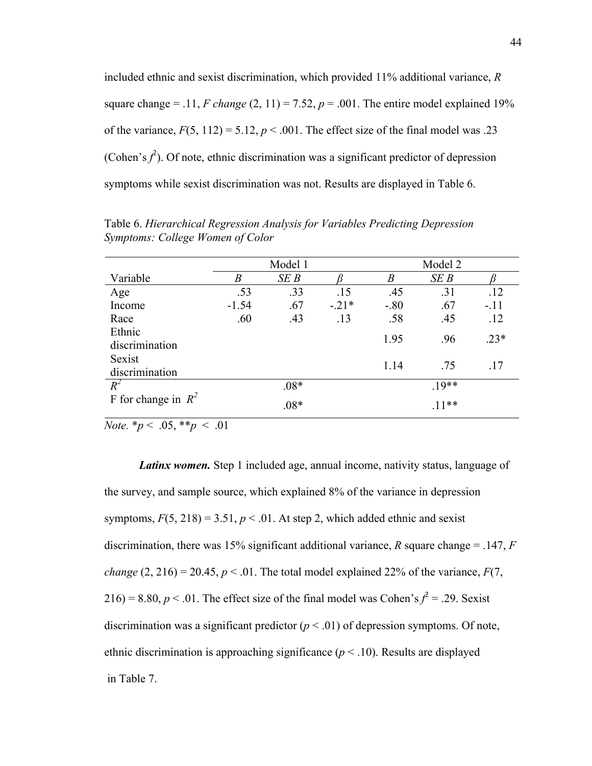included ethnic and sexist discrimination, which provided 11% additional variance, *R*  square change = .11, *F change*  $(2, 11) = 7.52$ ,  $p = .001$ . The entire model explained 19% of the variance,  $F(5, 112) = 5.12$ ,  $p < .001$ . The effect size of the final model was .23 (Cohen's  $f^2$ ). Of note, ethnic discrimination was a significant predictor of depression symptoms while sexist discrimination was not. Results are displayed in Table 6.

|                       |                  | Model 1 |         |                  | Model 2 |        |
|-----------------------|------------------|---------|---------|------------------|---------|--------|
| Variable              | $\boldsymbol{B}$ | SEB     |         | $\boldsymbol{B}$ | SEB     |        |
| Age                   | .53              | .33     | .15     | .45              | .31     | .12    |
| Income                | $-1.54$          | .67     | $-.21*$ | $-.80$           | .67     | $-.11$ |
| Race                  | .60              | .43     | .13     | .58              | .45     | .12    |
| Ethnic                |                  |         |         | 1.95             | .96     | $.23*$ |
| discrimination        |                  |         |         |                  |         |        |
| Sexist                |                  |         |         | 1.14             | .75     | .17    |
| discrimination        |                  |         |         |                  |         |        |
| $R^2$                 |                  | $.08*$  |         |                  | $19**$  |        |
| F for change in $R^2$ |                  | $.08*$  |         |                  | $.11**$ |        |

Table 6. *Hierarchical Regression Analysis for Variables Predicting Depression Symptoms: College Women of Color*

*Note.*  $* p \lt .05$ ,  $* p \lt .01$ 

*Latinx women.* Step 1 included age, annual income, nativity status, language of the survey, and sample source, which explained 8% of the variance in depression symptoms,  $F(5, 218) = 3.51$ ,  $p < 0.01$ . At step 2, which added ethnic and sexist discrimination, there was 15% significant additional variance, *R* square change = .147, *F change*  $(2, 216) = 20.45$ ,  $p < .01$ . The total model explained 22% of the variance,  $F(7, 1)$ 216) = 8.80,  $p < 0.01$ . The effect size of the final model was Cohen's  $f^2 = 0.29$ . Sexist discrimination was a significant predictor  $(p < .01)$  of depression symptoms. Of note, ethnic discrimination is approaching significance  $(p < 10)$ . Results are displayed in Table 7.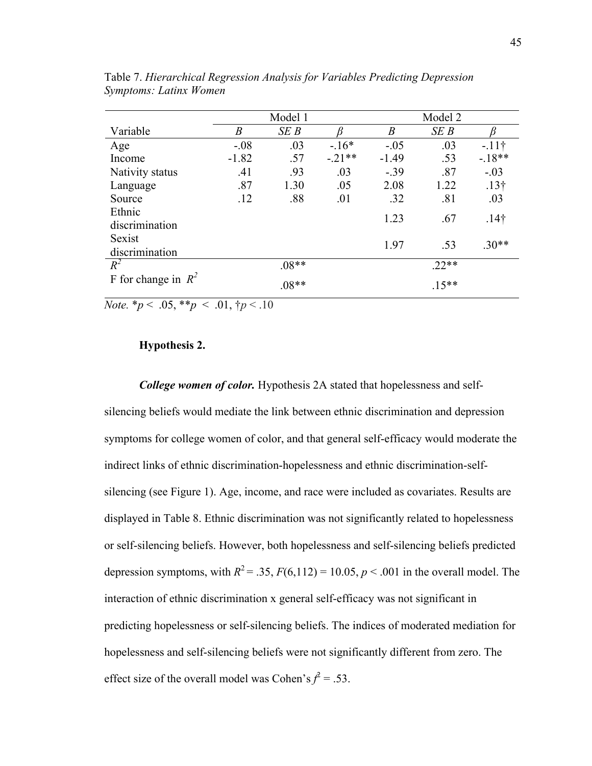|                       |                  | Model 1 |          | Model 2 |         |                  |  |
|-----------------------|------------------|---------|----------|---------|---------|------------------|--|
| Variable              | $\boldsymbol{B}$ | SEB     |          | B       | SEB     |                  |  |
| Age                   | $-.08$           | .03     | $-16*$   | $-.05$  | .03     | $-11$ †          |  |
| Income                | $-1.82$          | .57     | $-.21**$ | $-1.49$ | .53     | $-18**$          |  |
| Nativity status       | .41              | .93     | .03      | $-.39$  | .87     | $-.03$           |  |
| Language              | .87              | 1.30    | .05      | 2.08    | 1.22    | $.13\dagger$     |  |
| Source                | .12              | .88     | .01      | .32     | .81     | .03              |  |
| Ethnic                |                  |         |          | 1.23    | .67     | .14 <sup>†</sup> |  |
| discrimination        |                  |         |          |         |         |                  |  |
| Sexist                |                  |         |          | 1.97    | .53     | $.30**$          |  |
| discrimination        |                  |         |          |         |         |                  |  |
| $R^2$                 |                  | $.08**$ |          |         | $.22**$ |                  |  |
| F for change in $R^2$ |                  | $.08**$ |          |         | $.15**$ |                  |  |

Table 7. *Hierarchical Regression Analysis for Variables Predicting Depression Symptoms: Latinx Women* 

*Note.*  $* p < .05, ** p < .01, * p < .10$ 

### **Hypothesis 2.**

*College women of color.* Hypothesis 2A stated that hopelessness and selfsilencing beliefs would mediate the link between ethnic discrimination and depression symptoms for college women of color, and that general self-efficacy would moderate the indirect links of ethnic discrimination-hopelessness and ethnic discrimination-selfsilencing (see Figure 1). Age, income, and race were included as covariates. Results are displayed in Table 8. Ethnic discrimination was not significantly related to hopelessness or self-silencing beliefs. However, both hopelessness and self-silencing beliefs predicted depression symptoms, with  $R^2 = 0.35$ ,  $F(6,112) = 10.05$ ,  $p < 0.001$  in the overall model. The interaction of ethnic discrimination x general self-efficacy was not significant in predicting hopelessness or self-silencing beliefs. The indices of moderated mediation for hopelessness and self-silencing beliefs were not significantly different from zero. The effect size of the overall model was Cohen's  $f^2 = .53$ .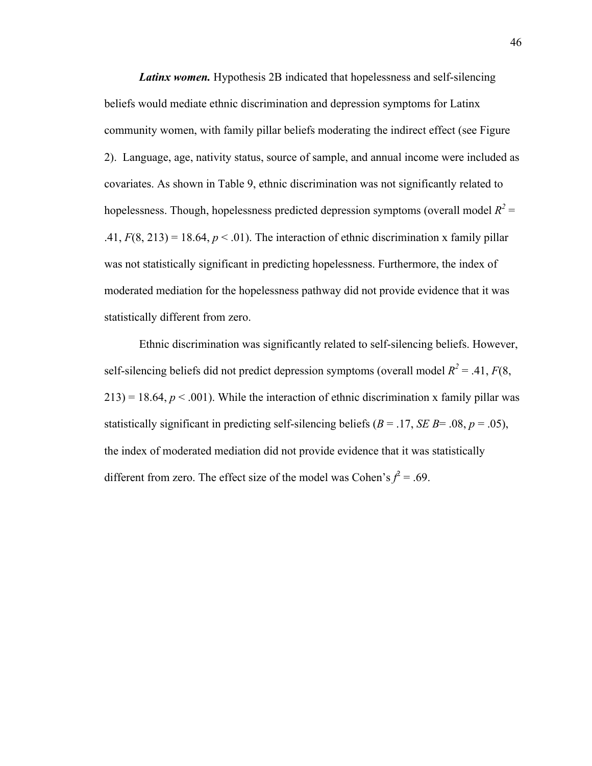*Latinx women.* Hypothesis 2B indicated that hopelessness and self-silencing beliefs would mediate ethnic discrimination and depression symptoms for Latinx community women, with family pillar beliefs moderating the indirect effect (see Figure 2). Language, age, nativity status, source of sample, and annual income were included as covariates. As shown in Table 9, ethnic discrimination was not significantly related to hopelessness. Though, hopelessness predicted depression symptoms (overall model  $R^2$  = .41,  $F(8, 213) = 18.64$ ,  $p < .01$ ). The interaction of ethnic discrimination x family pillar was not statistically significant in predicting hopelessness. Furthermore, the index of moderated mediation for the hopelessness pathway did not provide evidence that it was statistically different from zero.

Ethnic discrimination was significantly related to self-silencing beliefs. However, self-silencing beliefs did not predict depression symptoms (overall model  $R^2 = .41, F(8, 1)$  $213$ ) = 18.64,  $p < .001$ ). While the interaction of ethnic discrimination x family pillar was statistically significant in predicting self-silencing beliefs ( $B = .17$ ,  $SE B = .08$ ,  $p = .05$ ), the index of moderated mediation did not provide evidence that it was statistically different from zero. The effect size of the model was Cohen's  $f^2 = .69$ .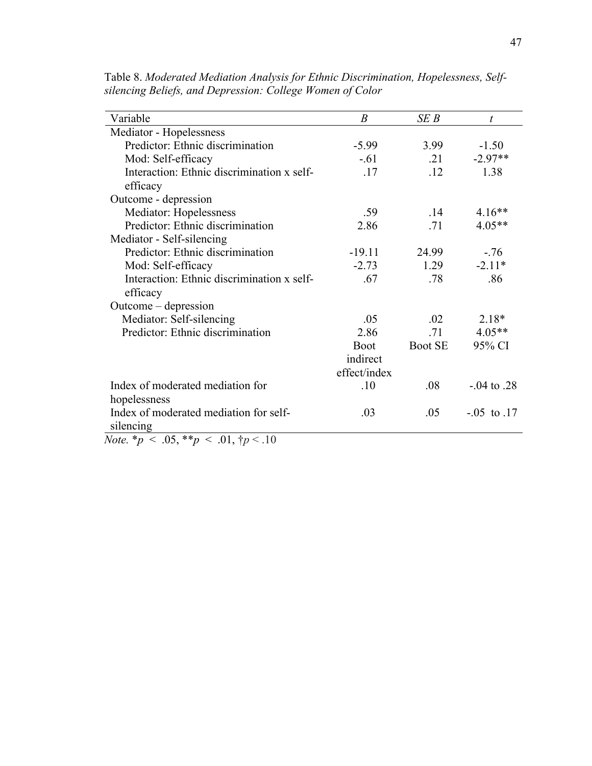| Variable                                   | $\boldsymbol{B}$ | SEB            | t                |
|--------------------------------------------|------------------|----------------|------------------|
| Mediator - Hopelessness                    |                  |                |                  |
| Predictor: Ethnic discrimination           | $-5.99$          | 3.99           | $-1.50$          |
| Mod: Self-efficacy                         | $-.61$           | .21            | $-2.97**$        |
| Interaction: Ethnic discrimination x self- | 17               | .12            | 1.38             |
| efficacy                                   |                  |                |                  |
| Outcome - depression                       |                  |                |                  |
| Mediator: Hopelessness                     | .59              | .14            | $4.16**$         |
| Predictor: Ethnic discrimination           | 2.86             | .71            | $4.05**$         |
| Mediator - Self-silencing                  |                  |                |                  |
| Predictor: Ethnic discrimination           | $-19.11$         | 24.99          | $-.76$           |
| Mod: Self-efficacy                         | $-2.73$          | 1.29           | $-2.11*$         |
| Interaction: Ethnic discrimination x self- | .67              | .78            | .86              |
| efficacy                                   |                  |                |                  |
| Outcome – depression                       |                  |                |                  |
| Mediator: Self-silencing                   | .05              | .02            | $2.18*$          |
| Predictor: Ethnic discrimination           | 2.86             | .71            | $4.05**$         |
|                                            | <b>Boot</b>      | <b>Boot SE</b> | 95% CI           |
|                                            | indirect         |                |                  |
|                                            | effect/index     |                |                  |
| Index of moderated mediation for           | .10              | .08            | $-04$ to 28      |
| hopelessness                               |                  |                |                  |
| Index of moderated mediation for self-     | .03              | .05            | $-0.05$ to $.17$ |
| silencing                                  |                  |                |                  |

Table 8. *Moderated Mediation Analysis for Ethnic Discrimination, Hopelessness, Selfsilencing Beliefs, and Depression: College Women of Color*

*Note.*  $* p \lt .05, ** p \lt .01, \dagger p \lt .10$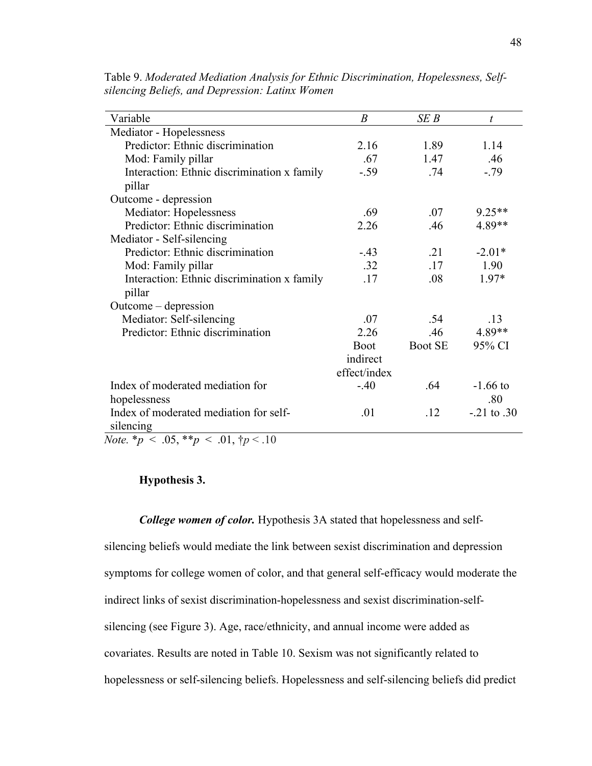| Variable                                    | $\boldsymbol{B}$ | SEB            | t               |
|---------------------------------------------|------------------|----------------|-----------------|
| Mediator - Hopelessness                     |                  |                |                 |
| Predictor: Ethnic discrimination            | 2.16             | 1.89           | 1.14            |
| Mod: Family pillar                          | .67              | 1.47           | .46             |
| Interaction: Ethnic discrimination x family | $-.59$           | .74            | $-.79$          |
| pillar                                      |                  |                |                 |
| Outcome - depression                        |                  |                |                 |
| Mediator: Hopelessness                      | .69              | .07            | 9.25**          |
| Predictor: Ethnic discrimination            | 2.26             | .46            | 4.89**          |
| Mediator - Self-silencing                   |                  |                |                 |
| Predictor: Ethnic discrimination            | $-43$            | $\cdot$ 21     | $-2.01*$        |
| Mod: Family pillar                          | .32              | .17            | 1.90            |
| Interaction: Ethnic discrimination x family | .17              | .08            | $1.97*$         |
| pillar                                      |                  |                |                 |
| Outcome – depression                        |                  |                |                 |
| Mediator: Self-silencing                    | -07              | .54            | .13             |
| Predictor: Ethnic discrimination            | 2.26             | .46            | 4.89**          |
|                                             | <b>Boot</b>      | <b>Boot SE</b> | 95% CI          |
|                                             | indirect         |                |                 |
|                                             | effect/index     |                |                 |
| Index of moderated mediation for            | $-.40$           | .64            | $-1.66$ to      |
| hopelessness                                |                  |                | .80             |
| Index of moderated mediation for self-      | .01              | .12            | $-.21$ to $.30$ |
| silencing                                   |                  |                |                 |

Table 9. *Moderated Mediation Analysis for Ethnic Discrimination, Hopelessness, Selfsilencing Beliefs, and Depression: Latinx Women* 

*Note.*  $* p \lt .05, ** p \lt .01, \dagger p \lt .10$ 

# **Hypothesis 3.**

*College women of color.* Hypothesis 3A stated that hopelessness and selfsilencing beliefs would mediate the link between sexist discrimination and depression symptoms for college women of color, and that general self-efficacy would moderate the indirect links of sexist discrimination-hopelessness and sexist discrimination-selfsilencing (see Figure 3). Age, race/ethnicity, and annual income were added as covariates. Results are noted in Table 10. Sexism was not significantly related to hopelessness or self-silencing beliefs. Hopelessness and self-silencing beliefs did predict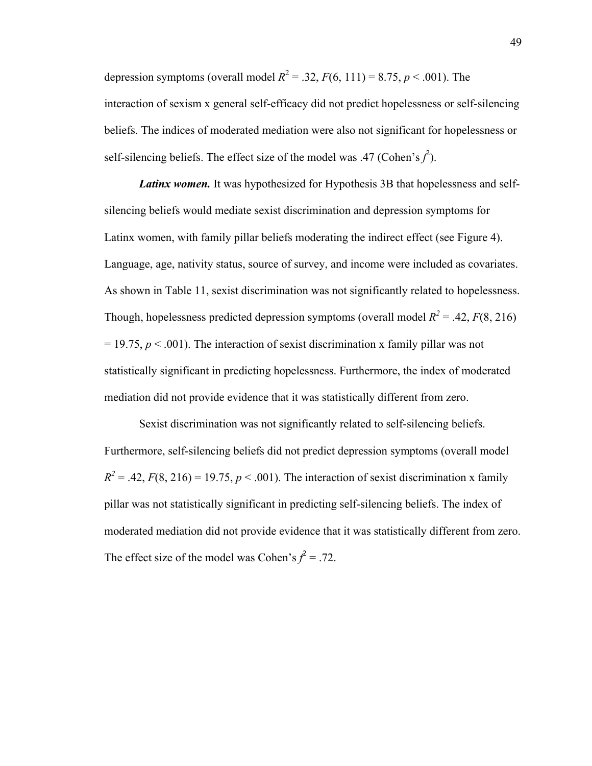depression symptoms (overall model  $R^2 = 0.32$ ,  $F(6, 111) = 8.75$ ,  $p < 0.001$ ). The interaction of sexism x general self-efficacy did not predict hopelessness or self-silencing beliefs. The indices of moderated mediation were also not significant for hopelessness or self-silencing beliefs. The effect size of the model was .47 (Cohen's  $f^2$ ).

*Latinx women.* It was hypothesized for Hypothesis 3B that hopelessness and selfsilencing beliefs would mediate sexist discrimination and depression symptoms for Latinx women, with family pillar beliefs moderating the indirect effect (see Figure 4). Language, age, nativity status, source of survey, and income were included as covariates. As shown in Table 11, sexist discrimination was not significantly related to hopelessness. Though, hopelessness predicted depression symptoms (overall model  $R^2 = .42, F(8, 216)$ )  $= 19.75$ ,  $p < .001$ ). The interaction of sexist discrimination x family pillar was not statistically significant in predicting hopelessness. Furthermore, the index of moderated mediation did not provide evidence that it was statistically different from zero.

Sexist discrimination was not significantly related to self-silencing beliefs. Furthermore, self-silencing beliefs did not predict depression symptoms (overall model  $R^2 = .42$ ,  $F(8, 216) = 19.75$ ,  $p < .001$ ). The interaction of sexist discrimination x family pillar was not statistically significant in predicting self-silencing beliefs. The index of moderated mediation did not provide evidence that it was statistically different from zero. The effect size of the model was Cohen's  $f^2 = .72$ .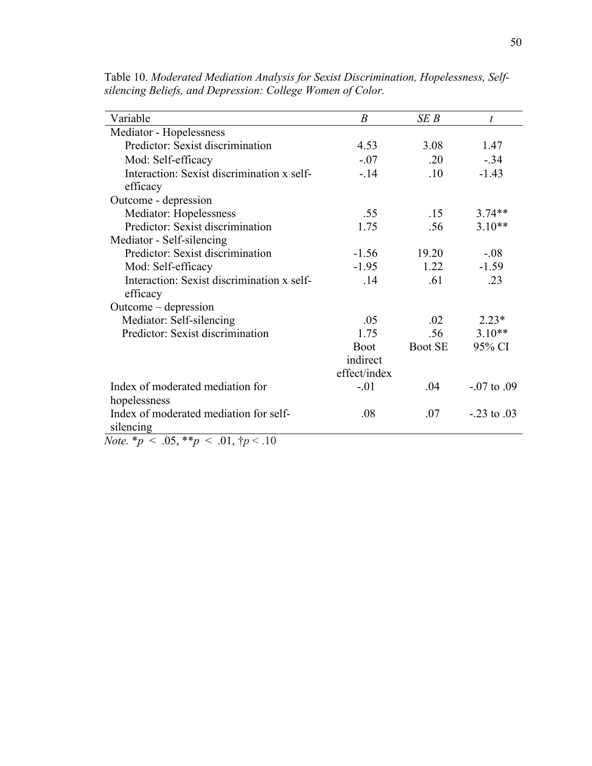| Variable                                               | $\boldsymbol{B}$ | SEB            | $\boldsymbol{t}$  |
|--------------------------------------------------------|------------------|----------------|-------------------|
| Mediator - Hopelessness                                |                  |                |                   |
| Predictor: Sexist discrimination                       | 4.53             | 3.08           | 1.47              |
| Mod: Self-efficacy                                     | $-.07$           | .20            | $-.34$            |
| Interaction: Sexist discrimination x self-<br>efficacy | $-14$            | .10            | $-1.43$           |
| Outcome - depression                                   |                  |                |                   |
| Mediator: Hopelessness                                 | .55              | .15            | $3.74**$          |
| Predictor: Sexist discrimination                       | 1.75             | .56            | $3.10**$          |
| Mediator - Self-silencing                              |                  |                |                   |
| Predictor: Sexist discrimination                       | $-1.56$          | 19.20          | $-.08$            |
| Mod: Self-efficacy                                     | $-1.95$          | 1.22           | $-1.59$           |
| Interaction: Sexist discrimination x self-<br>efficacy | .14              | .61            | .23               |
| Outcome – depression                                   |                  |                |                   |
| Mediator: Self-silencing                               | .05              | .02            | $2.23*$           |
| Predictor: Sexist discrimination                       | 1.75             | .56            | $3.10**$          |
|                                                        | <b>Boot</b>      | <b>Boot SE</b> | 95% CI            |
|                                                        | indirect         |                |                   |
|                                                        | effect/index     |                |                   |
| Index of moderated mediation for                       | $-.01$           | .04            | $-0.07$ to $.09$  |
| hopelessness                                           |                  |                |                   |
| Index of moderated mediation for self-<br>silencing    | .08              | .07            | $-0.23$ to $0.03$ |

Table 10. *Moderated Mediation Analysis for Sexist Discrimination, Hopelessness, Selfsilencing Beliefs, and Depression: College Women of Color.* 

*Note.* \**p* < .05, \*\**p* < .01, †*p* < .10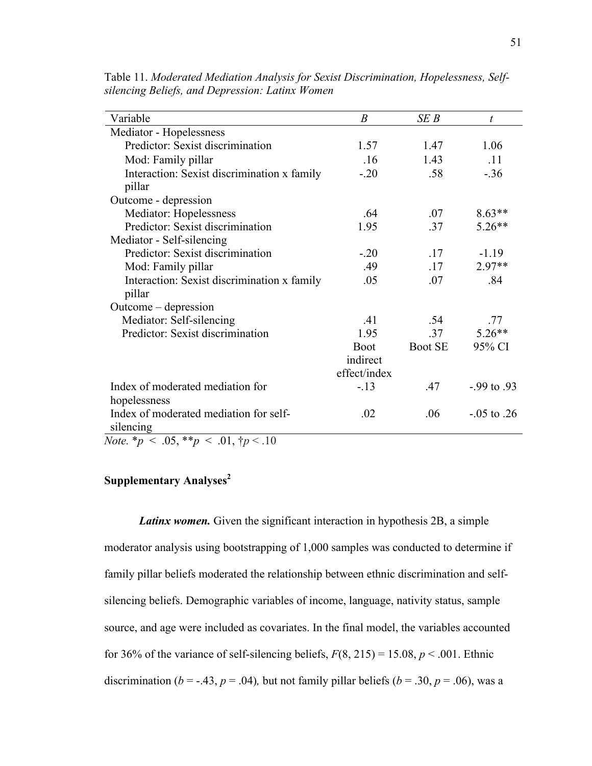| Variable                                              | $\boldsymbol{B}$ | SEB            | $\boldsymbol{t}$  |
|-------------------------------------------------------|------------------|----------------|-------------------|
| Mediator - Hopelessness                               |                  |                |                   |
| Predictor: Sexist discrimination                      | 1.57             | 1.47           | 1.06              |
| Mod: Family pillar                                    | .16              | 1.43           | .11               |
| Interaction: Sexist discrimination x family<br>pillar | $-20$            | .58            | $-.36$            |
| Outcome - depression                                  |                  |                |                   |
| Mediator: Hopelessness                                | .64              | .07            | $8.63**$          |
| Predictor: Sexist discrimination                      | 1.95             | .37            | $5.26**$          |
| Mediator - Self-silencing                             |                  |                |                   |
| Predictor: Sexist discrimination                      | $-.20$           | .17            | $-1.19$           |
| Mod: Family pillar                                    | .49              | .17            | $2.97**$          |
| Interaction: Sexist discrimination x family<br>pillar | .05              | .07            | .84               |
| Outcome – depression                                  |                  |                |                   |
| Mediator: Self-silencing                              | .41              | .54            | .77               |
| Predictor: Sexist discrimination                      | 1.95             | .37            | $5.26**$          |
|                                                       | <b>Boot</b>      | <b>Boot SE</b> | 95% CI            |
|                                                       | indirect         |                |                   |
|                                                       | effect/index     |                |                   |
| Index of moderated mediation for                      | $-13$            | .47            | $-0.99$ to $0.93$ |
| hopelessness                                          |                  |                |                   |
| Index of moderated mediation for self-<br>silencing   | .02              | .06            | $-0.05$ to $.26$  |

Table 11. *Moderated Mediation Analysis for Sexist Discrimination, Hopelessness, Selfsilencing Beliefs, and Depression: Latinx Women* 

*Note.*  $*_{p} < .05, **_{p} < .01, *_{p} < .10$ 

# **Supplementary Analyses<sup>2</sup>**

*Latinx women.* Given the significant interaction in hypothesis 2B, a simple moderator analysis using bootstrapping of 1,000 samples was conducted to determine if family pillar beliefs moderated the relationship between ethnic discrimination and selfsilencing beliefs. Demographic variables of income, language, nativity status, sample source, and age were included as covariates. In the final model, the variables accounted for 36% of the variance of self-silencing beliefs,  $F(8, 215) = 15.08$ ,  $p < .001$ . Ethnic discrimination ( $b = -.43$ ,  $p = .04$ ), but not family pillar beliefs ( $b = .30$ ,  $p = .06$ ), was a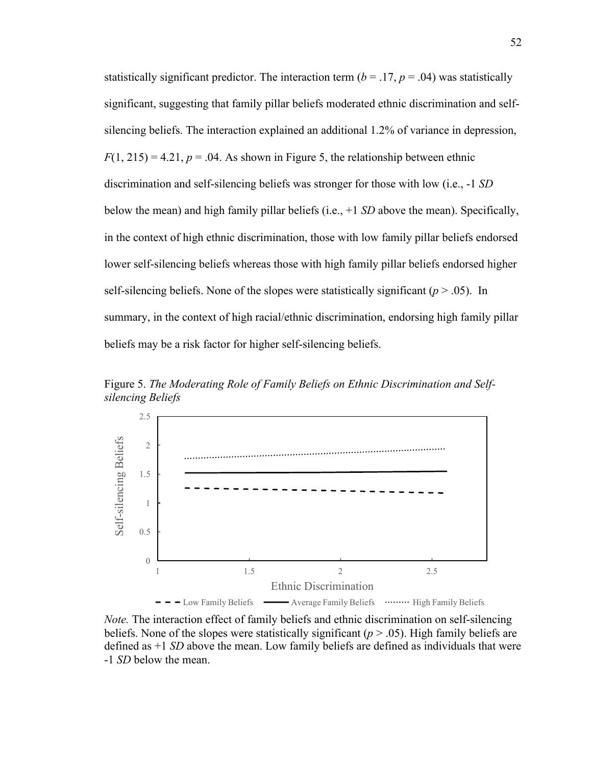statistically significant predictor. The interaction term  $(b = .17, p = .04)$  was statistically significant, suggesting that family pillar beliefs moderated ethnic discrimination and selfsilencing beliefs. The interaction explained an additional 1.2% of variance in depression,  $F(1, 215) = 4.21$ ,  $p = 0.04$ . As shown in Figure 5, the relationship between ethnic discrimination and self-silencing beliefs was stronger for those with low (i.e., -1 *SD* below the mean) and high family pillar beliefs (i.e., +1 *SD* above the mean). Specifically, in the context of high ethnic discrimination, those with low family pillar beliefs endorsed lower self-silencing beliefs whereas those with high family pillar beliefs endorsed higher self-silencing beliefs. None of the slopes were statistically significant  $(p > .05)$ . In summary, in the context of high racial/ethnic discrimination, endorsing high family pillar beliefs may be a risk factor for higher self-silencing beliefs.

Figure 5. *The Moderating Role of Family Beliefs on Ethnic Discrimination and Selfsilencing Beliefs*



*Note.* The interaction effect of family beliefs and ethnic discrimination on self-silencing beliefs. None of the slopes were statistically significant (*p* > .05). High family beliefs are defined as +1 *SD* above the mean. Low family beliefs are defined as individuals that were -1 *SD* below the mean.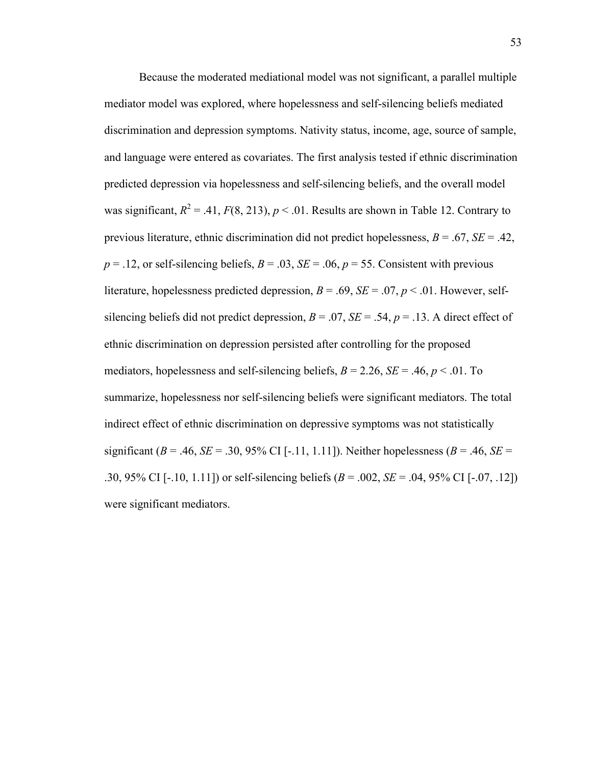Because the moderated mediational model was not significant, a parallel multiple mediator model was explored, where hopelessness and self-silencing beliefs mediated discrimination and depression symptoms. Nativity status, income, age, source of sample, and language were entered as covariates. The first analysis tested if ethnic discrimination predicted depression via hopelessness and self-silencing beliefs, and the overall model was significant,  $R^2 = .41$ ,  $F(8, 213)$ ,  $p < .01$ . Results are shown in Table 12. Contrary to previous literature, ethnic discrimination did not predict hopelessness, *B* = .67, *SE* = .42,  $p = 0.12$ , or self-silencing beliefs,  $B = 0.03$ ,  $SE = 0.06$ ,  $p = 55$ . Consistent with previous literature, hopelessness predicted depression,  $B = .69$ ,  $SE = .07$ ,  $p < .01$ . However, selfsilencing beliefs did not predict depression,  $B = .07$ ,  $SE = .54$ ,  $p = .13$ . A direct effect of ethnic discrimination on depression persisted after controlling for the proposed mediators, hopelessness and self-silencing beliefs,  $B = 2.26$ ,  $SE = .46$ ,  $p < .01$ . To summarize, hopelessness nor self-silencing beliefs were significant mediators. The total indirect effect of ethnic discrimination on depressive symptoms was not statistically significant ( $B = .46$ ,  $SE = .30$ , 95% CI [-.11, 1.11]). Neither hopelessness ( $B = .46$ ,  $SE =$ .30, 95% CI [-.10, 1.11]) or self-silencing beliefs (*B* = .002, *SE* = .04, 95% CI [-.07, .12]) were significant mediators.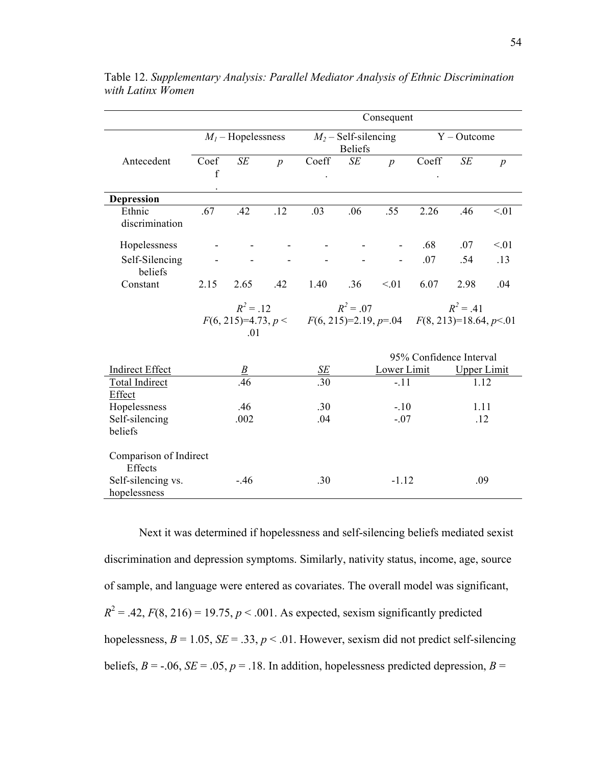|                                    | Consequent          |                      |                  |                                             |                                          |                  |                          |                    |                  |  |
|------------------------------------|---------------------|----------------------|------------------|---------------------------------------------|------------------------------------------|------------------|--------------------------|--------------------|------------------|--|
|                                    |                     | $M_l$ – Hopelessness |                  |                                             | $M_2$ – Self-silencing<br><b>Beliefs</b> |                  |                          | $Y - Outcome$      |                  |  |
| Antecedent                         | Coef<br>$\mathbf f$ | SE                   | $\boldsymbol{p}$ | Coeff                                       | $\cal SE$                                | $\boldsymbol{p}$ | Coeff                    | SE                 | $\boldsymbol{p}$ |  |
|                                    |                     |                      |                  |                                             |                                          |                  |                          |                    |                  |  |
| Depression                         |                     |                      |                  |                                             |                                          |                  |                          |                    |                  |  |
| Ethnic<br>discrimination           | .67                 | .42                  | .12              | .03                                         | .06                                      | .55              | 2.26                     | .46                | < 01             |  |
| Hopelessness                       |                     |                      |                  |                                             |                                          |                  | .68                      | .07                | < 01             |  |
| Self-Silencing<br>beliefs          |                     |                      |                  |                                             |                                          |                  | .07                      | .54                | .13              |  |
| Constant                           | 2.15                | 2.65                 | .42              | 1.40                                        | .36                                      | < 01             | 6.07                     | 2.98               | .04              |  |
|                                    | $R^2 = .12$         |                      |                  |                                             | $R^2 = .07$                              |                  |                          | $R^2 = .41$        |                  |  |
|                                    |                     | .01                  |                  | $F(6, 215)=4.73, p < F(6, 215)=2.19, p=.04$ |                                          |                  | $F(8, 213)=18.64, p<0.1$ |                    |                  |  |
|                                    |                     |                      |                  |                                             |                                          |                  | 95% Confidence Interval  |                    |                  |  |
| <b>Indirect Effect</b>             |                     | В                    |                  | SE                                          |                                          | Lower Limit      |                          | <b>Upper Limit</b> |                  |  |
| <b>Total Indirect</b>              |                     | .46                  |                  | .30                                         |                                          | $-.11$           |                          | 1.12               |                  |  |
| Effect<br>Hopelessness             |                     | .46                  |                  | .30                                         |                                          | $-.10$           |                          | 1.11               |                  |  |
| Self-silencing                     |                     | .002                 |                  | .04                                         |                                          | $-.07$           |                          | .12                |                  |  |
| beliefs                            |                     |                      |                  |                                             |                                          |                  |                          |                    |                  |  |
| Comparison of Indirect<br>Effects  |                     |                      |                  |                                             |                                          |                  |                          |                    |                  |  |
| Self-silencing vs.<br>hopelessness |                     | $-46$                |                  | .30                                         |                                          | $-1.12$          |                          | .09                |                  |  |

Table 12. *Supplementary Analysis: Parallel Mediator Analysis of Ethnic Discrimination with Latinx Women*

Next it was determined if hopelessness and self-silencing beliefs mediated sexist discrimination and depression symptoms. Similarly, nativity status, income, age, source of sample, and language were entered as covariates. The overall model was significant,  $R^2 = .42$ ,  $F(8, 216) = 19.75$ ,  $p < .001$ . As expected, sexism significantly predicted hopelessness,  $B = 1.05$ ,  $SE = .33$ ,  $p < .01$ . However, sexism did not predict self-silencing beliefs,  $B = -.06$ ,  $SE = .05$ ,  $p = .18$ . In addition, hopelessness predicted depression,  $B =$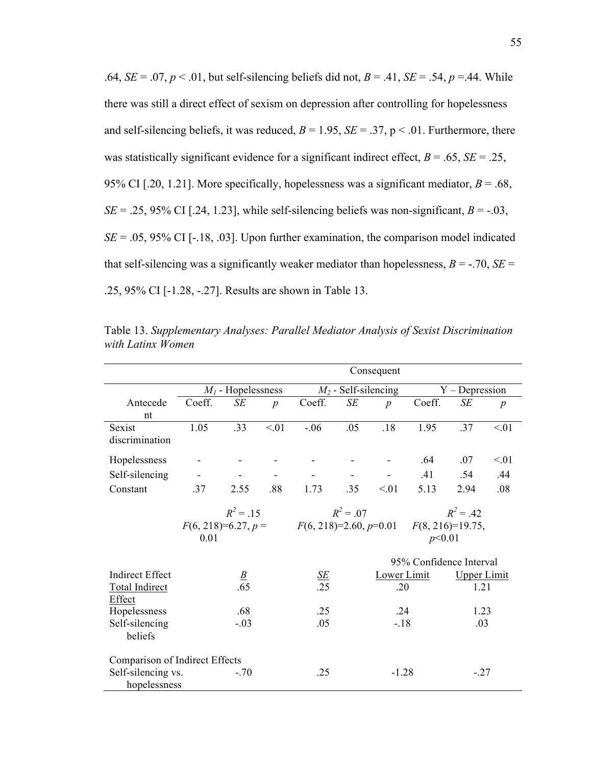.64,  $SE = .07$ ,  $p < .01$ , but self-silencing beliefs did not,  $B = .41$ ,  $SE = .54$ ,  $p = .44$ . While there was still a direct effect of sexism on depression after controlling for hopelessness and self-silencing beliefs, it was reduced,  $B = 1.95$ ,  $SE = .37$ ,  $p < .01$ . Furthermore, there was statistically significant evidence for a significant indirect effect,  $B = .65$ ,  $SE = .25$ , 95% CI [.20, 1.21]. More specifically, hopelessness was a significant mediator,  $B = .68$ , *SE* = .25, 95% CI [.24, 1.23], while self-silencing beliefs was non-significant,  $B = -0.03$ ,  $SE = .05, 95\%$  CI [ $-18, .03$ ]. Upon further examination, the comparison model indicated that self-silencing was a significantly weaker mediator than hopelessness,  $B = -0.70$ ,  $SE =$ .25, 95% CI [-1.28, -.27]. Results are shown in Table 13.

|                                | Consequent                          |        |                |                                         |                    |                  |                                    |        |                  |
|--------------------------------|-------------------------------------|--------|----------------|-----------------------------------------|--------------------|------------------|------------------------------------|--------|------------------|
|                                | $M_l$ - Hopelessness                |        |                | $M_2$ - Self-silencing                  |                    |                  | $Y - Depression$                   |        |                  |
| Antecede                       | Coeff.                              | SE     | $\overline{p}$ | Coeff.                                  | SE                 | $\boldsymbol{p}$ | Coeff.                             | SE     | $\boldsymbol{p}$ |
| nt                             |                                     |        |                |                                         |                    |                  |                                    |        |                  |
| Sexist                         | 1.05                                | .33    | < 01           | $-.06$                                  | .05                | .18              | 1.95                               | .37    | < 01             |
| discrimination                 |                                     |        |                |                                         |                    |                  |                                    |        |                  |
| Hopelessness                   |                                     |        |                |                                         |                    |                  | .64                                | .07    | < 01             |
| Self-silencing                 |                                     |        |                |                                         |                    |                  | .41                                | .54    | .44              |
| Constant                       | .37                                 | 2.55   | .88            | 1.73                                    | .35                | < 01             | 5.13                               | 2.94   | .08              |
|                                | $R^2 = .15$<br>$F(6, 218)=6.27, p=$ |        |                | $R^2 = .07$<br>$F(6, 218)=2.60, p=0.01$ |                    |                  | $R^2 = .42$<br>$F(8, 216)=19.75$ , |        |                  |
|                                |                                     |        |                |                                         |                    |                  |                                    |        |                  |
|                                | 0.01                                |        |                | p<0.01                                  |                    |                  |                                    |        |                  |
|                                | 95% Confidence Interval             |        |                |                                         |                    |                  |                                    |        |                  |
| <b>Indirect Effect</b>         |                                     |        | Lower Limit    |                                         | <b>Upper Limit</b> |                  |                                    |        |                  |
| <b>Total Indirect</b>          | $rac{B}{0.65}$                      |        | $rac{SE}{.25}$ |                                         | .20                |                  | 1.21                               |        |                  |
| Effect                         |                                     |        |                |                                         |                    |                  |                                    |        |                  |
| Hopelessness                   | .68                                 |        | .25            |                                         | .24                |                  | 1.23                               |        |                  |
| Self-silencing                 | $-.03$                              |        | .05            |                                         | $-18$              |                  | .03                                |        |                  |
| beliefs                        |                                     |        |                |                                         |                    |                  |                                    |        |                  |
| Comparison of Indirect Effects |                                     |        |                |                                         |                    |                  |                                    |        |                  |
| Self-silencing vs.             |                                     | $-.70$ |                | .25                                     |                    | $-1.28$          |                                    | $-.27$ |                  |
| hopelessness                   |                                     |        |                |                                         |                    |                  |                                    |        |                  |

Table 13. *Supplementary Analyses: Parallel Mediator Analysis of Sexist Discrimination with Latinx Women*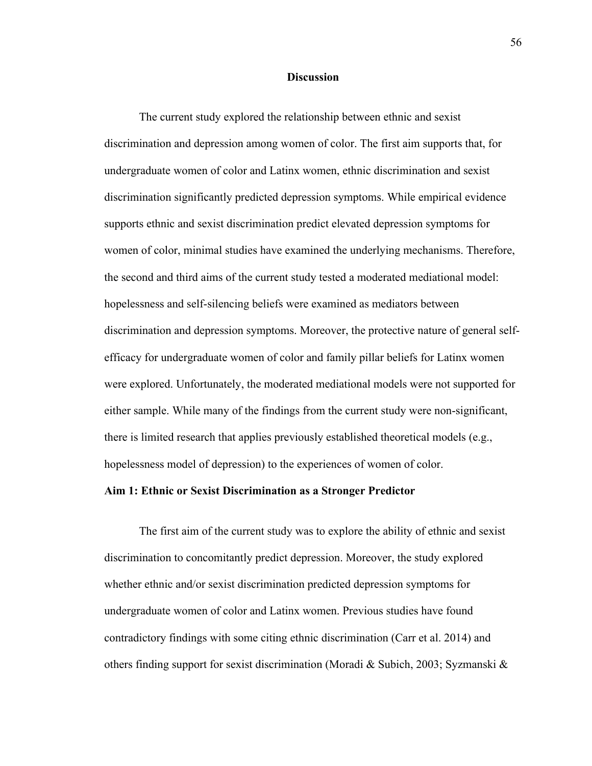### **Discussion**

The current study explored the relationship between ethnic and sexist discrimination and depression among women of color. The first aim supports that, for undergraduate women of color and Latinx women, ethnic discrimination and sexist discrimination significantly predicted depression symptoms. While empirical evidence supports ethnic and sexist discrimination predict elevated depression symptoms for women of color, minimal studies have examined the underlying mechanisms. Therefore, the second and third aims of the current study tested a moderated mediational model: hopelessness and self-silencing beliefs were examined as mediators between discrimination and depression symptoms. Moreover, the protective nature of general selfefficacy for undergraduate women of color and family pillar beliefs for Latinx women were explored. Unfortunately, the moderated mediational models were not supported for either sample. While many of the findings from the current study were non-significant, there is limited research that applies previously established theoretical models (e.g., hopelessness model of depression) to the experiences of women of color.

### **Aim 1: Ethnic or Sexist Discrimination as a Stronger Predictor**

The first aim of the current study was to explore the ability of ethnic and sexist discrimination to concomitantly predict depression. Moreover, the study explored whether ethnic and/or sexist discrimination predicted depression symptoms for undergraduate women of color and Latinx women. Previous studies have found contradictory findings with some citing ethnic discrimination (Carr et al. 2014) and others finding support for sexist discrimination (Moradi & Subich, 2003; Syzmanski &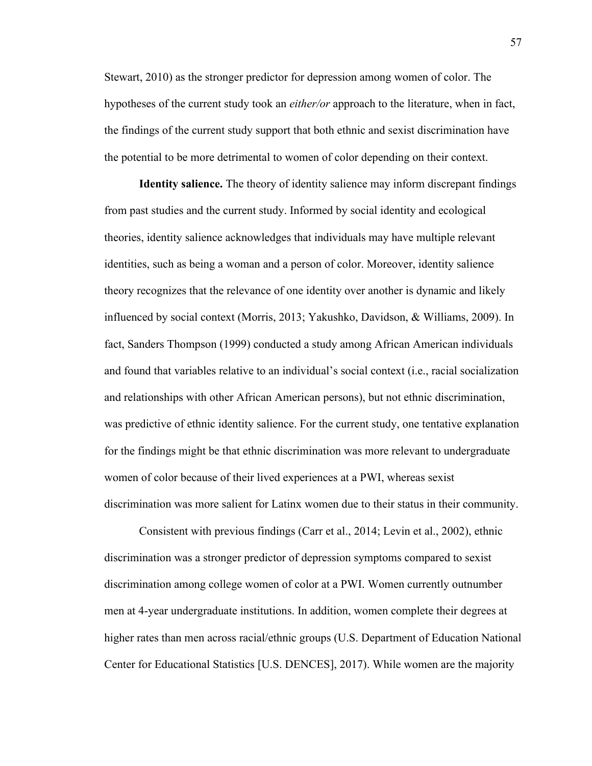Stewart, 2010) as the stronger predictor for depression among women of color. The hypotheses of the current study took an *either/or* approach to the literature, when in fact, the findings of the current study support that both ethnic and sexist discrimination have the potential to be more detrimental to women of color depending on their context.

**Identity salience.** The theory of identity salience may inform discrepant findings from past studies and the current study. Informed by social identity and ecological theories, identity salience acknowledges that individuals may have multiple relevant identities, such as being a woman and a person of color. Moreover, identity salience theory recognizes that the relevance of one identity over another is dynamic and likely influenced by social context (Morris, 2013; Yakushko, Davidson, & Williams, 2009). In fact, Sanders Thompson (1999) conducted a study among African American individuals and found that variables relative to an individual's social context (i.e., racial socialization and relationships with other African American persons), but not ethnic discrimination, was predictive of ethnic identity salience. For the current study, one tentative explanation for the findings might be that ethnic discrimination was more relevant to undergraduate women of color because of their lived experiences at a PWI, whereas sexist discrimination was more salient for Latinx women due to their status in their community.

Consistent with previous findings (Carr et al., 2014; Levin et al., 2002), ethnic discrimination was a stronger predictor of depression symptoms compared to sexist discrimination among college women of color at a PWI. Women currently outnumber men at 4-year undergraduate institutions. In addition, women complete their degrees at higher rates than men across racial/ethnic groups (U.S. Department of Education National Center for Educational Statistics [U.S. DENCES], 2017). While women are the majority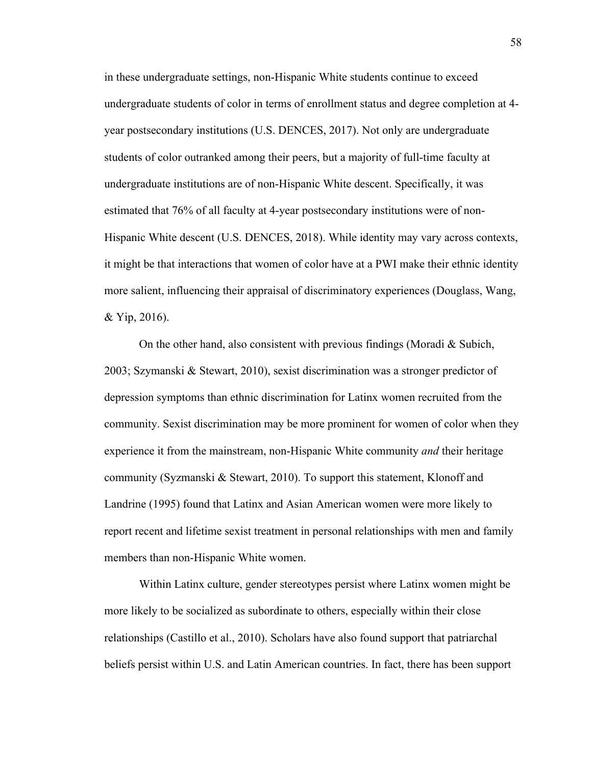in these undergraduate settings, non-Hispanic White students continue to exceed undergraduate students of color in terms of enrollment status and degree completion at 4 year postsecondary institutions (U.S. DENCES, 2017). Not only are undergraduate students of color outranked among their peers, but a majority of full-time faculty at undergraduate institutions are of non-Hispanic White descent. Specifically, it was estimated that 76% of all faculty at 4-year postsecondary institutions were of non-Hispanic White descent (U.S. DENCES, 2018). While identity may vary across contexts, it might be that interactions that women of color have at a PWI make their ethnic identity more salient, influencing their appraisal of discriminatory experiences (Douglass, Wang, & Yip, 2016).

On the other hand, also consistent with previous findings (Moradi  $\&$  Subich, 2003; Szymanski & Stewart, 2010), sexist discrimination was a stronger predictor of depression symptoms than ethnic discrimination for Latinx women recruited from the community. Sexist discrimination may be more prominent for women of color when they experience it from the mainstream, non-Hispanic White community *and* their heritage community (Syzmanski & Stewart, 2010). To support this statement, Klonoff and Landrine (1995) found that Latinx and Asian American women were more likely to report recent and lifetime sexist treatment in personal relationships with men and family members than non-Hispanic White women.

Within Latinx culture, gender stereotypes persist where Latinx women might be more likely to be socialized as subordinate to others, especially within their close relationships (Castillo et al., 2010). Scholars have also found support that patriarchal beliefs persist within U.S. and Latin American countries. In fact, there has been support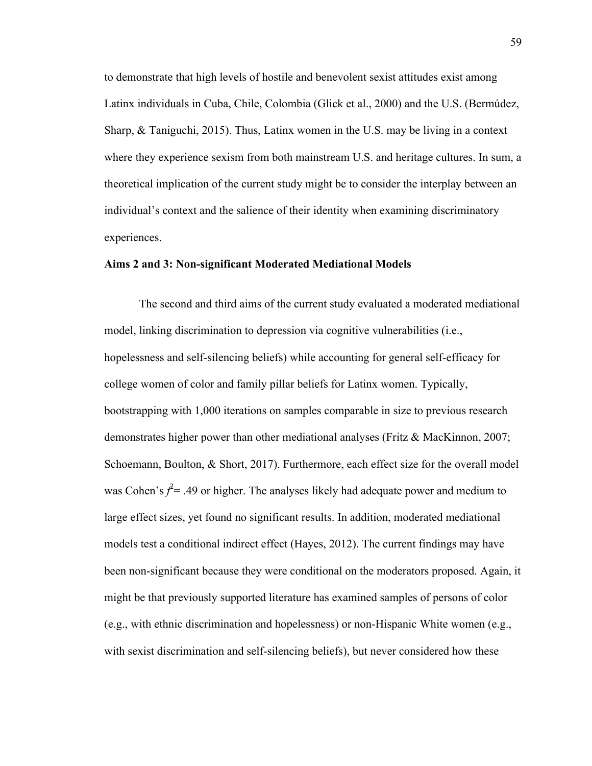to demonstrate that high levels of hostile and benevolent sexist attitudes exist among Latinx individuals in Cuba, Chile, Colombia (Glick et al., 2000) and the U.S. (Bermúdez, Sharp, & Taniguchi, 2015). Thus, Latinx women in the U.S. may be living in a context where they experience sexism from both mainstream U.S. and heritage cultures. In sum, a theoretical implication of the current study might be to consider the interplay between an individual's context and the salience of their identity when examining discriminatory experiences.

### **Aims 2 and 3: Non-significant Moderated Mediational Models**

The second and third aims of the current study evaluated a moderated mediational model, linking discrimination to depression via cognitive vulnerabilities (i.e., hopelessness and self-silencing beliefs) while accounting for general self-efficacy for college women of color and family pillar beliefs for Latinx women. Typically, bootstrapping with 1,000 iterations on samples comparable in size to previous research demonstrates higher power than other mediational analyses (Fritz & MacKinnon, 2007; Schoemann, Boulton, & Short, 2017). Furthermore, each effect size for the overall model was Cohen's  $f^2$  = .49 or higher. The analyses likely had adequate power and medium to large effect sizes, yet found no significant results. In addition, moderated mediational models test a conditional indirect effect (Hayes, 2012). The current findings may have been non-significant because they were conditional on the moderators proposed. Again, it might be that previously supported literature has examined samples of persons of color (e.g., with ethnic discrimination and hopelessness) or non-Hispanic White women (e.g., with sexist discrimination and self-silencing beliefs), but never considered how these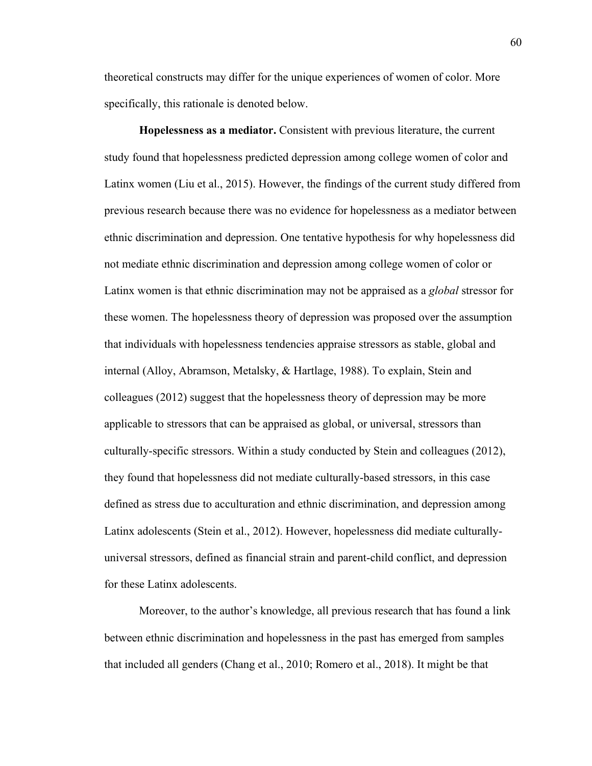theoretical constructs may differ for the unique experiences of women of color. More specifically, this rationale is denoted below.

**Hopelessness as a mediator.** Consistent with previous literature, the current study found that hopelessness predicted depression among college women of color and Latinx women (Liu et al., 2015). However, the findings of the current study differed from previous research because there was no evidence for hopelessness as a mediator between ethnic discrimination and depression. One tentative hypothesis for why hopelessness did not mediate ethnic discrimination and depression among college women of color or Latinx women is that ethnic discrimination may not be appraised as a *global* stressor for these women. The hopelessness theory of depression was proposed over the assumption that individuals with hopelessness tendencies appraise stressors as stable, global and internal (Alloy, Abramson, Metalsky, & Hartlage, 1988). To explain, Stein and colleagues (2012) suggest that the hopelessness theory of depression may be more applicable to stressors that can be appraised as global, or universal, stressors than culturally-specific stressors. Within a study conducted by Stein and colleagues (2012), they found that hopelessness did not mediate culturally-based stressors, in this case defined as stress due to acculturation and ethnic discrimination, and depression among Latinx adolescents (Stein et al., 2012). However, hopelessness did mediate culturallyuniversal stressors, defined as financial strain and parent-child conflict, and depression for these Latinx adolescents.

Moreover, to the author's knowledge, all previous research that has found a link between ethnic discrimination and hopelessness in the past has emerged from samples that included all genders (Chang et al., 2010; Romero et al., 2018). It might be that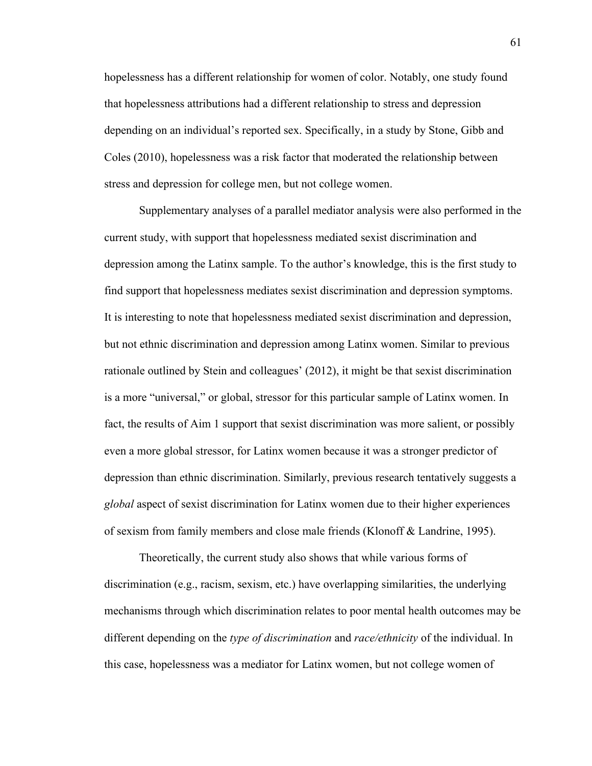hopelessness has a different relationship for women of color. Notably, one study found that hopelessness attributions had a different relationship to stress and depression depending on an individual's reported sex. Specifically, in a study by Stone, Gibb and Coles (2010), hopelessness was a risk factor that moderated the relationship between stress and depression for college men, but not college women.

Supplementary analyses of a parallel mediator analysis were also performed in the current study, with support that hopelessness mediated sexist discrimination and depression among the Latinx sample. To the author's knowledge, this is the first study to find support that hopelessness mediates sexist discrimination and depression symptoms. It is interesting to note that hopelessness mediated sexist discrimination and depression, but not ethnic discrimination and depression among Latinx women. Similar to previous rationale outlined by Stein and colleagues' (2012), it might be that sexist discrimination is a more "universal," or global, stressor for this particular sample of Latinx women. In fact, the results of Aim 1 support that sexist discrimination was more salient, or possibly even a more global stressor, for Latinx women because it was a stronger predictor of depression than ethnic discrimination. Similarly, previous research tentatively suggests a *global* aspect of sexist discrimination for Latinx women due to their higher experiences of sexism from family members and close male friends (Klonoff & Landrine, 1995).

Theoretically, the current study also shows that while various forms of discrimination (e.g., racism, sexism, etc.) have overlapping similarities, the underlying mechanisms through which discrimination relates to poor mental health outcomes may be different depending on the *type of discrimination* and *race/ethnicity* of the individual. In this case, hopelessness was a mediator for Latinx women, but not college women of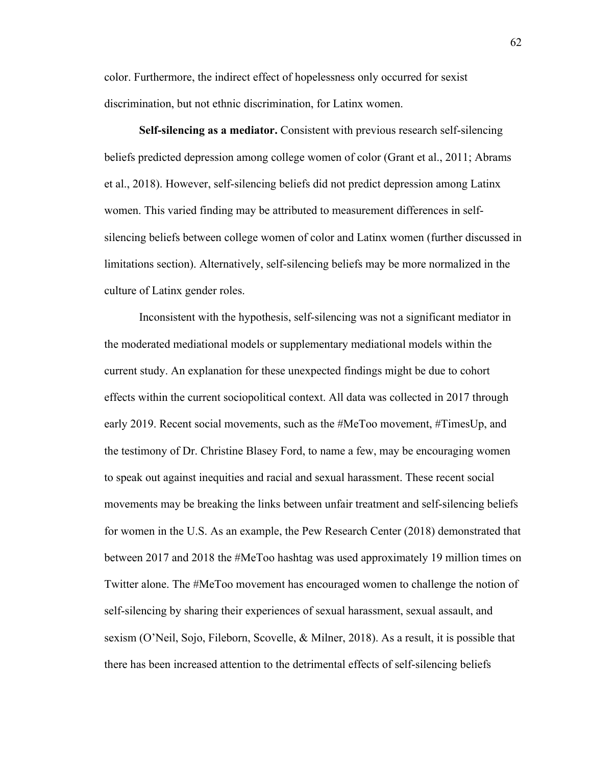color. Furthermore, the indirect effect of hopelessness only occurred for sexist discrimination, but not ethnic discrimination, for Latinx women.

**Self-silencing as a mediator.** Consistent with previous research self-silencing beliefs predicted depression among college women of color (Grant et al., 2011; Abrams et al., 2018). However, self-silencing beliefs did not predict depression among Latinx women. This varied finding may be attributed to measurement differences in selfsilencing beliefs between college women of color and Latinx women (further discussed in limitations section). Alternatively, self-silencing beliefs may be more normalized in the culture of Latinx gender roles.

Inconsistent with the hypothesis, self-silencing was not a significant mediator in the moderated mediational models or supplementary mediational models within the current study. An explanation for these unexpected findings might be due to cohort effects within the current sociopolitical context. All data was collected in 2017 through early 2019. Recent social movements, such as the #MeToo movement, #TimesUp, and the testimony of Dr. Christine Blasey Ford, to name a few, may be encouraging women to speak out against inequities and racial and sexual harassment. These recent social movements may be breaking the links between unfair treatment and self-silencing beliefs for women in the U.S. As an example, the Pew Research Center (2018) demonstrated that between 2017 and 2018 the #MeToo hashtag was used approximately 19 million times on Twitter alone. The #MeToo movement has encouraged women to challenge the notion of self-silencing by sharing their experiences of sexual harassment, sexual assault, and sexism (O'Neil, Sojo, Fileborn, Scovelle, & Milner, 2018). As a result, it is possible that there has been increased attention to the detrimental effects of self-silencing beliefs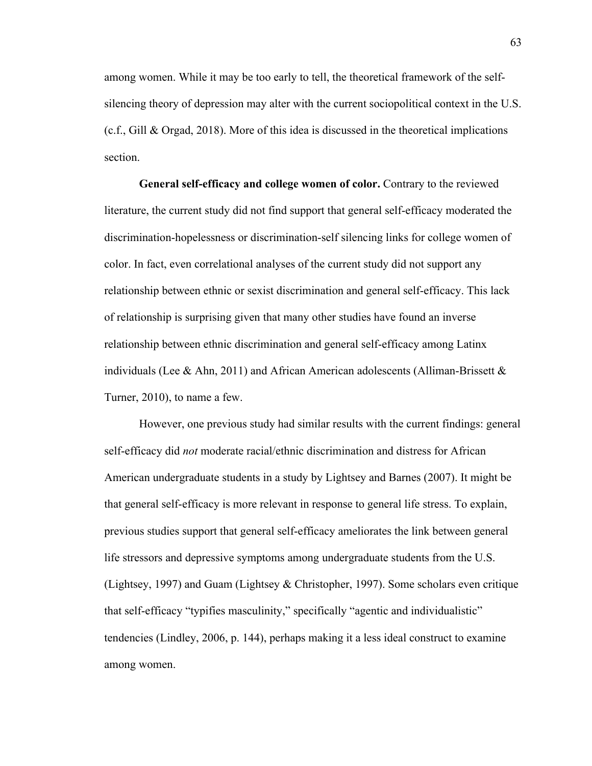among women. While it may be too early to tell, the theoretical framework of the selfsilencing theory of depression may alter with the current sociopolitical context in the U.S. (c.f., Gill & Orgad, 2018). More of this idea is discussed in the theoretical implications section.

**General self-efficacy and college women of color.** Contrary to the reviewed literature, the current study did not find support that general self-efficacy moderated the discrimination-hopelessness or discrimination-self silencing links for college women of color. In fact, even correlational analyses of the current study did not support any relationship between ethnic or sexist discrimination and general self-efficacy. This lack of relationship is surprising given that many other studies have found an inverse relationship between ethnic discrimination and general self-efficacy among Latinx individuals (Lee & Ahn, 2011) and African American adolescents (Alliman-Brissett  $\&$ Turner, 2010), to name a few.

However, one previous study had similar results with the current findings: general self-efficacy did *not* moderate racial/ethnic discrimination and distress for African American undergraduate students in a study by Lightsey and Barnes (2007). It might be that general self-efficacy is more relevant in response to general life stress. To explain, previous studies support that general self-efficacy ameliorates the link between general life stressors and depressive symptoms among undergraduate students from the U.S. (Lightsey, 1997) and Guam (Lightsey & Christopher, 1997). Some scholars even critique that self-efficacy "typifies masculinity," specifically "agentic and individualistic" tendencies (Lindley, 2006, p. 144), perhaps making it a less ideal construct to examine among women.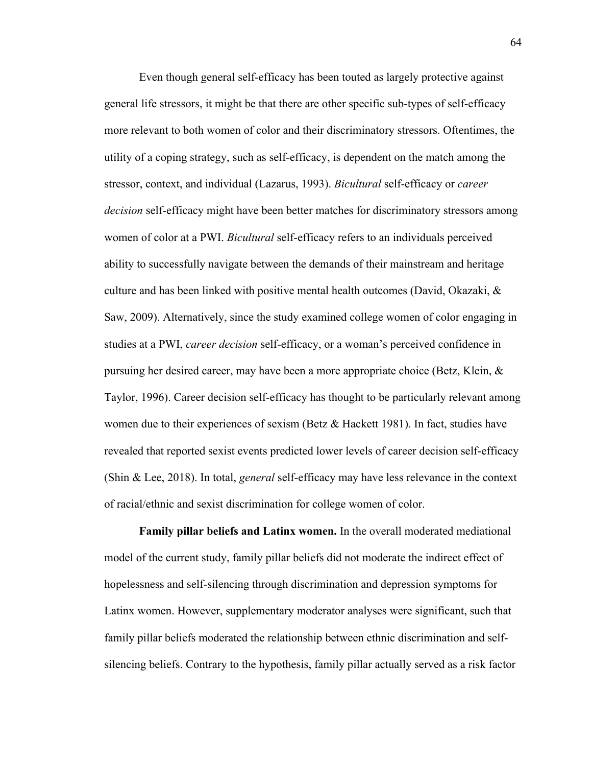Even though general self-efficacy has been touted as largely protective against general life stressors, it might be that there are other specific sub-types of self-efficacy more relevant to both women of color and their discriminatory stressors. Oftentimes, the utility of a coping strategy, such as self-efficacy, is dependent on the match among the stressor, context, and individual (Lazarus, 1993). *Bicultural* self-efficacy or *career decision* self-efficacy might have been better matches for discriminatory stressors among women of color at a PWI. *Bicultural* self-efficacy refers to an individuals perceived ability to successfully navigate between the demands of their mainstream and heritage culture and has been linked with positive mental health outcomes (David, Okazaki, & Saw, 2009). Alternatively, since the study examined college women of color engaging in studies at a PWI, *career decision* self-efficacy, or a woman's perceived confidence in pursuing her desired career, may have been a more appropriate choice (Betz, Klein, & Taylor, 1996). Career decision self-efficacy has thought to be particularly relevant among women due to their experiences of sexism (Betz & Hackett 1981). In fact, studies have revealed that reported sexist events predicted lower levels of career decision self-efficacy (Shin & Lee, 2018). In total, *general* self-efficacy may have less relevance in the context of racial/ethnic and sexist discrimination for college women of color.

**Family pillar beliefs and Latinx women.** In the overall moderated mediational model of the current study, family pillar beliefs did not moderate the indirect effect of hopelessness and self-silencing through discrimination and depression symptoms for Latinx women. However, supplementary moderator analyses were significant, such that family pillar beliefs moderated the relationship between ethnic discrimination and selfsilencing beliefs. Contrary to the hypothesis, family pillar actually served as a risk factor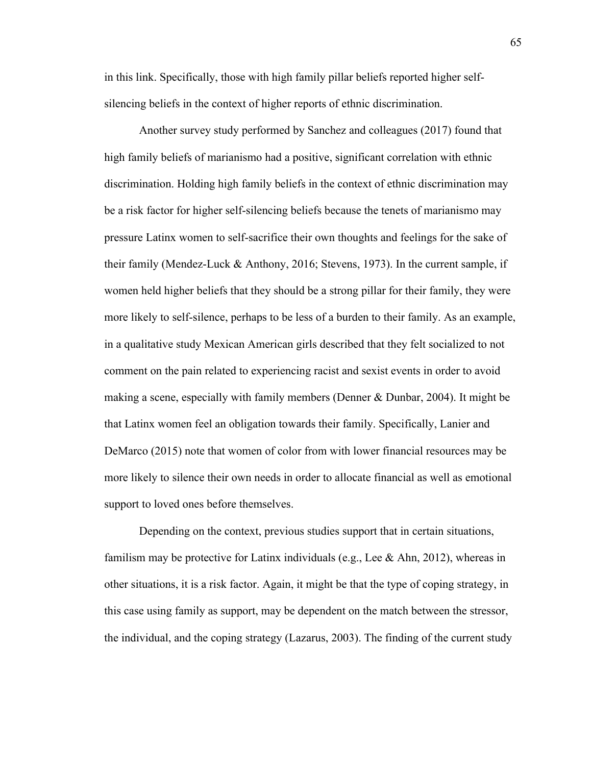in this link. Specifically, those with high family pillar beliefs reported higher selfsilencing beliefs in the context of higher reports of ethnic discrimination.

Another survey study performed by Sanchez and colleagues (2017) found that high family beliefs of marianismo had a positive, significant correlation with ethnic discrimination. Holding high family beliefs in the context of ethnic discrimination may be a risk factor for higher self-silencing beliefs because the tenets of marianismo may pressure Latinx women to self-sacrifice their own thoughts and feelings for the sake of their family (Mendez-Luck & Anthony, 2016; Stevens, 1973). In the current sample, if women held higher beliefs that they should be a strong pillar for their family, they were more likely to self-silence, perhaps to be less of a burden to their family. As an example, in a qualitative study Mexican American girls described that they felt socialized to not comment on the pain related to experiencing racist and sexist events in order to avoid making a scene, especially with family members (Denner & Dunbar, 2004). It might be that Latinx women feel an obligation towards their family. Specifically, Lanier and DeMarco (2015) note that women of color from with lower financial resources may be more likely to silence their own needs in order to allocate financial as well as emotional support to loved ones before themselves.

Depending on the context, previous studies support that in certain situations, familism may be protective for Latinx individuals (e.g., Lee  $\&$  Ahn, 2012), whereas in other situations, it is a risk factor. Again, it might be that the type of coping strategy, in this case using family as support, may be dependent on the match between the stressor, the individual, and the coping strategy (Lazarus, 2003). The finding of the current study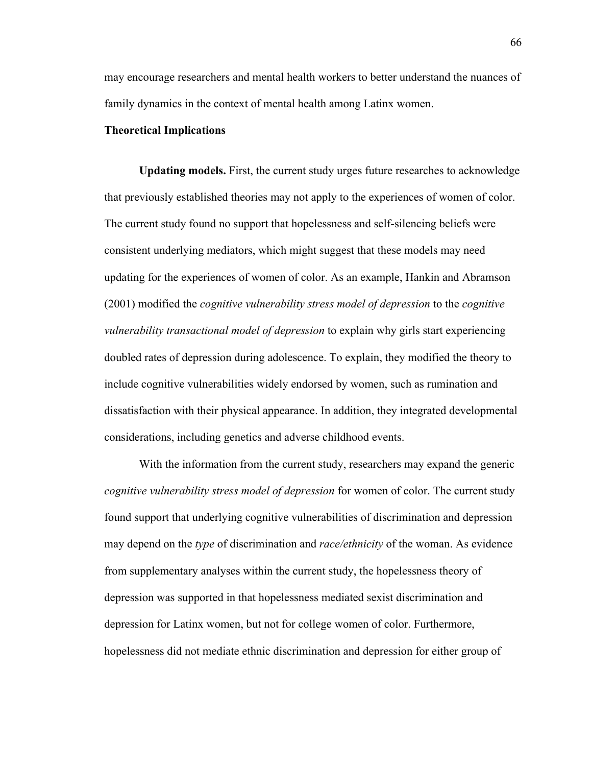may encourage researchers and mental health workers to better understand the nuances of family dynamics in the context of mental health among Latinx women.

## **Theoretical Implications**

**Updating models.** First, the current study urges future researches to acknowledge that previously established theories may not apply to the experiences of women of color. The current study found no support that hopelessness and self-silencing beliefs were consistent underlying mediators, which might suggest that these models may need updating for the experiences of women of color. As an example, Hankin and Abramson (2001) modified the *cognitive vulnerability stress model of depression* to the *cognitive vulnerability transactional model of depression* to explain why girls start experiencing doubled rates of depression during adolescence. To explain, they modified the theory to include cognitive vulnerabilities widely endorsed by women, such as rumination and dissatisfaction with their physical appearance. In addition, they integrated developmental considerations, including genetics and adverse childhood events.

With the information from the current study, researchers may expand the generic *cognitive vulnerability stress model of depression* for women of color. The current study found support that underlying cognitive vulnerabilities of discrimination and depression may depend on the *type* of discrimination and *race/ethnicity* of the woman. As evidence from supplementary analyses within the current study, the hopelessness theory of depression was supported in that hopelessness mediated sexist discrimination and depression for Latinx women, but not for college women of color. Furthermore, hopelessness did not mediate ethnic discrimination and depression for either group of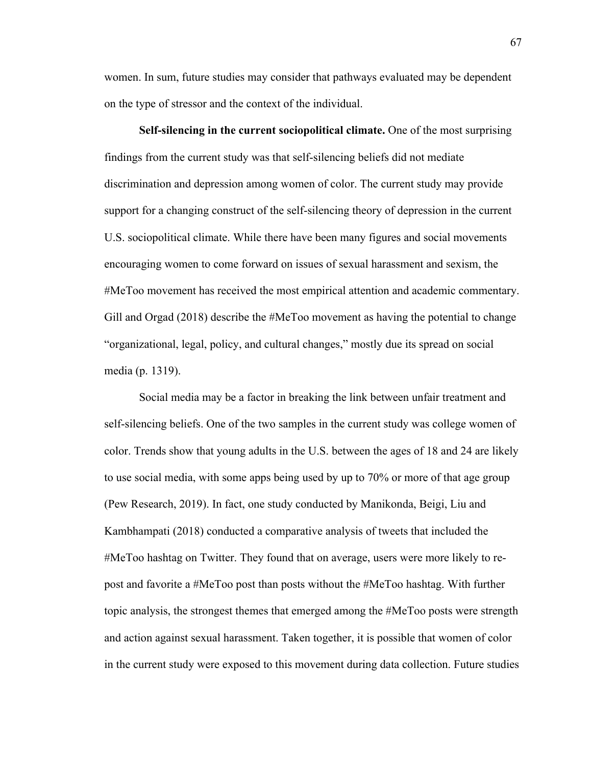women. In sum, future studies may consider that pathways evaluated may be dependent on the type of stressor and the context of the individual.

**Self-silencing in the current sociopolitical climate.** One of the most surprising findings from the current study was that self-silencing beliefs did not mediate discrimination and depression among women of color. The current study may provide support for a changing construct of the self-silencing theory of depression in the current U.S. sociopolitical climate. While there have been many figures and social movements encouraging women to come forward on issues of sexual harassment and sexism, the #MeToo movement has received the most empirical attention and academic commentary. Gill and Orgad (2018) describe the #MeToo movement as having the potential to change "organizational, legal, policy, and cultural changes," mostly due its spread on social media (p. 1319).

Social media may be a factor in breaking the link between unfair treatment and self-silencing beliefs. One of the two samples in the current study was college women of color. Trends show that young adults in the U.S. between the ages of 18 and 24 are likely to use social media, with some apps being used by up to 70% or more of that age group (Pew Research, 2019). In fact, one study conducted by Manikonda, Beigi, Liu and Kambhampati (2018) conducted a comparative analysis of tweets that included the #MeToo hashtag on Twitter. They found that on average, users were more likely to repost and favorite a #MeToo post than posts without the #MeToo hashtag. With further topic analysis, the strongest themes that emerged among the #MeToo posts were strength and action against sexual harassment. Taken together, it is possible that women of color in the current study were exposed to this movement during data collection. Future studies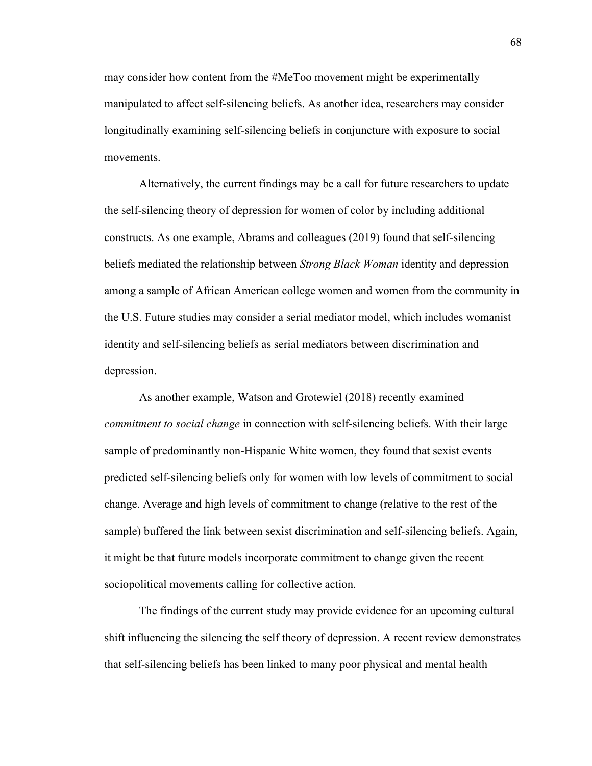may consider how content from the #MeToo movement might be experimentally manipulated to affect self-silencing beliefs. As another idea, researchers may consider longitudinally examining self-silencing beliefs in conjuncture with exposure to social movements.

Alternatively, the current findings may be a call for future researchers to update the self-silencing theory of depression for women of color by including additional constructs. As one example, Abrams and colleagues (2019) found that self-silencing beliefs mediated the relationship between *Strong Black Woman* identity and depression among a sample of African American college women and women from the community in the U.S. Future studies may consider a serial mediator model, which includes womanist identity and self-silencing beliefs as serial mediators between discrimination and depression.

As another example, Watson and Grotewiel (2018) recently examined *commitment to social change* in connection with self-silencing beliefs. With their large sample of predominantly non-Hispanic White women, they found that sexist events predicted self-silencing beliefs only for women with low levels of commitment to social change. Average and high levels of commitment to change (relative to the rest of the sample) buffered the link between sexist discrimination and self-silencing beliefs. Again, it might be that future models incorporate commitment to change given the recent sociopolitical movements calling for collective action.

The findings of the current study may provide evidence for an upcoming cultural shift influencing the silencing the self theory of depression. A recent review demonstrates that self-silencing beliefs has been linked to many poor physical and mental health

68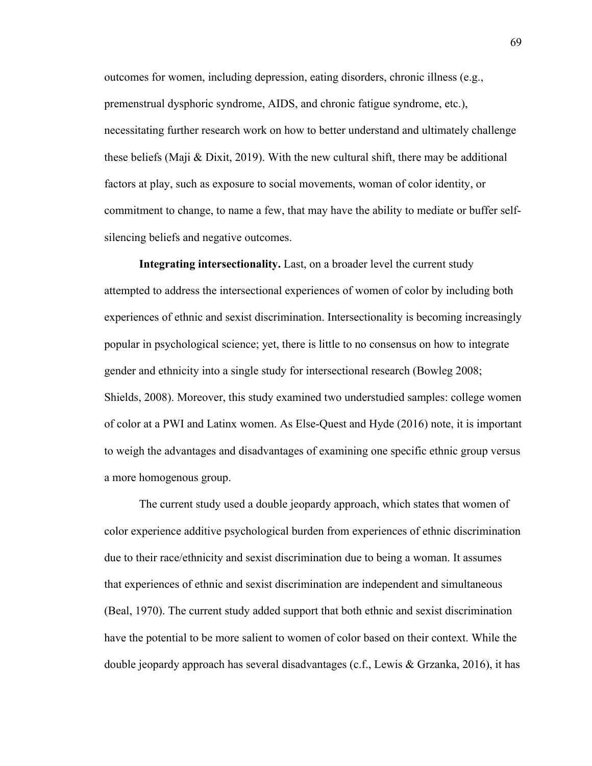outcomes for women, including depression, eating disorders, chronic illness (e.g., premenstrual dysphoric syndrome, AIDS, and chronic fatigue syndrome, etc.), necessitating further research work on how to better understand and ultimately challenge these beliefs (Maji & Dixit, 2019). With the new cultural shift, there may be additional factors at play, such as exposure to social movements, woman of color identity, or commitment to change, to name a few, that may have the ability to mediate or buffer selfsilencing beliefs and negative outcomes.

**Integrating intersectionality.** Last, on a broader level the current study attempted to address the intersectional experiences of women of color by including both experiences of ethnic and sexist discrimination. Intersectionality is becoming increasingly popular in psychological science; yet, there is little to no consensus on how to integrate gender and ethnicity into a single study for intersectional research (Bowleg 2008; Shields, 2008). Moreover, this study examined two understudied samples: college women of color at a PWI and Latinx women. As Else-Quest and Hyde (2016) note, it is important to weigh the advantages and disadvantages of examining one specific ethnic group versus a more homogenous group.

The current study used a double jeopardy approach, which states that women of color experience additive psychological burden from experiences of ethnic discrimination due to their race/ethnicity and sexist discrimination due to being a woman. It assumes that experiences of ethnic and sexist discrimination are independent and simultaneous (Beal, 1970). The current study added support that both ethnic and sexist discrimination have the potential to be more salient to women of color based on their context. While the double jeopardy approach has several disadvantages (c.f., Lewis & Grzanka, 2016), it has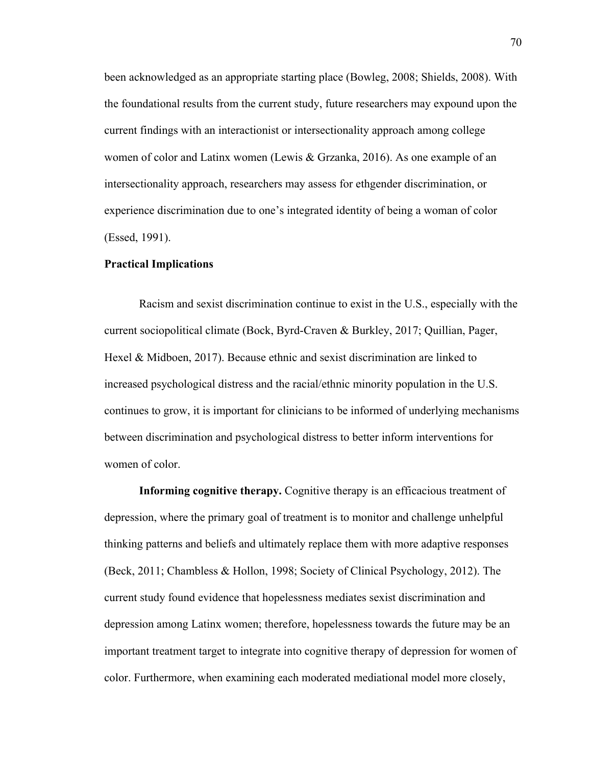been acknowledged as an appropriate starting place (Bowleg, 2008; Shields, 2008). With the foundational results from the current study, future researchers may expound upon the current findings with an interactionist or intersectionality approach among college women of color and Latinx women (Lewis & Grzanka, 2016). As one example of an intersectionality approach, researchers may assess for ethgender discrimination, or experience discrimination due to one's integrated identity of being a woman of color (Essed, 1991).

#### **Practical Implications**

Racism and sexist discrimination continue to exist in the U.S., especially with the current sociopolitical climate (Bock, Byrd-Craven & Burkley, 2017; Quillian, Pager, Hexel & Midboen, 2017). Because ethnic and sexist discrimination are linked to increased psychological distress and the racial/ethnic minority population in the U.S. continues to grow, it is important for clinicians to be informed of underlying mechanisms between discrimination and psychological distress to better inform interventions for women of color.

**Informing cognitive therapy.** Cognitive therapy is an efficacious treatment of depression, where the primary goal of treatment is to monitor and challenge unhelpful thinking patterns and beliefs and ultimately replace them with more adaptive responses (Beck, 2011; Chambless & Hollon, 1998; Society of Clinical Psychology, 2012). The current study found evidence that hopelessness mediates sexist discrimination and depression among Latinx women; therefore, hopelessness towards the future may be an important treatment target to integrate into cognitive therapy of depression for women of color. Furthermore, when examining each moderated mediational model more closely,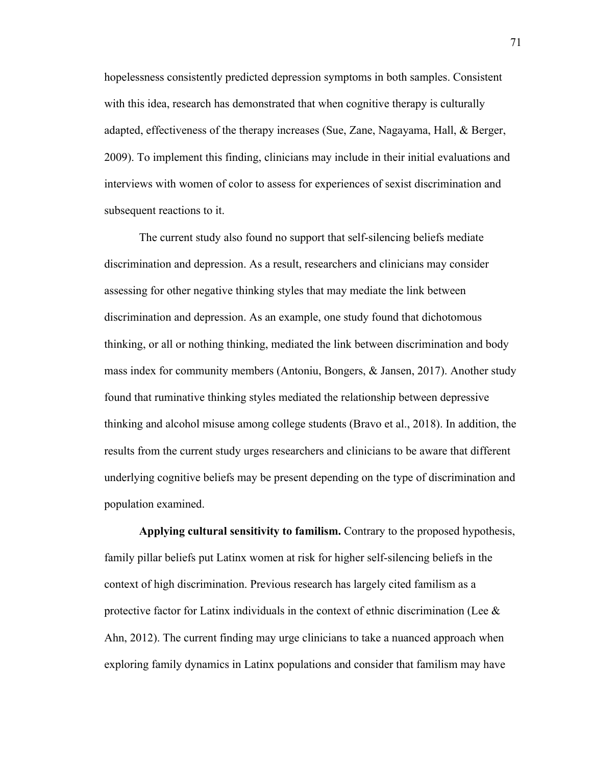hopelessness consistently predicted depression symptoms in both samples. Consistent with this idea, research has demonstrated that when cognitive therapy is culturally adapted, effectiveness of the therapy increases (Sue, Zane, Nagayama, Hall, & Berger, 2009). To implement this finding, clinicians may include in their initial evaluations and interviews with women of color to assess for experiences of sexist discrimination and subsequent reactions to it.

The current study also found no support that self-silencing beliefs mediate discrimination and depression. As a result, researchers and clinicians may consider assessing for other negative thinking styles that may mediate the link between discrimination and depression. As an example, one study found that dichotomous thinking, or all or nothing thinking, mediated the link between discrimination and body mass index for community members (Antoniu, Bongers, & Jansen, 2017). Another study found that ruminative thinking styles mediated the relationship between depressive thinking and alcohol misuse among college students (Bravo et al., 2018). In addition, the results from the current study urges researchers and clinicians to be aware that different underlying cognitive beliefs may be present depending on the type of discrimination and population examined.

**Applying cultural sensitivity to familism.** Contrary to the proposed hypothesis, family pillar beliefs put Latinx women at risk for higher self-silencing beliefs in the context of high discrimination. Previous research has largely cited familism as a protective factor for Latinx individuals in the context of ethnic discrimination (Lee  $\&$ Ahn, 2012). The current finding may urge clinicians to take a nuanced approach when exploring family dynamics in Latinx populations and consider that familism may have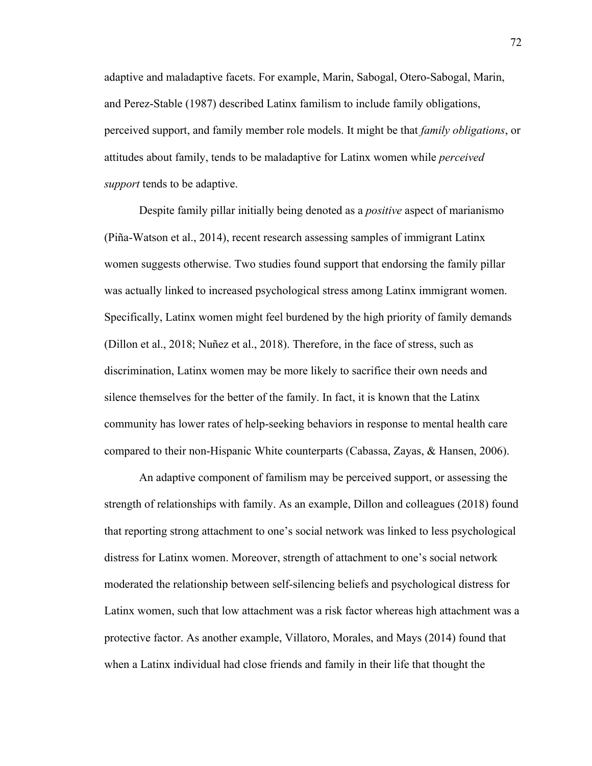adaptive and maladaptive facets. For example, Marin, Sabogal, Otero-Sabogal, Marin, and Perez-Stable (1987) described Latinx familism to include family obligations, perceived support, and family member role models. It might be that *family obligations*, or attitudes about family, tends to be maladaptive for Latinx women while *perceived support* tends to be adaptive.

Despite family pillar initially being denoted as a *positive* aspect of marianismo (Piña-Watson et al., 2014), recent research assessing samples of immigrant Latinx women suggests otherwise. Two studies found support that endorsing the family pillar was actually linked to increased psychological stress among Latinx immigrant women. Specifically, Latinx women might feel burdened by the high priority of family demands (Dillon et al., 2018; Nuñez et al., 2018). Therefore, in the face of stress, such as discrimination, Latinx women may be more likely to sacrifice their own needs and silence themselves for the better of the family. In fact, it is known that the Latinx community has lower rates of help-seeking behaviors in response to mental health care compared to their non-Hispanic White counterparts (Cabassa, Zayas, & Hansen, 2006).

An adaptive component of familism may be perceived support, or assessing the strength of relationships with family. As an example, Dillon and colleagues (2018) found that reporting strong attachment to one's social network was linked to less psychological distress for Latinx women. Moreover, strength of attachment to one's social network moderated the relationship between self-silencing beliefs and psychological distress for Latinx women, such that low attachment was a risk factor whereas high attachment was a protective factor. As another example, Villatoro, Morales, and Mays (2014) found that when a Latinx individual had close friends and family in their life that thought the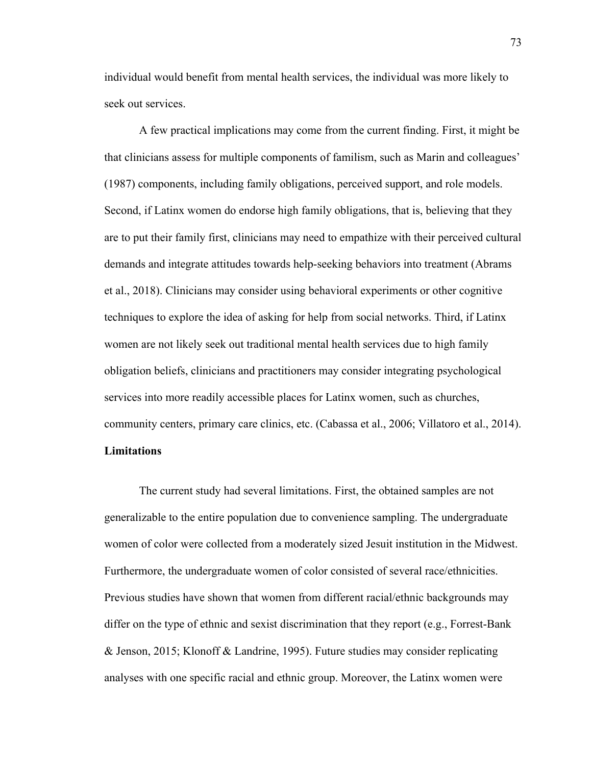individual would benefit from mental health services, the individual was more likely to seek out services.

A few practical implications may come from the current finding. First, it might be that clinicians assess for multiple components of familism, such as Marin and colleagues' (1987) components, including family obligations, perceived support, and role models. Second, if Latinx women do endorse high family obligations, that is, believing that they are to put their family first, clinicians may need to empathize with their perceived cultural demands and integrate attitudes towards help-seeking behaviors into treatment (Abrams et al., 2018). Clinicians may consider using behavioral experiments or other cognitive techniques to explore the idea of asking for help from social networks. Third, if Latinx women are not likely seek out traditional mental health services due to high family obligation beliefs, clinicians and practitioners may consider integrating psychological services into more readily accessible places for Latinx women, such as churches, community centers, primary care clinics, etc. (Cabassa et al., 2006; Villatoro et al., 2014). **Limitations**

The current study had several limitations. First, the obtained samples are not generalizable to the entire population due to convenience sampling. The undergraduate women of color were collected from a moderately sized Jesuit institution in the Midwest. Furthermore, the undergraduate women of color consisted of several race/ethnicities. Previous studies have shown that women from different racial/ethnic backgrounds may differ on the type of ethnic and sexist discrimination that they report (e.g., Forrest-Bank & Jenson, 2015; Klonoff & Landrine, 1995). Future studies may consider replicating analyses with one specific racial and ethnic group. Moreover, the Latinx women were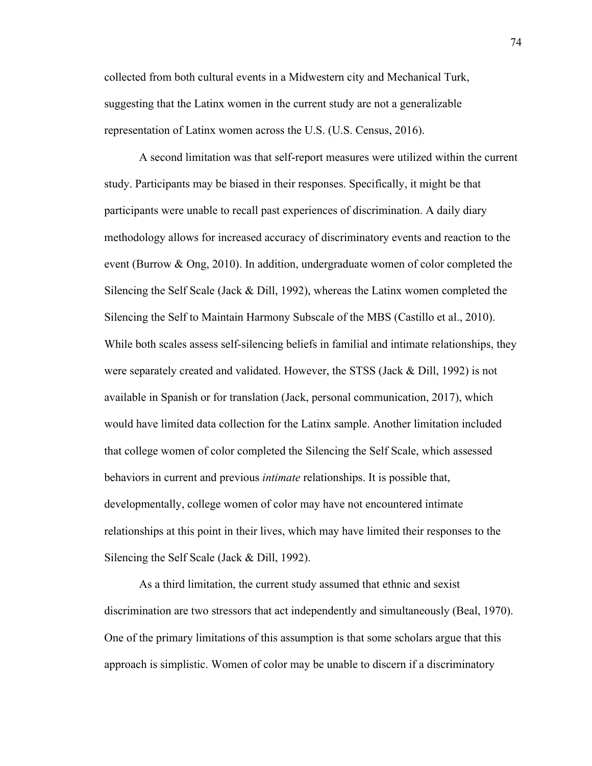collected from both cultural events in a Midwestern city and Mechanical Turk, suggesting that the Latinx women in the current study are not a generalizable representation of Latinx women across the U.S. (U.S. Census, 2016).

A second limitation was that self-report measures were utilized within the current study. Participants may be biased in their responses. Specifically, it might be that participants were unable to recall past experiences of discrimination. A daily diary methodology allows for increased accuracy of discriminatory events and reaction to the event (Burrow & Ong, 2010). In addition, undergraduate women of color completed the Silencing the Self Scale (Jack  $\&$  Dill, 1992), whereas the Latinx women completed the Silencing the Self to Maintain Harmony Subscale of the MBS (Castillo et al., 2010). While both scales assess self-silencing beliefs in familial and intimate relationships, they were separately created and validated. However, the STSS (Jack & Dill, 1992) is not available in Spanish or for translation (Jack, personal communication, 2017), which would have limited data collection for the Latinx sample. Another limitation included that college women of color completed the Silencing the Self Scale, which assessed behaviors in current and previous *intimate* relationships. It is possible that, developmentally, college women of color may have not encountered intimate relationships at this point in their lives, which may have limited their responses to the Silencing the Self Scale (Jack & Dill, 1992).

As a third limitation, the current study assumed that ethnic and sexist discrimination are two stressors that act independently and simultaneously (Beal, 1970). One of the primary limitations of this assumption is that some scholars argue that this approach is simplistic. Women of color may be unable to discern if a discriminatory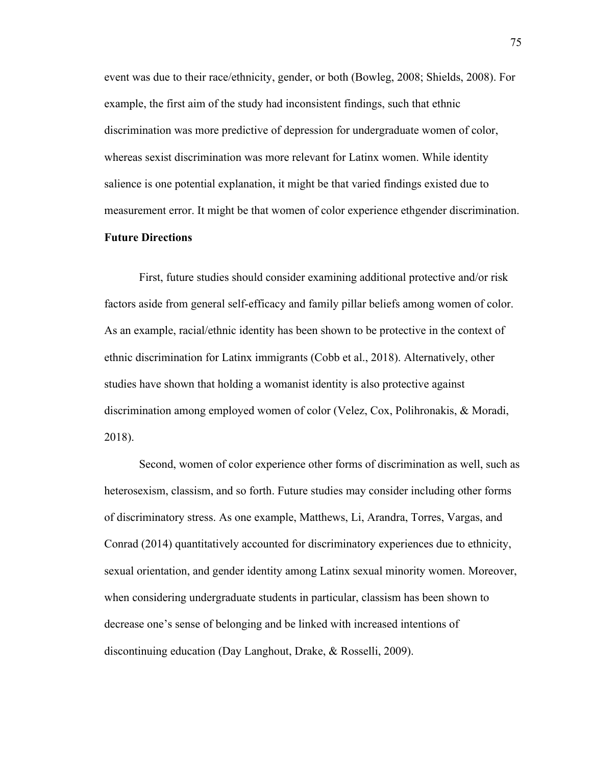event was due to their race/ethnicity, gender, or both (Bowleg, 2008; Shields, 2008). For example, the first aim of the study had inconsistent findings, such that ethnic discrimination was more predictive of depression for undergraduate women of color, whereas sexist discrimination was more relevant for Latinx women. While identity salience is one potential explanation, it might be that varied findings existed due to measurement error. It might be that women of color experience ethgender discrimination.

# **Future Directions**

First, future studies should consider examining additional protective and/or risk factors aside from general self-efficacy and family pillar beliefs among women of color. As an example, racial/ethnic identity has been shown to be protective in the context of ethnic discrimination for Latinx immigrants (Cobb et al., 2018). Alternatively, other studies have shown that holding a womanist identity is also protective against discrimination among employed women of color (Velez, Cox, Polihronakis, & Moradi, 2018).

Second, women of color experience other forms of discrimination as well, such as heterosexism, classism, and so forth. Future studies may consider including other forms of discriminatory stress. As one example, Matthews, Li, Arandra, Torres, Vargas, and Conrad (2014) quantitatively accounted for discriminatory experiences due to ethnicity, sexual orientation, and gender identity among Latinx sexual minority women. Moreover, when considering undergraduate students in particular, classism has been shown to decrease one's sense of belonging and be linked with increased intentions of discontinuing education (Day Langhout, Drake, & Rosselli, 2009).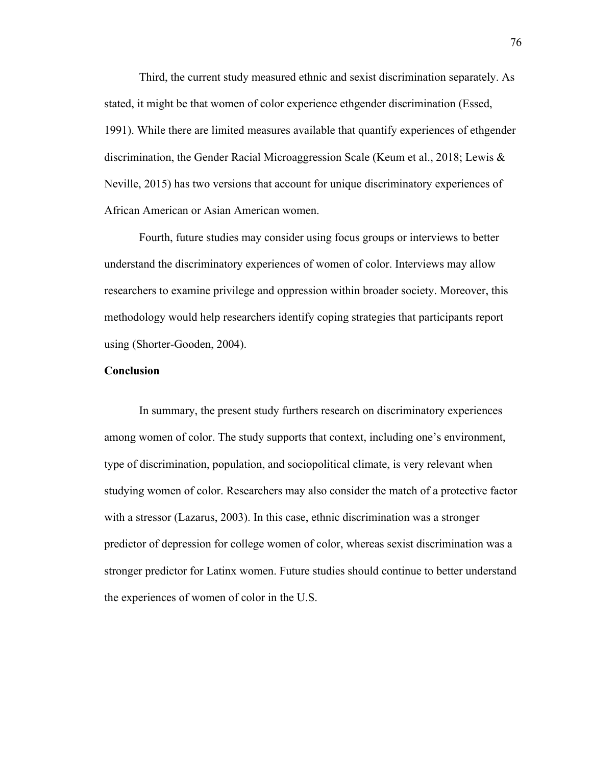Third, the current study measured ethnic and sexist discrimination separately. As stated, it might be that women of color experience ethgender discrimination (Essed, 1991). While there are limited measures available that quantify experiences of ethgender discrimination, the Gender Racial Microaggression Scale (Keum et al., 2018; Lewis & Neville, 2015) has two versions that account for unique discriminatory experiences of African American or Asian American women.

Fourth, future studies may consider using focus groups or interviews to better understand the discriminatory experiences of women of color. Interviews may allow researchers to examine privilege and oppression within broader society. Moreover, this methodology would help researchers identify coping strategies that participants report using (Shorter-Gooden, 2004).

# **Conclusion**

In summary, the present study furthers research on discriminatory experiences among women of color. The study supports that context, including one's environment, type of discrimination, population, and sociopolitical climate, is very relevant when studying women of color. Researchers may also consider the match of a protective factor with a stressor (Lazarus, 2003). In this case, ethnic discrimination was a stronger predictor of depression for college women of color, whereas sexist discrimination was a stronger predictor for Latinx women. Future studies should continue to better understand the experiences of women of color in the U.S.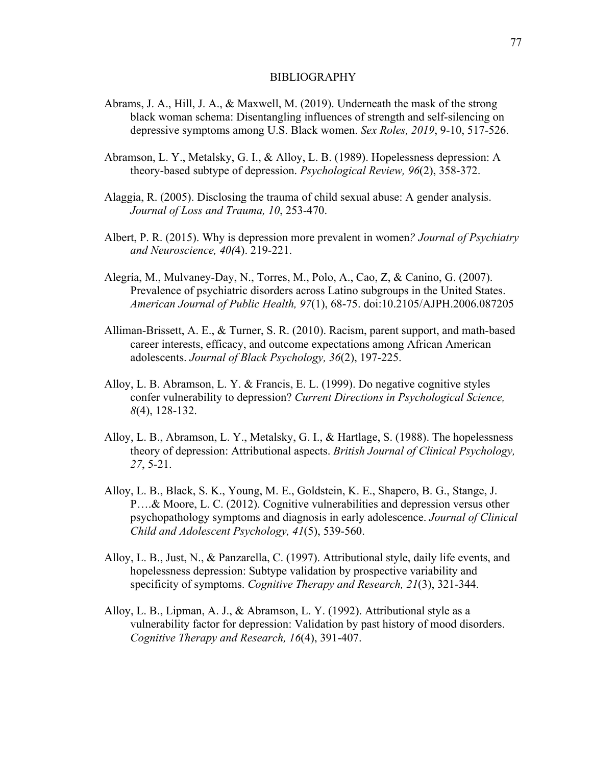#### **BIBLIOGRAPHY**

- Abrams, J. A., Hill, J. A., & Maxwell, M. (2019). Underneath the mask of the strong black woman schema: Disentangling influences of strength and self-silencing on depressive symptoms among U.S. Black women. *Sex Roles, 2019*, 9-10, 517-526.
- Abramson, L. Y., Metalsky, G. I., & Alloy, L. B. (1989). Hopelessness depression: A theory-based subtype of depression. *Psychological Review, 96*(2), 358-372.
- Alaggia, R. (2005). Disclosing the trauma of child sexual abuse: A gender analysis. *Journal of Loss and Trauma, 10*, 253-470.
- Albert, P. R. (2015). Why is depression more prevalent in women*? Journal of Psychiatry and Neuroscience, 40(*4). 219-221.
- Alegría, M., Mulvaney-Day, N., Torres, M., Polo, A., Cao, Z, & Canino, G. (2007). Prevalence of psychiatric disorders across Latino subgroups in the United States. *American Journal of Public Health, 97*(1), 68-75. doi:10.2105/AJPH.2006.087205
- Alliman-Brissett, A. E., & Turner, S. R. (2010). Racism, parent support, and math-based career interests, efficacy, and outcome expectations among African American adolescents. *Journal of Black Psychology, 36*(2), 197-225.
- Alloy, L. B. Abramson, L. Y. & Francis, E. L. (1999). Do negative cognitive styles confer vulnerability to depression? *Current Directions in Psychological Science, 8*(4), 128-132.
- Alloy, L. B., Abramson, L. Y., Metalsky, G. I., & Hartlage, S. (1988). The hopelessness theory of depression: Attributional aspects. *British Journal of Clinical Psychology, 27*, 5-21.
- Alloy, L. B., Black, S. K., Young, M. E., Goldstein, K. E., Shapero, B. G., Stange, J. P….& Moore, L. C. (2012). Cognitive vulnerabilities and depression versus other psychopathology symptoms and diagnosis in early adolescence. *Journal of Clinical Child and Adolescent Psychology, 41*(5), 539-560.
- Alloy, L. B., Just, N., & Panzarella, C. (1997). Attributional style, daily life events, and hopelessness depression: Subtype validation by prospective variability and specificity of symptoms. *Cognitive Therapy and Research, 21*(3), 321-344.
- Alloy, L. B., Lipman, A. J., & Abramson, L. Y. (1992). Attributional style as a vulnerability factor for depression: Validation by past history of mood disorders. *Cognitive Therapy and Research, 16*(4), 391-407.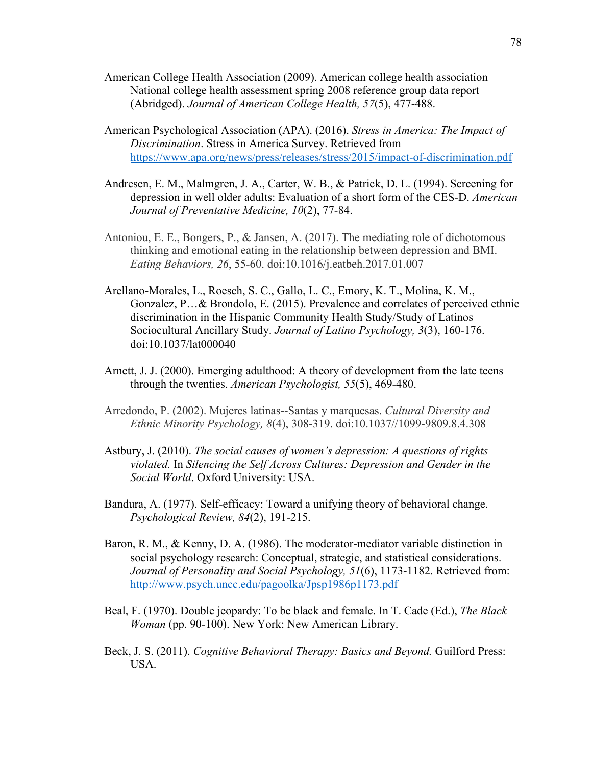- American College Health Association (2009). American college health association National college health assessment spring 2008 reference group data report (Abridged). *Journal of American College Health, 57*(5), 477-488.
- American Psychological Association (APA). (2016). *Stress in America: The Impact of Discrimination*. Stress in America Survey. Retrieved from https://www.apa.org/news/press/releases/stress/2015/impact-of-discrimination.pdf
- Andresen, E. M., Malmgren, J. A., Carter, W. B., & Patrick, D. L. (1994). Screening for depression in well older adults: Evaluation of a short form of the CES-D. *American Journal of Preventative Medicine, 10*(2), 77-84.
- Antoniou, E. E., Bongers, P., & Jansen, A. (2017). The mediating role of dichotomous thinking and emotional eating in the relationship between depression and BMI. *Eating Behaviors, 26*, 55-60. doi:10.1016/j.eatbeh.2017.01.007
- Arellano-Morales, L., Roesch, S. C., Gallo, L. C., Emory, K. T., Molina, K. M., Gonzalez, P…& Brondolo, E. (2015). Prevalence and correlates of perceived ethnic discrimination in the Hispanic Community Health Study/Study of Latinos Sociocultural Ancillary Study. *Journal of Latino Psychology, 3*(3), 160-176. doi:10.1037/lat000040
- Arnett, J. J. (2000). Emerging adulthood: A theory of development from the late teens through the twenties. *American Psychologist, 55*(5), 469-480.
- Arredondo, P. (2002). Mujeres latinas--Santas y marquesas. *Cultural Diversity and Ethnic Minority Psychology, 8*(4), 308-319. doi:10.1037//1099-9809.8.4.308
- Astbury, J. (2010). *The social causes of women's depression: A questions of rights violated.* In *Silencing the Self Across Cultures: Depression and Gender in the Social World*. Oxford University: USA.
- Bandura, A. (1977). Self-efficacy: Toward a unifying theory of behavioral change. *Psychological Review, 84*(2), 191-215.
- Baron, R. M., & Kenny, D. A. (1986). The moderator-mediator variable distinction in social psychology research: Conceptual, strategic, and statistical considerations. *Journal of Personality and Social Psychology, 51*(6), 1173-1182. Retrieved from: http://www.psych.uncc.edu/pagoolka/Jpsp1986p1173.pdf
- Beal, F. (1970). Double jeopardy: To be black and female. In T. Cade (Ed.), *The Black Woman* (pp. 90-100). New York: New American Library.
- Beck, J. S. (2011). *Cognitive Behavioral Therapy: Basics and Beyond.* Guilford Press: USA.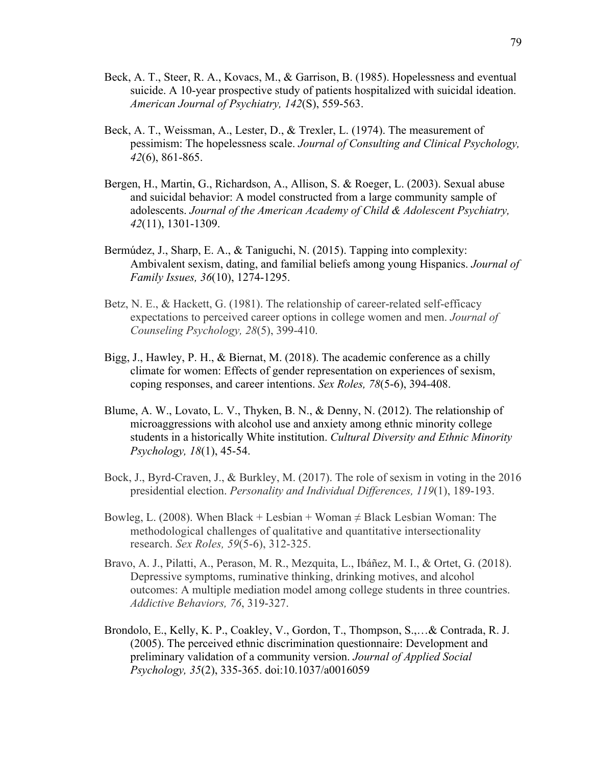- Beck, A. T., Steer, R. A., Kovacs, M., & Garrison, B. (1985). Hopelessness and eventual suicide. A 10-year prospective study of patients hospitalized with suicidal ideation. *American Journal of Psychiatry, 142*(S), 559-563.
- Beck, A. T., Weissman, A., Lester, D., & Trexler, L. (1974). The measurement of pessimism: The hopelessness scale. *Journal of Consulting and Clinical Psychology, 42*(6), 861-865.
- Bergen, H., Martin, G., Richardson, A., Allison, S. & Roeger, L. (2003). Sexual abuse and suicidal behavior: A model constructed from a large community sample of adolescents. *Journal of the American Academy of Child & Adolescent Psychiatry, 42*(11), 1301-1309.
- Bermúdez, J., Sharp, E. A., & Taniguchi, N. (2015). Tapping into complexity: Ambivalent sexism, dating, and familial beliefs among young Hispanics. *Journal of Family Issues, 36*(10), 1274-1295.
- Betz, N. E., & Hackett, G. (1981). The relationship of career-related self-efficacy expectations to perceived career options in college women and men. *Journal of Counseling Psychology, 28*(5), 399-410.
- Bigg, J., Hawley, P. H., & Biernat, M. (2018). The academic conference as a chilly climate for women: Effects of gender representation on experiences of sexism, coping responses, and career intentions. *Sex Roles, 78*(5-6), 394-408.
- Blume, A. W., Lovato, L. V., Thyken, B. N., & Denny, N. (2012). The relationship of microaggressions with alcohol use and anxiety among ethnic minority college students in a historically White institution. *Cultural Diversity and Ethnic Minority Psychology, 18*(1), 45-54.
- Bock, J., Byrd-Craven, J., & Burkley, M. (2017). The role of sexism in voting in the 2016 presidential election. *Personality and Individual Differences, 119*(1), 189-193.
- Bowleg, L. (2008). When Black + Lesbian + Woman  $\neq$  Black Lesbian Woman: The methodological challenges of qualitative and quantitative intersectionality research. *Sex Roles, 59*(5-6), 312-325.
- Bravo, A. J., Pilatti, A., Perason, M. R., Mezquita, L., Ibáñez, M. I., & Ortet, G. (2018). Depressive symptoms, ruminative thinking, drinking motives, and alcohol outcomes: A multiple mediation model among college students in three countries. *Addictive Behaviors, 76*, 319-327.
- Brondolo, E., Kelly, K. P., Coakley, V., Gordon, T., Thompson, S.,…& Contrada, R. J. (2005). The perceived ethnic discrimination questionnaire: Development and preliminary validation of a community version. *Journal of Applied Social Psychology, 35*(2), 335-365. doi:10.1037/a0016059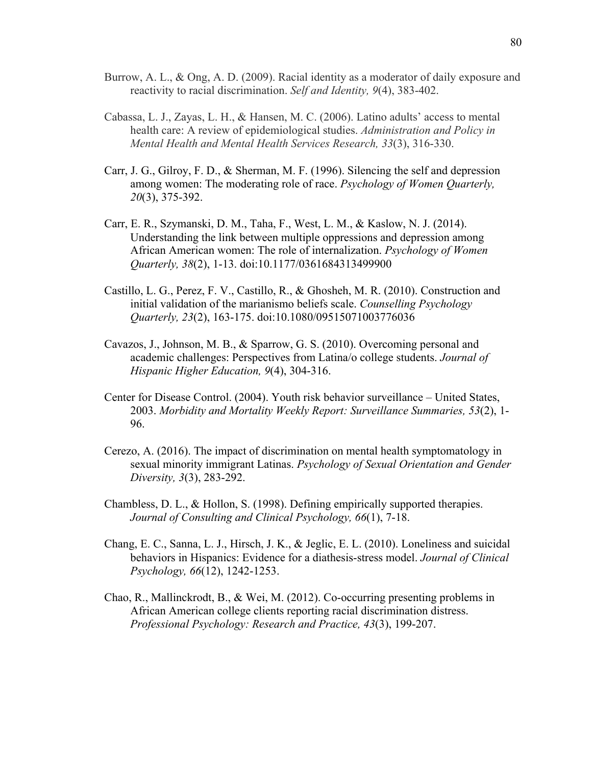- Burrow, A. L., & Ong, A. D. (2009). Racial identity as a moderator of daily exposure and reactivity to racial discrimination. *Self and Identity, 9*(4), 383-402.
- Cabassa, L. J., Zayas, L. H., & Hansen, M. C. (2006). Latino adults' access to mental health care: A review of epidemiological studies. *Administration and Policy in Mental Health and Mental Health Services Research, 33*(3), 316-330.
- Carr, J. G., Gilroy, F. D., & Sherman, M. F. (1996). Silencing the self and depression among women: The moderating role of race. *Psychology of Women Quarterly, 20*(3), 375-392.
- Carr, E. R., Szymanski, D. M., Taha, F., West, L. M., & Kaslow, N. J. (2014). Understanding the link between multiple oppressions and depression among African American women: The role of internalization. *Psychology of Women Quarterly, 38*(2), 1-13. doi:10.1177/0361684313499900
- Castillo, L. G., Perez, F. V., Castillo, R., & Ghosheh, M. R. (2010). Construction and initial validation of the marianismo beliefs scale. *Counselling Psychology Quarterly, 23*(2), 163-175. doi:10.1080/09515071003776036
- Cavazos, J., Johnson, M. B., & Sparrow, G. S. (2010). Overcoming personal and academic challenges: Perspectives from Latina/o college students. *Journal of Hispanic Higher Education, 9*(4), 304-316.
- Center for Disease Control. (2004). Youth risk behavior surveillance United States, 2003. *Morbidity and Mortality Weekly Report: Surveillance Summaries, 53*(2), 1- 96.
- Cerezo, A. (2016). The impact of discrimination on mental health symptomatology in sexual minority immigrant Latinas. *Psychology of Sexual Orientation and Gender Diversity, 3*(3), 283-292.
- Chambless, D. L., & Hollon, S. (1998). Defining empirically supported therapies. *Journal of Consulting and Clinical Psychology, 66*(1), 7-18.
- Chang, E. C., Sanna, L. J., Hirsch, J. K., & Jeglic, E. L. (2010). Loneliness and suicidal behaviors in Hispanics: Evidence for a diathesis-stress model. *Journal of Clinical Psychology, 66*(12), 1242-1253.
- Chao, R., Mallinckrodt, B., & Wei, M. (2012). Co-occurring presenting problems in African American college clients reporting racial discrimination distress. *Professional Psychology: Research and Practice, 43*(3), 199-207.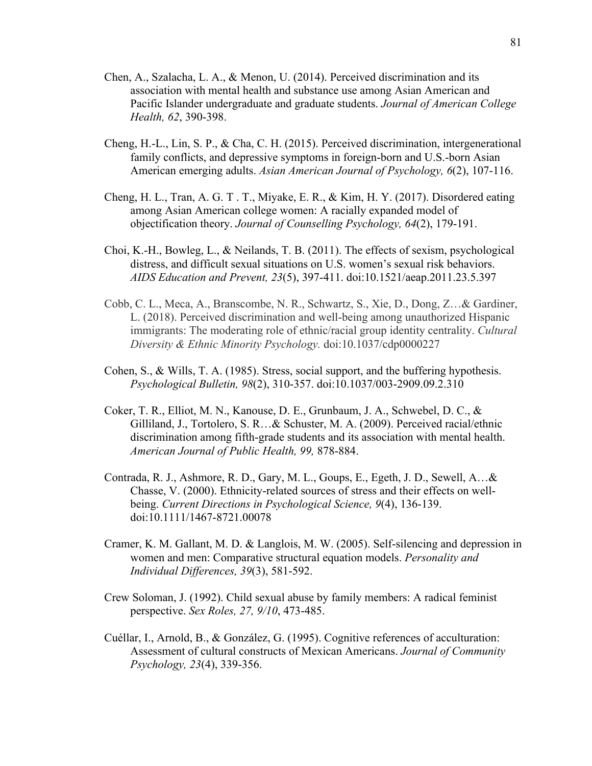- Chen, A., Szalacha, L. A., & Menon, U. (2014). Perceived discrimination and its association with mental health and substance use among Asian American and Pacific Islander undergraduate and graduate students. *Journal of American College Health, 62*, 390-398.
- Cheng, H.-L., Lin, S. P., & Cha, C. H. (2015). Perceived discrimination, intergenerational family conflicts, and depressive symptoms in foreign-born and U.S.-born Asian American emerging adults. *Asian American Journal of Psychology, 6*(2), 107-116.
- Cheng, H. L., Tran, A. G. T . T., Miyake, E. R., & Kim, H. Y. (2017). Disordered eating among Asian American college women: A racially expanded model of objectification theory. *Journal of Counselling Psychology, 64*(2), 179-191.
- Choi, K.-H., Bowleg, L., & Neilands, T. B. (2011). The effects of sexism, psychological distress, and difficult sexual situations on U.S. women's sexual risk behaviors. *AIDS Education and Prevent, 23*(5), 397-411. doi:10.1521/aeap.2011.23.5.397
- Cobb, C. L., Meca, A., Branscombe, N. R., Schwartz, S., Xie, D., Dong, Z…& Gardiner, L. (2018). Perceived discrimination and well-being among unauthorized Hispanic immigrants: The moderating role of ethnic/racial group identity centrality. *Cultural Diversity & Ethnic Minority Psychology.* doi:10.1037/cdp0000227
- Cohen, S., & Wills, T. A. (1985). Stress, social support, and the buffering hypothesis. *Psychological Bulletin, 98*(2), 310-357. doi:10.1037/003-2909.09.2.310
- Coker, T. R., Elliot, M. N., Kanouse, D. E., Grunbaum, J. A., Schwebel, D. C., & Gilliland, J., Tortolero, S. R…& Schuster, M. A. (2009). Perceived racial/ethnic discrimination among fifth-grade students and its association with mental health. *American Journal of Public Health, 99,* 878-884.
- Contrada, R. J., Ashmore, R. D., Gary, M. L., Goups, E., Egeth, J. D., Sewell, A…& Chasse, V. (2000). Ethnicity-related sources of stress and their effects on wellbeing. *Current Directions in Psychological Science, 9*(4), 136-139. doi:10.1111/1467-8721.00078
- Cramer, K. M. Gallant, M. D. & Langlois, M. W. (2005). Self-silencing and depression in women and men: Comparative structural equation models. *Personality and Individual Differences, 39*(3), 581-592.
- Crew Soloman, J. (1992). Child sexual abuse by family members: A radical feminist perspective. *Sex Roles, 27, 9/10*, 473-485.
- Cuéllar, I., Arnold, B., & González, G. (1995). Cognitive references of acculturation: Assessment of cultural constructs of Mexican Americans. *Journal of Community Psychology, 23*(4), 339-356.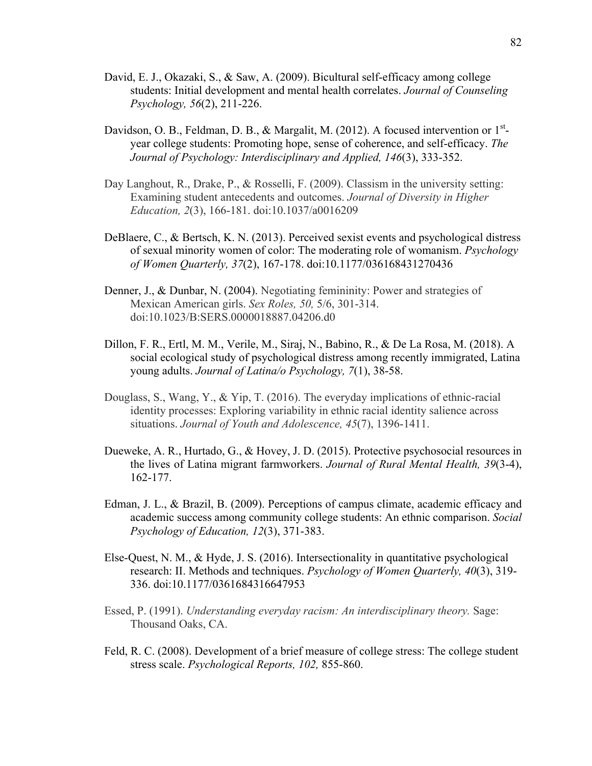- David, E. J., Okazaki, S., & Saw, A. (2009). Bicultural self-efficacy among college students: Initial development and mental health correlates. *Journal of Counseling Psychology, 56*(2), 211-226.
- Davidson, O. B., Feldman, D. B., & Margalit, M. (2012). A focused intervention or  $1<sup>st</sup>$ year college students: Promoting hope, sense of coherence, and self-efficacy. *The Journal of Psychology: Interdisciplinary and Applied, 146*(3), 333-352.
- Day Langhout, R., Drake, P., & Rosselli, F. (2009). Classism in the university setting: Examining student antecedents and outcomes. *Journal of Diversity in Higher Education, 2*(3), 166-181. doi:10.1037/a0016209
- DeBlaere, C., & Bertsch, K. N. (2013). Perceived sexist events and psychological distress of sexual minority women of color: The moderating role of womanism. *Psychology of Women Quarterly, 37*(2), 167-178. doi:10.1177/036168431270436
- Denner, J., & Dunbar, N. (2004). Negotiating femininity: Power and strategies of Mexican American girls. *Sex Roles, 50,* 5/6, 301-314. doi:10.1023/B:SERS.0000018887.04206.d0
- Dillon, F. R., Ertl, M. M., Verile, M., Siraj, N., Babino, R., & De La Rosa, M. (2018). A social ecological study of psychological distress among recently immigrated, Latina young adults. *Journal of Latina/o Psychology, 7*(1), 38-58.
- Douglass, S., Wang, Y., & Yip, T. (2016). The everyday implications of ethnic-racial identity processes: Exploring variability in ethnic racial identity salience across situations. *Journal of Youth and Adolescence, 45*(7), 1396-1411.
- Dueweke, A. R., Hurtado, G., & Hovey, J. D. (2015). Protective psychosocial resources in the lives of Latina migrant farmworkers. *Journal of Rural Mental Health, 39*(3-4), 162-177.
- Edman, J. L., & Brazil, B. (2009). Perceptions of campus climate, academic efficacy and academic success among community college students: An ethnic comparison. *Social Psychology of Education, 12*(3), 371-383.
- Else-Quest, N. M., & Hyde, J. S. (2016). Intersectionality in quantitative psychological research: II. Methods and techniques. *Psychology of Women Quarterly, 40*(3), 319- 336. doi:10.1177/0361684316647953
- Essed, P. (1991). *Understanding everyday racism: An interdisciplinary theory.* Sage: Thousand Oaks, CA.
- Feld, R. C. (2008). Development of a brief measure of college stress: The college student stress scale. *Psychological Reports, 102,* 855-860.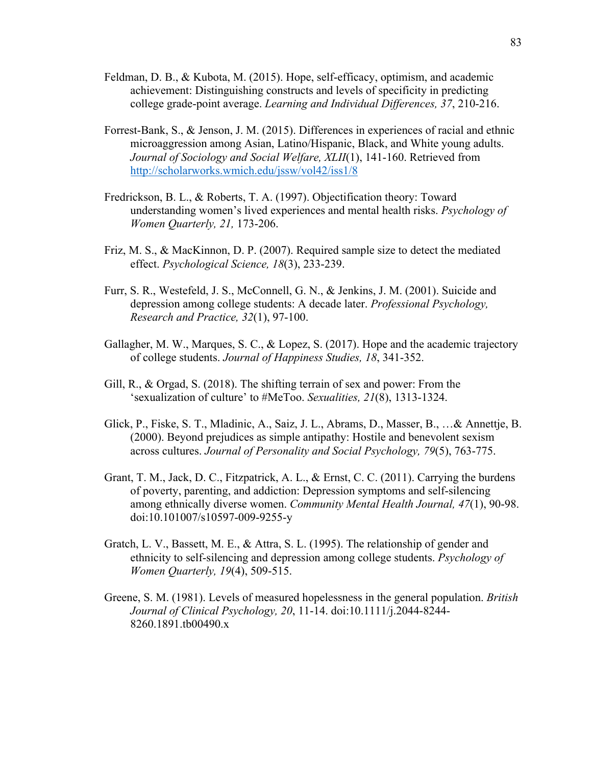- Feldman, D. B., & Kubota, M. (2015). Hope, self-efficacy, optimism, and academic achievement: Distinguishing constructs and levels of specificity in predicting college grade-point average. *Learning and Individual Differences, 37*, 210-216.
- Forrest-Bank, S., & Jenson, J. M. (2015). Differences in experiences of racial and ethnic microaggression among Asian, Latino/Hispanic, Black, and White young adults. *Journal of Sociology and Social Welfare, XLII*(1), 141-160. Retrieved from http://scholarworks.wmich.edu/jssw/vol42/iss1/8
- Fredrickson, B. L., & Roberts, T. A. (1997). Objectification theory: Toward understanding women's lived experiences and mental health risks. *Psychology of Women Quarterly, 21,* 173-206.
- Friz, M. S., & MacKinnon, D. P. (2007). Required sample size to detect the mediated effect. *Psychological Science, 18*(3), 233-239.
- Furr, S. R., Westefeld, J. S., McConnell, G. N., & Jenkins, J. M. (2001). Suicide and depression among college students: A decade later. *Professional Psychology, Research and Practice, 32*(1), 97-100.
- Gallagher, M. W., Marques, S. C., & Lopez, S. (2017). Hope and the academic trajectory of college students. *Journal of Happiness Studies, 18*, 341-352.
- Gill, R., & Orgad, S. (2018). The shifting terrain of sex and power: From the 'sexualization of culture' to #MeToo. *Sexualities, 21*(8), 1313-1324.
- Glick, P., Fiske, S. T., Mladinic, A., Saiz, J. L., Abrams, D., Masser, B., …& Annettje, B. (2000). Beyond prejudices as simple antipathy: Hostile and benevolent sexism across cultures. *Journal of Personality and Social Psychology, 79*(5), 763-775.
- Grant, T. M., Jack, D. C., Fitzpatrick, A. L., & Ernst, C. C. (2011). Carrying the burdens of poverty, parenting, and addiction: Depression symptoms and self-silencing among ethnically diverse women. *Community Mental Health Journal, 47*(1), 90-98. doi:10.101007/s10597-009-9255-y
- Gratch, L. V., Bassett, M. E., & Attra, S. L. (1995). The relationship of gender and ethnicity to self-silencing and depression among college students. *Psychology of Women Quarterly, 19*(4), 509-515.
- Greene, S. M. (1981). Levels of measured hopelessness in the general population. *British Journal of Clinical Psychology, 20*, 11-14. doi:10.1111/j.2044-8244- 8260.1891.tb00490.x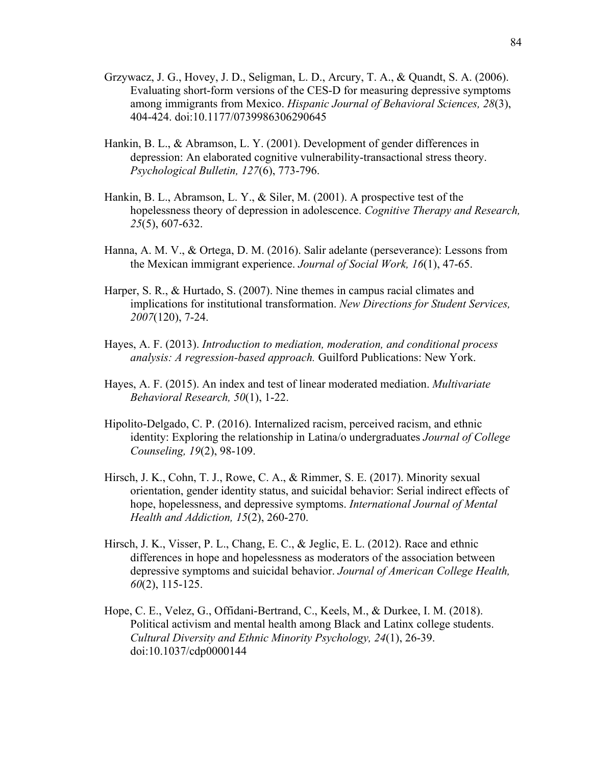- Grzywacz, J. G., Hovey, J. D., Seligman, L. D., Arcury, T. A., & Quandt, S. A. (2006). Evaluating short-form versions of the CES-D for measuring depressive symptoms among immigrants from Mexico. *Hispanic Journal of Behavioral Sciences, 28*(3), 404-424. doi:10.1177/0739986306290645
- Hankin, B. L., & Abramson, L. Y. (2001). Development of gender differences in depression: An elaborated cognitive vulnerability-transactional stress theory. *Psychological Bulletin, 127*(6), 773-796.
- Hankin, B. L., Abramson, L. Y., & Siler, M. (2001). A prospective test of the hopelessness theory of depression in adolescence. *Cognitive Therapy and Research, 25*(5), 607-632.
- Hanna, A. M. V., & Ortega, D. M. (2016). Salir adelante (perseverance): Lessons from the Mexican immigrant experience. *Journal of Social Work, 16*(1), 47-65.
- Harper, S. R., & Hurtado, S. (2007). Nine themes in campus racial climates and implications for institutional transformation. *New Directions for Student Services, 2007*(120), 7-24.
- Hayes, A. F. (2013). *Introduction to mediation, moderation, and conditional process analysis: A regression-based approach.* Guilford Publications: New York.
- Hayes, A. F. (2015). An index and test of linear moderated mediation. *Multivariate Behavioral Research, 50*(1), 1-22.
- Hipolito-Delgado, C. P. (2016). Internalized racism, perceived racism, and ethnic identity: Exploring the relationship in Latina/o undergraduates *Journal of College Counseling, 19*(2), 98-109.
- Hirsch, J. K., Cohn, T. J., Rowe, C. A., & Rimmer, S. E. (2017). Minority sexual orientation, gender identity status, and suicidal behavior: Serial indirect effects of hope, hopelessness, and depressive symptoms. *International Journal of Mental Health and Addiction, 15*(2), 260-270.
- Hirsch, J. K., Visser, P. L., Chang, E. C., & Jeglic, E. L. (2012). Race and ethnic differences in hope and hopelessness as moderators of the association between depressive symptoms and suicidal behavior. *Journal of American College Health, 60*(2), 115-125.
- Hope, C. E., Velez, G., Offidani-Bertrand, C., Keels, M., & Durkee, I. M. (2018). Political activism and mental health among Black and Latinx college students. *Cultural Diversity and Ethnic Minority Psychology, 24*(1), 26-39. doi:10.1037/cdp0000144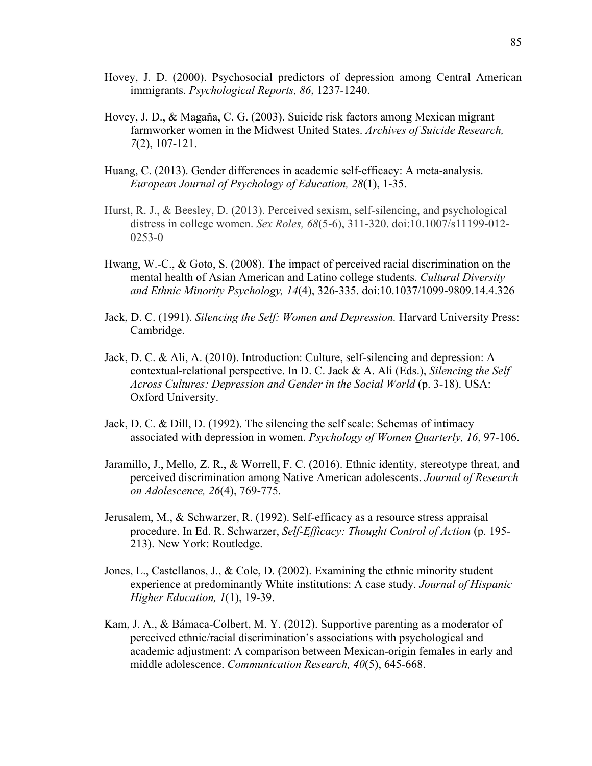- Hovey, J. D. (2000). Psychosocial predictors of depression among Central American immigrants. *Psychological Reports, 86*, 1237-1240.
- Hovey, J. D., & Magaña, C. G. (2003). Suicide risk factors among Mexican migrant farmworker women in the Midwest United States. *Archives of Suicide Research, 7*(2), 107-121.
- Huang, C. (2013). Gender differences in academic self-efficacy: A meta-analysis. *European Journal of Psychology of Education, 28*(1), 1-35.
- Hurst, R. J., & Beesley, D. (2013). Perceived sexism, self-silencing, and psychological distress in college women. *Sex Roles, 68*(5-6), 311-320. doi:10.1007/s11199-012- 0253-0
- Hwang, W.-C., & Goto, S. (2008). The impact of perceived racial discrimination on the mental health of Asian American and Latino college students. *Cultural Diversity and Ethnic Minority Psychology, 14*(4), 326-335. doi:10.1037/1099-9809.14.4.326
- Jack, D. C. (1991). *Silencing the Self: Women and Depression.* Harvard University Press: Cambridge.
- Jack, D. C. & Ali, A. (2010). Introduction: Culture, self-silencing and depression: A contextual-relational perspective. In D. C. Jack & A. Ali (Eds.), *Silencing the Self Across Cultures: Depression and Gender in the Social World* (p. 3-18). USA: Oxford University.
- Jack, D. C. & Dill, D. (1992). The silencing the self scale: Schemas of intimacy associated with depression in women. *Psychology of Women Quarterly, 16*, 97-106.
- Jaramillo, J., Mello, Z. R., & Worrell, F. C. (2016). Ethnic identity, stereotype threat, and perceived discrimination among Native American adolescents. *Journal of Research on Adolescence, 26*(4), 769-775.
- Jerusalem, M., & Schwarzer, R. (1992). Self-efficacy as a resource stress appraisal procedure. In Ed. R. Schwarzer, *Self-Efficacy: Thought Control of Action* (p. 195- 213). New York: Routledge.
- Jones, L., Castellanos, J., & Cole, D. (2002). Examining the ethnic minority student experience at predominantly White institutions: A case study. *Journal of Hispanic Higher Education, 1*(1), 19-39.
- Kam, J. A., & Bámaca-Colbert, M. Y. (2012). Supportive parenting as a moderator of perceived ethnic/racial discrimination's associations with psychological and academic adjustment: A comparison between Mexican-origin females in early and middle adolescence. *Communication Research, 40*(5), 645-668.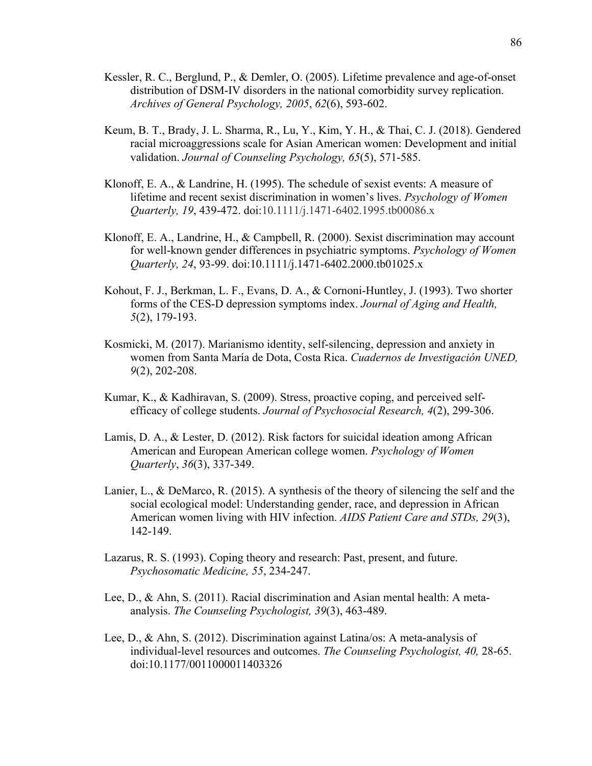- Kessler, R. C., Berglund, P., & Demler, O. (2005). Lifetime prevalence and age-of-onset distribution of DSM-IV disorders in the national comorbidity survey replication. *Archives of General Psychology, 2005*, *62*(6), 593-602.
- Keum, B. T., Brady, J. L. Sharma, R., Lu, Y., Kim, Y. H., & Thai, C. J. (2018). Gendered racial microaggressions scale for Asian American women: Development and initial validation. *Journal of Counseling Psychology, 65*(5), 571-585.
- Klonoff, E. A., & Landrine, H. (1995). The schedule of sexist events: A measure of lifetime and recent sexist discrimination in women's lives. *Psychology of Women Quarterly, 19*, 439-472. doi:10.1111/j.1471-6402.1995.tb00086.x
- Klonoff, E. A., Landrine, H., & Campbell, R. (2000). Sexist discrimination may account for well-known gender differences in psychiatric symptoms. *Psychology of Women Quarterly, 24*, 93-99. doi:10.1111/j.1471-6402.2000.tb01025.x
- Kohout, F. J., Berkman, L. F., Evans, D. A., & Cornoni-Huntley, J. (1993). Two shorter forms of the CES-D depression symptoms index. *Journal of Aging and Health, 5*(2), 179-193.
- Kosmicki, M. (2017). Marianismo identity, self-silencing, depression and anxiety in women from Santa María de Dota, Costa Rica. *Cuadernos de Investigación UNED, 9*(2), 202-208.
- Kumar, K., & Kadhiravan, S. (2009). Stress, proactive coping, and perceived selfefficacy of college students. *Journal of Psychosocial Research, 4*(2), 299-306.
- Lamis, D. A., & Lester, D. (2012). Risk factors for suicidal ideation among African American and European American college women. *Psychology of Women Quarterly*, *36*(3), 337-349.
- Lanier, L., & DeMarco, R. (2015). A synthesis of the theory of silencing the self and the social ecological model: Understanding gender, race, and depression in African American women living with HIV infection. *AIDS Patient Care and STDs, 29*(3), 142-149.
- Lazarus, R. S. (1993). Coping theory and research: Past, present, and future. *Psychosomatic Medicine, 55*, 234-247.
- Lee, D., & Ahn, S. (2011). Racial discrimination and Asian mental health: A metaanalysis. *The Counseling Psychologist, 39*(3), 463-489.
- Lee, D., & Ahn, S. (2012). Discrimination against Latina/os: A meta-analysis of individual-level resources and outcomes. *The Counseling Psychologist, 40,* 28-65. doi:10.1177/0011000011403326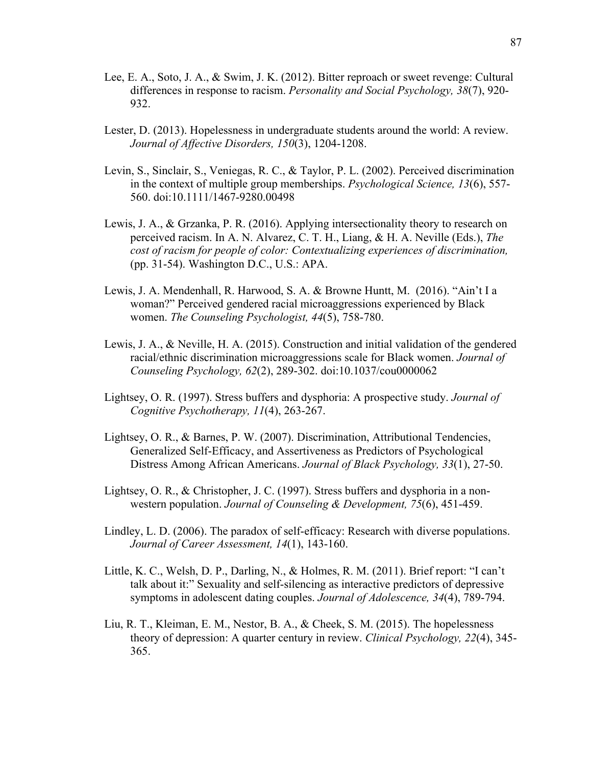- Lee, E. A., Soto, J. A., & Swim, J. K. (2012). Bitter reproach or sweet revenge: Cultural differences in response to racism. *Personality and Social Psychology, 38*(7), 920- 932.
- Lester, D. (2013). Hopelessness in undergraduate students around the world: A review. *Journal of Affective Disorders, 150*(3), 1204-1208.
- Levin, S., Sinclair, S., Veniegas, R. C., & Taylor, P. L. (2002). Perceived discrimination in the context of multiple group memberships. *Psychological Science, 13*(6), 557- 560. doi:10.1111/1467-9280.00498
- Lewis, J. A., & Grzanka, P. R. (2016). Applying intersectionality theory to research on perceived racism. In A. N. Alvarez, C. T. H., Liang, & H. A. Neville (Eds.), *The cost of racism for people of color: Contextualizing experiences of discrimination,* (pp. 31-54). Washington D.C., U.S.: APA.
- Lewis, J. A. Mendenhall, R. Harwood, S. A. & Browne Huntt, M. (2016). "Ain't I a woman?" Perceived gendered racial microaggressions experienced by Black women. *The Counseling Psychologist, 44*(5), 758-780.
- Lewis, J. A., & Neville, H. A. (2015). Construction and initial validation of the gendered racial/ethnic discrimination microaggressions scale for Black women. *Journal of Counseling Psychology, 62*(2), 289-302. doi:10.1037/cou0000062
- Lightsey, O. R. (1997). Stress buffers and dysphoria: A prospective study. *Journal of Cognitive Psychotherapy, 11*(4), 263-267.
- Lightsey, O. R., & Barnes, P. W. (2007). Discrimination, Attributional Tendencies, Generalized Self-Efficacy, and Assertiveness as Predictors of Psychological Distress Among African Americans. *Journal of Black Psychology, 33*(1), 27-50.
- Lightsey, O. R., & Christopher, J. C. (1997). Stress buffers and dysphoria in a nonwestern population. *Journal of Counseling & Development, 75*(6), 451-459.
- Lindley, L. D. (2006). The paradox of self-efficacy: Research with diverse populations. *Journal of Career Assessment, 14*(1), 143-160.
- Little, K. C., Welsh, D. P., Darling, N., & Holmes, R. M. (2011). Brief report: "I can't talk about it:" Sexuality and self-silencing as interactive predictors of depressive symptoms in adolescent dating couples. *Journal of Adolescence, 34*(4), 789-794.
- Liu, R. T., Kleiman, E. M., Nestor, B. A., & Cheek, S. M. (2015). The hopelessness theory of depression: A quarter century in review. *Clinical Psychology, 22*(4), 345- 365.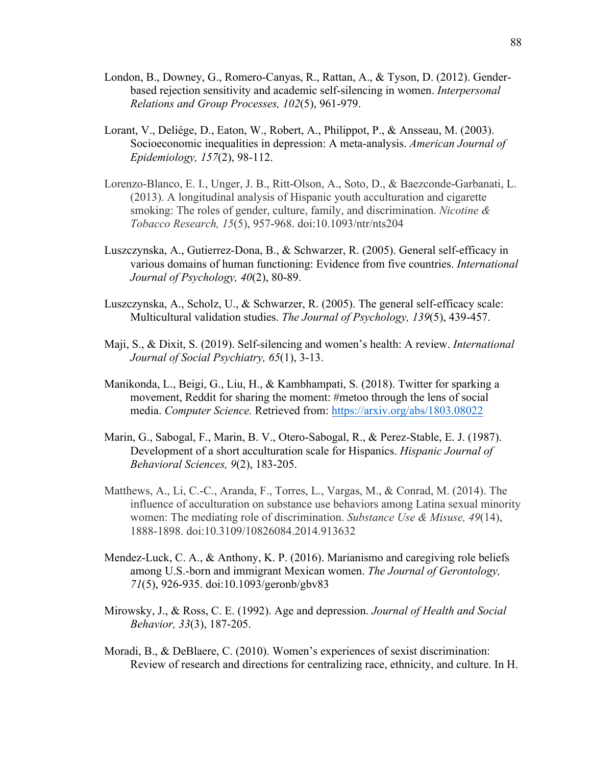- London, B., Downey, G., Romero-Canyas, R., Rattan, A., & Tyson, D. (2012). Genderbased rejection sensitivity and academic self-silencing in women. *Interpersonal Relations and Group Processes, 102*(5), 961-979.
- Lorant, V., Deliége, D., Eaton, W., Robert, A., Philippot, P., & Ansseau, M. (2003). Socioeconomic inequalities in depression: A meta-analysis. *American Journal of Epidemiology, 157*(2), 98-112.
- Lorenzo-Blanco, E. I., Unger, J. B., Ritt-Olson, A., Soto, D., & Baezconde-Garbanati, L. (2013). A longitudinal analysis of Hispanic youth acculturation and cigarette smoking: The roles of gender, culture, family, and discrimination. *Nicotine & Tobacco Research, 15*(5), 957-968. doi:10.1093/ntr/nts204
- Luszczynska, A., Gutierrez-Dona, B., & Schwarzer, R. (2005). General self-efficacy in various domains of human functioning: Evidence from five countries. *International Journal of Psychology, 40*(2), 80-89.
- Luszczynska, A., Scholz, U., & Schwarzer, R. (2005). The general self-efficacy scale: Multicultural validation studies. *The Journal of Psychology, 139*(5), 439-457.
- Maji, S., & Dixit, S. (2019). Self-silencing and women's health: A review. *International Journal of Social Psychiatry, 65*(1), 3-13.
- Manikonda, L., Beigi, G., Liu, H., & Kambhampati, S. (2018). Twitter for sparking a movement, Reddit for sharing the moment: #metoo through the lens of social media. *Computer Science.* Retrieved from: https://arxiv.org/abs/1803.08022
- Marin, G., Sabogal, F., Marin, B. V., Otero-Sabogal, R., & Perez-Stable, E. J. (1987). Development of a short acculturation scale for Hispanics. *Hispanic Journal of Behavioral Sciences, 9*(2), 183-205.
- Matthews, A., Li, C.-C., Aranda, F., Torres, L., Vargas, M., & Conrad, M. (2014). The influence of acculturation on substance use behaviors among Latina sexual minority women: The mediating role of discrimination. *Substance Use & Misuse, 49*(14), 1888-1898. doi:10.3109/10826084.2014.913632
- Mendez-Luck, C. A., & Anthony, K. P. (2016). Marianismo and caregiving role beliefs among U.S.-born and immigrant Mexican women. *The Journal of Gerontology, 71*(5), 926-935. doi:10.1093/geronb/gbv83
- Mirowsky, J., & Ross, C. E. (1992). Age and depression. *Journal of Health and Social Behavior, 33*(3), 187-205.
- Moradi, B., & DeBlaere, C. (2010). Women's experiences of sexist discrimination: Review of research and directions for centralizing race, ethnicity, and culture. In H.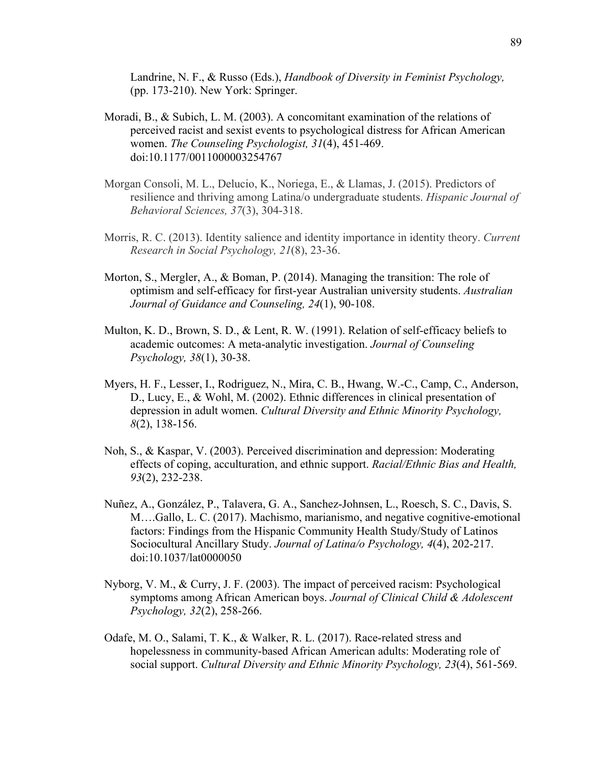Landrine, N. F., & Russo (Eds.), *Handbook of Diversity in Feminist Psychology,* (pp. 173-210). New York: Springer.

- Moradi, B., & Subich, L. M. (2003). A concomitant examination of the relations of perceived racist and sexist events to psychological distress for African American women. *The Counseling Psychologist, 31*(4), 451-469. doi:10.1177/0011000003254767
- Morgan Consoli, M. L., Delucio, K., Noriega, E., & Llamas, J. (2015). Predictors of resilience and thriving among Latina/o undergraduate students. *Hispanic Journal of Behavioral Sciences, 37*(3), 304-318.
- Morris, R. C. (2013). Identity salience and identity importance in identity theory. *Current Research in Social Psychology, 21*(8), 23-36.
- Morton, S., Mergler, A., & Boman, P. (2014). Managing the transition: The role of optimism and self-efficacy for first-year Australian university students. *Australian Journal of Guidance and Counseling, 24*(1), 90-108.
- Multon, K. D., Brown, S. D., & Lent, R. W. (1991). Relation of self-efficacy beliefs to academic outcomes: A meta-analytic investigation. *Journal of Counseling Psychology, 38*(1), 30-38.
- Myers, H. F., Lesser, I., Rodriguez, N., Mira, C. B., Hwang, W.-C., Camp, C., Anderson, D., Lucy, E., & Wohl, M. (2002). Ethnic differences in clinical presentation of depression in adult women. *Cultural Diversity and Ethnic Minority Psychology, 8*(2), 138-156.
- Noh, S., & Kaspar, V. (2003). Perceived discrimination and depression: Moderating effects of coping, acculturation, and ethnic support. *Racial/Ethnic Bias and Health, 93*(2), 232-238.
- Nuñez, A., González, P., Talavera, G. A., Sanchez-Johnsen, L., Roesch, S. C., Davis, S. M….Gallo, L. C. (2017). Machismo, marianismo, and negative cognitive-emotional factors: Findings from the Hispanic Community Health Study/Study of Latinos Sociocultural Ancillary Study. *Journal of Latina/o Psychology, 4*(4), 202-217. doi:10.1037/lat0000050
- Nyborg, V. M., & Curry, J. F. (2003). The impact of perceived racism: Psychological symptoms among African American boys. *Journal of Clinical Child & Adolescent Psychology, 32*(2), 258-266.
- Odafe, M. O., Salami, T. K., & Walker, R. L. (2017). Race-related stress and hopelessness in community-based African American adults: Moderating role of social support. *Cultural Diversity and Ethnic Minority Psychology, 23*(4), 561-569.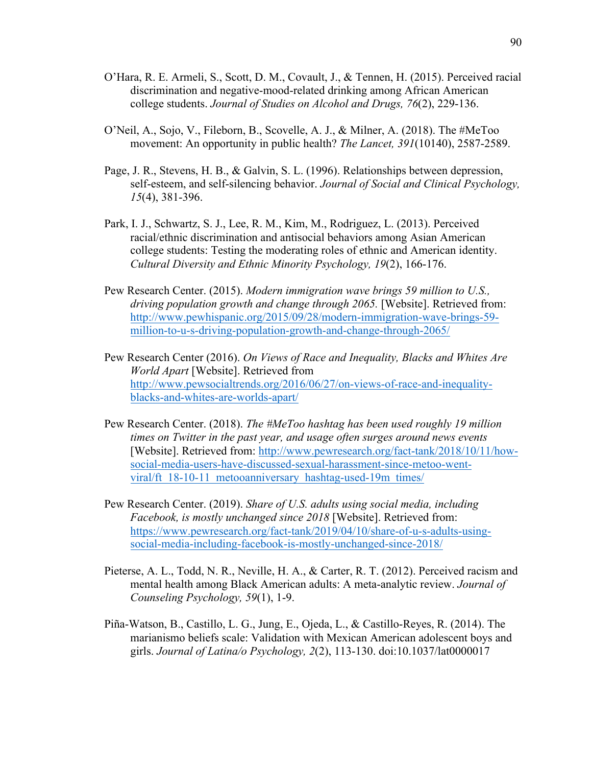- O'Hara, R. E. Armeli, S., Scott, D. M., Covault, J., & Tennen, H. (2015). Perceived racial discrimination and negative-mood-related drinking among African American college students. *Journal of Studies on Alcohol and Drugs, 76*(2), 229-136.
- O'Neil, A., Sojo, V., Fileborn, B., Scovelle, A. J., & Milner, A. (2018). The #MeToo movement: An opportunity in public health? *The Lancet, 391*(10140), 2587-2589.
- Page, J. R., Stevens, H. B., & Galvin, S. L. (1996). Relationships between depression, self-esteem, and self-silencing behavior. *Journal of Social and Clinical Psychology, 15*(4), 381-396.
- Park, I. J., Schwartz, S. J., Lee, R. M., Kim, M., Rodriguez, L. (2013). Perceived racial/ethnic discrimination and antisocial behaviors among Asian American college students: Testing the moderating roles of ethnic and American identity. *Cultural Diversity and Ethnic Minority Psychology, 19*(2), 166-176.
- Pew Research Center. (2015). *Modern immigration wave brings 59 million to U.S., driving population growth and change through 2065.* [Website]. Retrieved from: http://www.pewhispanic.org/2015/09/28/modern-immigration-wave-brings-59 million-to-u-s-driving-population-growth-and-change-through-2065/
- Pew Research Center (2016). *On Views of Race and Inequality, Blacks and Whites Are World Apart* [Website]. Retrieved from http://www.pewsocialtrends.org/2016/06/27/on-views-of-race-and-inequalityblacks-and-whites-are-worlds-apart/
- Pew Research Center. (2018). *The #MeToo hashtag has been used roughly 19 million times on Twitter in the past year, and usage often surges around news events* [Website]. Retrieved from: http://www.pewresearch.org/fact-tank/2018/10/11/howsocial-media-users-have-discussed-sexual-harassment-since-metoo-wentviral/ft\_18-10-11\_metooanniversary\_hashtag-used-19m\_times/
- Pew Research Center. (2019). *Share of U.S. adults using social media, including Facebook, is mostly unchanged since 2018* [Website]. Retrieved from: https://www.pewresearch.org/fact-tank/2019/04/10/share-of-u-s-adults-usingsocial-media-including-facebook-is-mostly-unchanged-since-2018/
- Pieterse, A. L., Todd, N. R., Neville, H. A., & Carter, R. T. (2012). Perceived racism and mental health among Black American adults: A meta-analytic review. *Journal of Counseling Psychology, 59*(1), 1-9.
- Piña-Watson, B., Castillo, L. G., Jung, E., Ojeda, L., & Castillo-Reyes, R. (2014). The marianismo beliefs scale: Validation with Mexican American adolescent boys and girls. *Journal of Latina/o Psychology, 2*(2), 113-130. doi:10.1037/lat0000017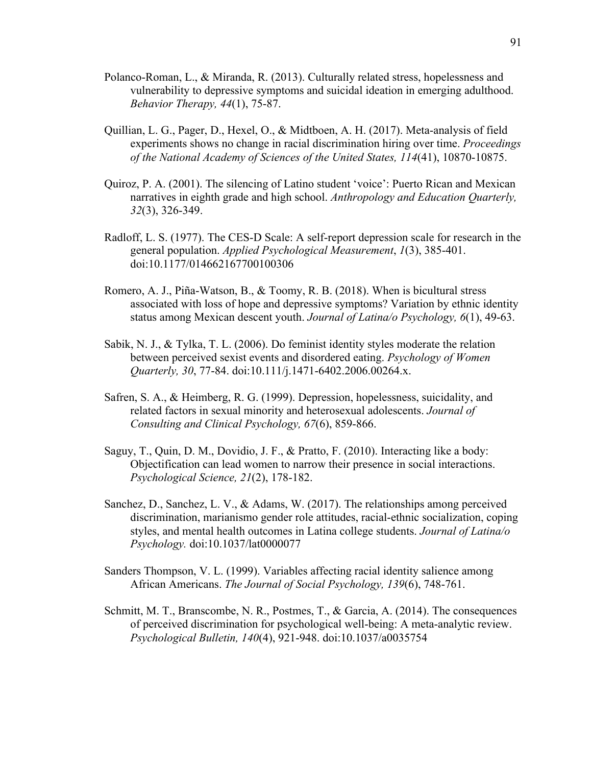- Polanco-Roman, L., & Miranda, R. (2013). Culturally related stress, hopelessness and vulnerability to depressive symptoms and suicidal ideation in emerging adulthood. *Behavior Therapy, 44*(1), 75-87.
- Quillian, L. G., Pager, D., Hexel, O., & Midtboen, A. H. (2017). Meta-analysis of field experiments shows no change in racial discrimination hiring over time. *Proceedings of the National Academy of Sciences of the United States, 114*(41), 10870-10875.
- Quiroz, P. A. (2001). The silencing of Latino student 'voice': Puerto Rican and Mexican narratives in eighth grade and high school. *Anthropology and Education Quarterly, 32*(3), 326-349.
- Radloff, L. S. (1977). The CES-D Scale: A self-report depression scale for research in the general population. *Applied Psychological Measurement*, *1*(3), 385-401. doi:10.1177/014662167700100306
- Romero, A. J., Piña-Watson, B., & Toomy, R. B. (2018). When is bicultural stress associated with loss of hope and depressive symptoms? Variation by ethnic identity status among Mexican descent youth. *Journal of Latina/o Psychology, 6*(1), 49-63.
- Sabik, N. J., & Tylka, T. L. (2006). Do feminist identity styles moderate the relation between perceived sexist events and disordered eating. *Psychology of Women Quarterly, 30*, 77-84. doi:10.111/j.1471-6402.2006.00264.x.
- Safren, S. A., & Heimberg, R. G. (1999). Depression, hopelessness, suicidality, and related factors in sexual minority and heterosexual adolescents. *Journal of Consulting and Clinical Psychology, 67*(6), 859-866.
- Saguy, T., Quin, D. M., Dovidio, J. F., & Pratto, F. (2010). Interacting like a body: Objectification can lead women to narrow their presence in social interactions. *Psychological Science, 21*(2), 178-182.
- Sanchez, D., Sanchez, L. V., & Adams, W. (2017). The relationships among perceived discrimination, marianismo gender role attitudes, racial-ethnic socialization, coping styles, and mental health outcomes in Latina college students. *Journal of Latina/o Psychology.* doi:10.1037/lat0000077
- Sanders Thompson, V. L. (1999). Variables affecting racial identity salience among African Americans. *The Journal of Social Psychology, 139*(6), 748-761.
- Schmitt, M. T., Branscombe, N. R., Postmes, T., & Garcia, A. (2014). The consequences of perceived discrimination for psychological well-being: A meta-analytic review. *Psychological Bulletin, 140*(4), 921-948. doi:10.1037/a0035754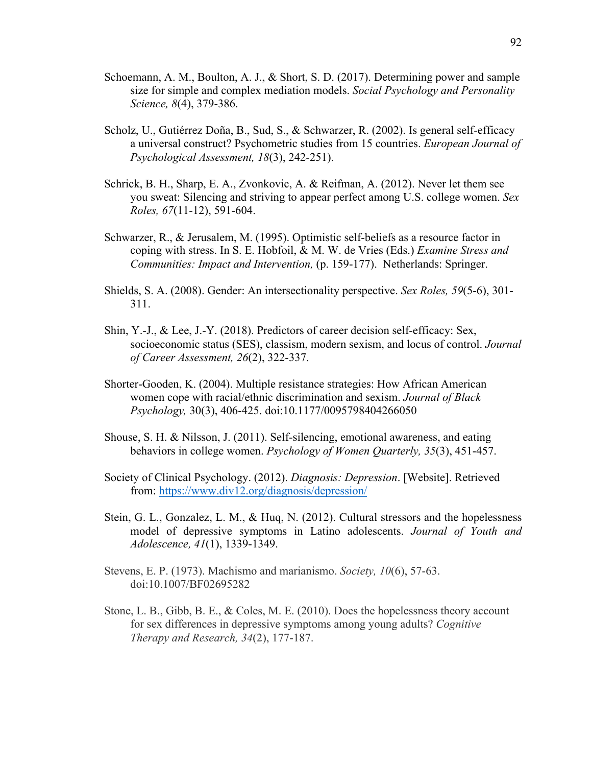- Schoemann, A. M., Boulton, A. J., & Short, S. D. (2017). Determining power and sample size for simple and complex mediation models. *Social Psychology and Personality Science, 8*(4), 379-386.
- Scholz, U., Gutiérrez Doña, B., Sud, S., & Schwarzer, R. (2002). Is general self-efficacy a universal construct? Psychometric studies from 15 countries. *European Journal of Psychological Assessment, 18*(3), 242-251).
- Schrick, B. H., Sharp, E. A., Zvonkovic, A. & Reifman, A. (2012). Never let them see you sweat: Silencing and striving to appear perfect among U.S. college women. *Sex Roles, 67*(11-12), 591-604.
- Schwarzer, R., & Jerusalem, M. (1995). Optimistic self-beliefs as a resource factor in coping with stress. In S. E. Hobfoil, & M. W. de Vries (Eds.) *Examine Stress and Communities: Impact and Intervention,* (p. 159-177). Netherlands: Springer.
- Shields, S. A. (2008). Gender: An intersectionality perspective. *Sex Roles, 59*(5-6), 301- 311.
- Shin, Y.-J., & Lee, J.-Y. (2018). Predictors of career decision self-efficacy: Sex, socioeconomic status (SES), classism, modern sexism, and locus of control. *Journal of Career Assessment, 26*(2), 322-337.
- Shorter-Gooden, K. (2004). Multiple resistance strategies: How African American women cope with racial/ethnic discrimination and sexism. *Journal of Black Psychology,* 30(3), 406-425. doi:10.1177/0095798404266050
- Shouse, S. H. & Nilsson, J. (2011). Self-silencing, emotional awareness, and eating behaviors in college women. *Psychology of Women Quarterly, 35*(3), 451-457.
- Society of Clinical Psychology. (2012). *Diagnosis: Depression*. [Website]. Retrieved from: https://www.div12.org/diagnosis/depression/
- Stein, G. L., Gonzalez, L. M., & Huq, N. (2012). Cultural stressors and the hopelessness model of depressive symptoms in Latino adolescents. *Journal of Youth and Adolescence, 41*(1), 1339-1349.
- Stevens, E. P. (1973). Machismo and marianismo. *Society, 10*(6), 57-63. doi:10.1007/BF02695282
- Stone, L. B., Gibb, B. E., & Coles, M. E. (2010). Does the hopelessness theory account for sex differences in depressive symptoms among young adults? *Cognitive Therapy and Research, 34*(2), 177-187.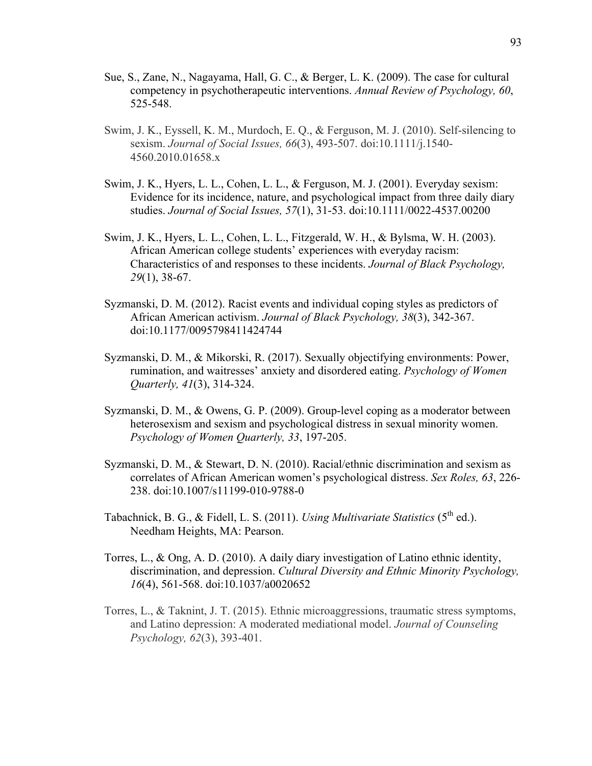- Sue, S., Zane, N., Nagayama, Hall, G. C., & Berger, L. K. (2009). The case for cultural competency in psychotherapeutic interventions. *Annual Review of Psychology, 60*, 525-548.
- Swim, J. K., Eyssell, K. M., Murdoch, E. Q., & Ferguson, M. J. (2010). Self-silencing to sexism. *Journal of Social Issues, 66*(3), 493-507. doi:10.1111/j.1540- 4560.2010.01658.x
- Swim, J. K., Hyers, L. L., Cohen, L. L., & Ferguson, M. J. (2001). Everyday sexism: Evidence for its incidence, nature, and psychological impact from three daily diary studies. *Journal of Social Issues, 57*(1), 31-53. doi:10.1111/0022-4537.00200
- Swim, J. K., Hyers, L. L., Cohen, L. L., Fitzgerald, W. H., & Bylsma, W. H. (2003). African American college students' experiences with everyday racism: Characteristics of and responses to these incidents. *Journal of Black Psychology, 29*(1), 38-67.
- Syzmanski, D. M. (2012). Racist events and individual coping styles as predictors of African American activism. *Journal of Black Psychology, 38*(3), 342-367. doi:10.1177/0095798411424744
- Syzmanski, D. M., & Mikorski, R. (2017). Sexually objectifying environments: Power, rumination, and waitresses' anxiety and disordered eating. *Psychology of Women Quarterly, 41*(3), 314-324.
- Syzmanski, D. M., & Owens, G. P. (2009). Group-level coping as a moderator between heterosexism and sexism and psychological distress in sexual minority women. *Psychology of Women Quarterly, 33*, 197-205.
- Syzmanski, D. M., & Stewart, D. N. (2010). Racial/ethnic discrimination and sexism as correlates of African American women's psychological distress. *Sex Roles, 63*, 226- 238. doi:10.1007/s11199-010-9788-0
- Tabachnick, B. G., & Fidell, L. S. (2011). *Using Multivariate Statistics* (5<sup>th</sup> ed.). Needham Heights, MA: Pearson.
- Torres, L., & Ong, A. D. (2010). A daily diary investigation of Latino ethnic identity, discrimination, and depression. *Cultural Diversity and Ethnic Minority Psychology, 16*(4), 561-568. doi:10.1037/a0020652
- Torres, L., & Taknint, J. T. (2015). Ethnic microaggressions, traumatic stress symptoms, and Latino depression: A moderated mediational model. *Journal of Counseling Psychology, 62*(3), 393-401.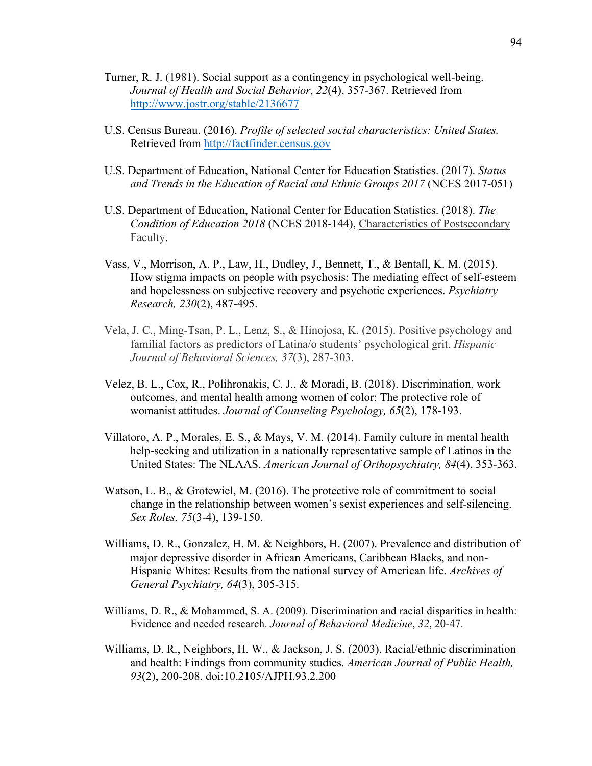- Turner, R. J. (1981). Social support as a contingency in psychological well-being. *Journal of Health and Social Behavior, 22*(4), 357-367. Retrieved from http://www.jostr.org/stable/2136677
- U.S. Census Bureau. (2016). *Profile of selected social characteristics: United States.*  Retrieved from http://factfinder.census.gov
- U.S. Department of Education, National Center for Education Statistics. (2017). *Status and Trends in the Education of Racial and Ethnic Groups 2017* (NCES 2017-051)
- U.S. Department of Education, National Center for Education Statistics. (2018). *The Condition of Education 2018* (NCES 2018-144), Characteristics of Postsecondary Faculty.
- Vass, V., Morrison, A. P., Law, H., Dudley, J., Bennett, T., & Bentall, K. M. (2015). How stigma impacts on people with psychosis: The mediating effect of self-esteem and hopelessness on subjective recovery and psychotic experiences. *Psychiatry Research, 230*(2), 487-495.
- Vela, J. C., Ming-Tsan, P. L., Lenz, S., & Hinojosa, K. (2015). Positive psychology and familial factors as predictors of Latina/o students' psychological grit. *Hispanic Journal of Behavioral Sciences, 37*(3), 287-303.
- Velez, B. L., Cox, R., Polihronakis, C. J., & Moradi, B. (2018). Discrimination, work outcomes, and mental health among women of color: The protective role of womanist attitudes. *Journal of Counseling Psychology, 65*(2), 178-193.
- Villatoro, A. P., Morales, E. S., & Mays, V. M. (2014). Family culture in mental health help-seeking and utilization in a nationally representative sample of Latinos in the United States: The NLAAS. *American Journal of Orthopsychiatry, 84*(4), 353-363.
- Watson, L. B., & Grotewiel, M. (2016). The protective role of commitment to social change in the relationship between women's sexist experiences and self-silencing. *Sex Roles, 75*(3-4), 139-150.
- Williams, D. R., Gonzalez, H. M. & Neighbors, H. (2007). Prevalence and distribution of major depressive disorder in African Americans, Caribbean Blacks, and non-Hispanic Whites: Results from the national survey of American life. *Archives of General Psychiatry, 64*(3), 305-315.
- Williams, D. R., & Mohammed, S. A. (2009). Discrimination and racial disparities in health: Evidence and needed research. *Journal of Behavioral Medicine*, *32*, 20-47.
- Williams, D. R., Neighbors, H. W., & Jackson, J. S. (2003). Racial/ethnic discrimination and health: Findings from community studies. *American Journal of Public Health, 93*(2), 200-208. doi:10.2105/AJPH.93.2.200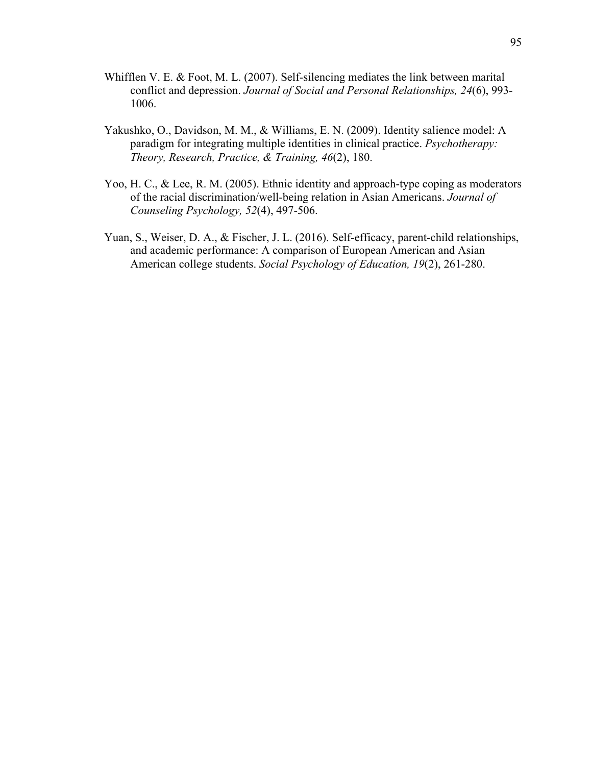- Whifflen V. E. & Foot, M. L. (2007). Self-silencing mediates the link between marital conflict and depression. *Journal of Social and Personal Relationships, 24*(6), 993- 1006.
- Yakushko, O., Davidson, M. M., & Williams, E. N. (2009). Identity salience model: A paradigm for integrating multiple identities in clinical practice. *Psychotherapy: Theory, Research, Practice, & Training, 46*(2), 180.
- Yoo, H. C., & Lee, R. M. (2005). Ethnic identity and approach-type coping as moderators of the racial discrimination/well-being relation in Asian Americans. *Journal of Counseling Psychology, 52*(4), 497-506.
- Yuan, S., Weiser, D. A., & Fischer, J. L. (2016). Self-efficacy, parent-child relationships, and academic performance: A comparison of European American and Asian American college students. *Social Psychology of Education, 19*(2), 261-280.